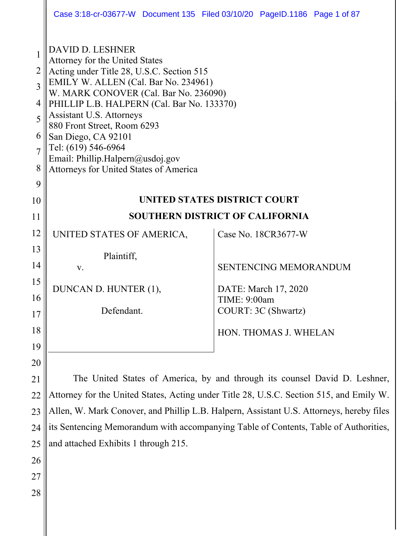|                                                           | Case 3:18-cr-03677-W Document 135 Filed 03/10/20 PageID.1186 Page 1 of 87                                                                                                                                                                                                                                                                                                                                                    |              |                              |  |
|-----------------------------------------------------------|------------------------------------------------------------------------------------------------------------------------------------------------------------------------------------------------------------------------------------------------------------------------------------------------------------------------------------------------------------------------------------------------------------------------------|--------------|------------------------------|--|
| $\overline{2}$<br>3<br>4<br>5<br>6<br>$\overline{7}$<br>8 | <b>DAVID D. LESHNER</b><br>Attorney for the United States<br>Acting under Title 28, U.S.C. Section 515<br>EMILY W. ALLEN (Cal. Bar No. 234961)<br>W. MARK CONOVER (Cal. Bar No. 236090)<br>PHILLIP L.B. HALPERN (Cal. Bar No. 133370)<br>Assistant U.S. Attorneys<br>880 Front Street, Room 6293<br>San Diego, CA 92101<br>Tel: (619) 546-6964<br>Email: Phillip.Halpern@usdoj.gov<br>Attorneys for United States of America |              |                              |  |
| 9                                                         |                                                                                                                                                                                                                                                                                                                                                                                                                              |              |                              |  |
| 10                                                        | UNITED STATES DISTRICT COURT<br><b>SOUTHERN DISTRICT OF CALIFORNIA</b>                                                                                                                                                                                                                                                                                                                                                       |              |                              |  |
| 11                                                        |                                                                                                                                                                                                                                                                                                                                                                                                                              |              |                              |  |
| 12                                                        | UNITED STATES OF AMERICA,                                                                                                                                                                                                                                                                                                                                                                                                    |              | Case No. 18CR3677-W          |  |
| 13                                                        | Plaintiff,                                                                                                                                                                                                                                                                                                                                                                                                                   |              |                              |  |
| 14                                                        | V.                                                                                                                                                                                                                                                                                                                                                                                                                           |              | <b>SENTENCING MEMORANDUM</b> |  |
| 15                                                        | DUNCAN D. HUNTER (1),                                                                                                                                                                                                                                                                                                                                                                                                        |              | DATE: March 17, 2020         |  |
| 16                                                        |                                                                                                                                                                                                                                                                                                                                                                                                                              | TIME: 9:00am |                              |  |
| 17                                                        | Defendant.                                                                                                                                                                                                                                                                                                                                                                                                                   |              | COURT: 3C (Shwartz)          |  |
| 18                                                        |                                                                                                                                                                                                                                                                                                                                                                                                                              |              | HON. THOMAS J. WHELAN        |  |
| 19                                                        |                                                                                                                                                                                                                                                                                                                                                                                                                              |              |                              |  |
| 20                                                        |                                                                                                                                                                                                                                                                                                                                                                                                                              |              |                              |  |
| 21                                                        | The United States of America, by and through its counsel David D. Leshner,                                                                                                                                                                                                                                                                                                                                                   |              |                              |  |
| 22                                                        | Attorney for the United States, Acting under Title 28, U.S.C. Section 515, and Emily W.                                                                                                                                                                                                                                                                                                                                      |              |                              |  |
| 23                                                        | Allen, W. Mark Conover, and Phillip L.B. Halpern, Assistant U.S. Attorneys, hereby files                                                                                                                                                                                                                                                                                                                                     |              |                              |  |

24 lits Sentencing Memorandum with accompanying Table of Contents, Table of Authorities, 25 and attached Exhibits 1 through 215.

26

27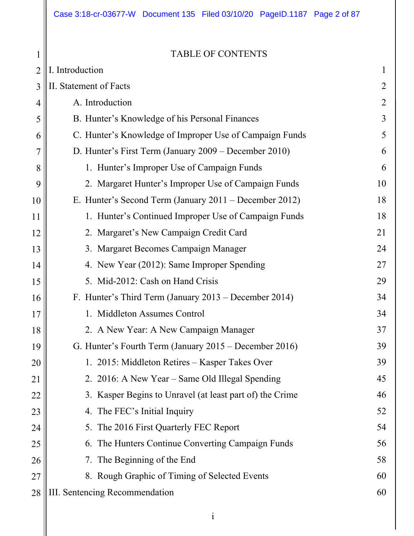1 2 3 4 5 6 7 8 9 10 11 12 13 14 15 16 17 18 19 20 21 22 23 24 25 26 27 TABLE OF CONTENTS I. Introduction 1 II. Statement of Facts 2 A. Introduction 2 B. Hunter's Knowledge of his Personal Finances 3 C. Hunter's Knowledge of Improper Use of Campaign Funds 5 D. Hunter's First Term (January 2009 – December 2010) 6 1. Hunter's Improper Use of Campaign Funds 6 2. Margaret Hunter's Improper Use of Campaign Funds 10 E. Hunter's Second Term (January 2011 – December 2012) 18 1. Hunter's Continued Improper Use of Campaign Funds 18 2. Margaret's New Campaign Credit Card 21 3. Margaret Becomes Campaign Manager 24 4. New Year (2012): Same Improper Spending 27 5. Mid-2012: Cash on Hand Crisis 29 F. Hunter's Third Term (January 2013 – December 2014) 34 1. Middleton Assumes Control 34 2. A New Year: A New Campaign Manager 37 G. Hunter's Fourth Term (January 2015 – December 2016) 39 1. 2015: Middleton Retires – Kasper Takes Over 39 2. 2016: A New Year – Same Old Illegal Spending 45 3. Kasper Begins to Unravel (at least part of) the Crime 46 4. The FEC's Initial Inquiry 52 5. The 2016 First Quarterly FEC Report 54 6. The Hunters Continue Converting Campaign Funds 56 7. The Beginning of the End 58 8. Rough Graphic of Timing of Selected Events 60

#### 28 III. Sentencing Recommendation 60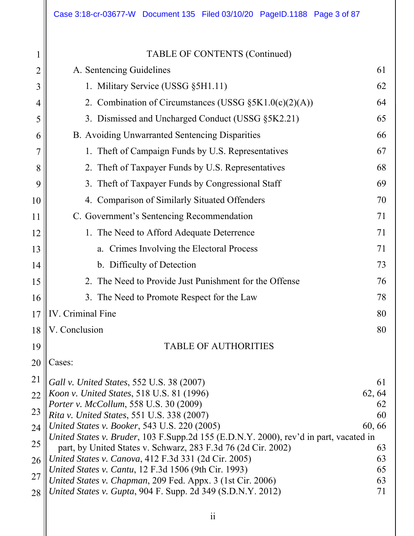| 1              | <b>TABLE OF CONTENTS (Continued)</b>                                                                                  |          |
|----------------|-----------------------------------------------------------------------------------------------------------------------|----------|
| $\overline{2}$ | A. Sentencing Guidelines                                                                                              | 61       |
| 3              | 1. Military Service (USSG §5H1.11)                                                                                    | 62       |
| 4              | 2. Combination of Circumstances (USSG $\S 5K1.0(c)(2)(A))$                                                            | 64       |
| 5              | 3. Dismissed and Uncharged Conduct (USSG §5K2.21)                                                                     | 65       |
| 6              | B. Avoiding Unwarranted Sentencing Disparities                                                                        | 66       |
| 7              | 1. Theft of Campaign Funds by U.S. Representatives                                                                    | 67       |
| 8              | 2. Theft of Taxpayer Funds by U.S. Representatives                                                                    | 68       |
| 9              | 3. Theft of Taxpayer Funds by Congressional Staff                                                                     | 69       |
| 10             | 4. Comparison of Similarly Situated Offenders                                                                         | 70       |
| 11             | C. Government's Sentencing Recommendation                                                                             | 71       |
| 12             | 1. The Need to Afford Adequate Deterrence                                                                             | 71       |
| 13             | a. Crimes Involving the Electoral Process                                                                             | 71       |
| 14             | b. Difficulty of Detection                                                                                            | 73       |
| 15             | 2. The Need to Provide Just Punishment for the Offense                                                                | 76       |
| 16             | 3. The Need to Promote Respect for the Law                                                                            | 78       |
| 17             | IV. Criminal Fine                                                                                                     | 80       |
| 18             | V. Conclusion                                                                                                         | 80       |
| 19             | <b>TABLE OF AUTHORITIES</b>                                                                                           |          |
| 20             | Cases:                                                                                                                |          |
| 21             | Gall v. United States, 552 U.S. 38 (2007)                                                                             | 61       |
| 22             | Koon v. United States, 518 U.S. 81 (1996)                                                                             | 62, 64   |
| 23             | Porter v. McCollum, 558 U.S. 30 (2009)<br>Rita v. United States, 551 U.S. 338 (2007)                                  | 62<br>60 |
| 24             | United States v. Booker, 543 U.S. 220 (2005)                                                                          | 60,66    |
| 25             | United States v. Bruder, 103 F. Supp. 2d 155 (E.D.N.Y. 2000), rev'd in part, vacated in                               |          |
|                | part, by United States v. Schwarz, 283 F.3d 76 (2d Cir. 2002)<br>United States v. Canova, 412 F.3d 331 (2d Cir. 2005) | 63<br>63 |
| 26             | United States v. Cantu, 12 F.3d 1506 (9th Cir. 1993)                                                                  | 65       |
| 27             | United States v. Chapman, 209 Fed. Appx. 3 (1st Cir. 2006)                                                            | 63       |
| 28             | United States v. Gupta, 904 F. Supp. 2d 349 (S.D.N.Y. 2012)                                                           | 71       |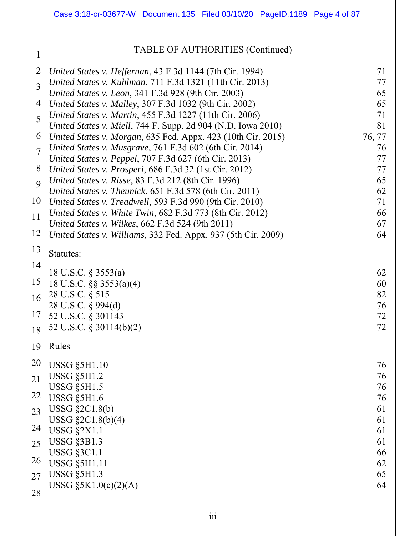|                | Case 3:18-cr-03677-W Document 135 Filed 03/10/20 PageID.1189 Page 4 of 87                                               |              |
|----------------|-------------------------------------------------------------------------------------------------------------------------|--------------|
| 1              | TABLE OF AUTHORITIES (Continued)                                                                                        |              |
| $\overline{2}$ | United States v. Heffernan, 43 F.3d 1144 (7th Cir. 1994)                                                                | 71           |
| 3              | United States v. Kuhlman, 711 F.3d 1321 (11th Cir. 2013)                                                                | 77           |
| 4              | United States v. Leon, 341 F.3d 928 (9th Cir. 2003)<br>United States v. Malley, 307 F.3d 1032 (9th Cir. 2002)           | 65<br>65     |
| 5              | United States v. Martin, 455 F.3d 1227 (11th Cir. 2006)                                                                 | 71           |
|                | United States v. Miell, 744 F. Supp. 2d 904 (N.D. Iowa 2010)                                                            | 81           |
| 6              | United States v. Morgan, 635 Fed. Appx. 423 (10th Cir. 2015)<br>United States v. Musgrave, 761 F.3d 602 (6th Cir. 2014) | 76, 77<br>76 |
| $\overline{7}$ | United States v. Peppel, 707 F.3d 627 (6th Cir. 2013)                                                                   | 77           |
| 8              | United States v. Prosperi, 686 F.3d 32 (1st Cir. 2012)                                                                  | 77           |
| 9              | United States v. Risse, 83 F.3d 212 (8th Cir. 1996)<br>United States v. Theunick, 651 F.3d 578 (6th Cir. 2011)          | 65<br>62     |
| 10             | United States v. Treadwell, 593 F.3d 990 (9th Cir. 2010)                                                                | 71           |
| 11             | United States v. White Twin, 682 F.3d 773 (8th Cir. 2012)<br>United States v. Wilkes, 662 F.3d 524 (9th 2011)           | 66<br>67     |
| 12             | United States v. Williams, 332 Fed. Appx. 937 (5th Cir. 2009)                                                           | 64           |
| 13             | Statutes:                                                                                                               |              |
| 14             |                                                                                                                         |              |
| 15             | 18 U.S.C. § 3553(a)<br>18 U.S.C. §§ 3553(a)(4)                                                                          | 62<br>60     |
| 16             | 28 U.S.C. § 515                                                                                                         | 82           |
| 17             | 28 U.S.C. § 994(d)                                                                                                      | 76           |
|                | 52 U.S.C. § 301143<br>52 U.S.C. § 30114(b)(2)                                                                           | 72<br>72     |
| 18             | Rules                                                                                                                   |              |
| 19             |                                                                                                                         |              |
| 20             | <b>USSG §5H1.10</b><br><b>USSG §5H1.2</b>                                                                               | 76<br>76     |
| 21             | <b>USSG §5H1.5</b>                                                                                                      | 76           |
| 22             | <b>USSG §5H1.6</b>                                                                                                      | 76           |
| 23             | USSG $\S2C1.8(b)$<br>USSG §2C1.8(b)(4)                                                                                  | 61<br>61     |
| 24             | <b>USSG §2X1.1</b>                                                                                                      | 61           |
| 25             | <b>USSG §3B1.3</b>                                                                                                      | 61           |
| 26             | <b>USSG §3C1.1</b><br><b>USSG §5H1.11</b>                                                                               | 66<br>62     |
| 27             | <b>USSG §5H1.3</b>                                                                                                      | 65           |
| 28             | USSG $\S 5K1.0(c)(2)(A)$                                                                                                | 64           |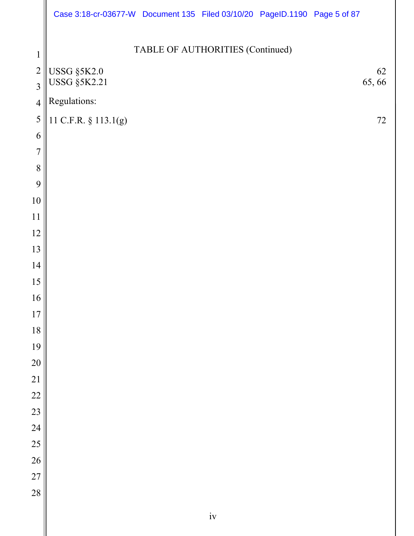|                                | Case 3:18-cr-03677-W Document 135 Filed 03/10/20 PageID.1190 Page 5 of 87 |                                  |    |             |
|--------------------------------|---------------------------------------------------------------------------|----------------------------------|----|-------------|
|                                |                                                                           | TABLE OF AUTHORITIES (Continued) |    |             |
| $\mathbf{1}$<br>$\overline{2}$ |                                                                           |                                  |    |             |
| $\overline{3}$                 | <b>USSG §5K2.0</b><br><b>USSG §5K2.21</b>                                 |                                  |    | 62<br>65,66 |
| $\overline{4}$                 | Regulations:                                                              |                                  |    |             |
| 5                              | 11 C.F.R. § 113.1(g)                                                      |                                  |    | 72          |
| 6                              |                                                                           |                                  |    |             |
| $\overline{7}$                 |                                                                           |                                  |    |             |
| 8                              |                                                                           |                                  |    |             |
| 9                              |                                                                           |                                  |    |             |
| 10                             |                                                                           |                                  |    |             |
| 11                             |                                                                           |                                  |    |             |
| 12                             |                                                                           |                                  |    |             |
| 13<br>14                       |                                                                           |                                  |    |             |
| 15                             |                                                                           |                                  |    |             |
| 16                             |                                                                           |                                  |    |             |
| 17                             |                                                                           |                                  |    |             |
| 18                             |                                                                           |                                  |    |             |
| 19                             |                                                                           |                                  |    |             |
| 20                             |                                                                           |                                  |    |             |
| $\overline{21}$                |                                                                           |                                  |    |             |
| $\overline{22}$                |                                                                           |                                  |    |             |
| 23                             |                                                                           |                                  |    |             |
| 24                             |                                                                           |                                  |    |             |
| 25                             |                                                                           |                                  |    |             |
| 26                             |                                                                           |                                  |    |             |
| 27                             |                                                                           |                                  |    |             |
| 28                             |                                                                           |                                  |    |             |
|                                |                                                                           |                                  | iv |             |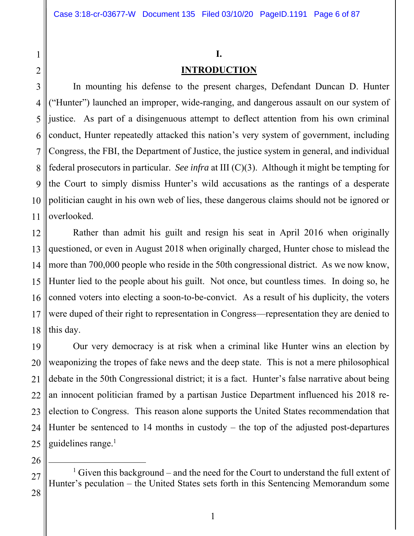# **I.**

### **INTRODUCTION**

In mounting his defense to the present charges, Defendant Duncan D. Hunter ("Hunter") launched an improper, wide-ranging, and dangerous assault on our system of justice. As part of a disingenuous attempt to deflect attention from his own criminal conduct, Hunter repeatedly attacked this nation's very system of government, including Congress, the FBI, the Department of Justice, the justice system in general, and individual federal prosecutors in particular. *See infra* at III (C)(3). Although it might be tempting for the Court to simply dismiss Hunter's wild accusations as the rantings of a desperate politician caught in his own web of lies, these dangerous claims should not be ignored or overlooked.

Rather than admit his guilt and resign his seat in April 2016 when originally questioned, or even in August 2018 when originally charged, Hunter chose to mislead the more than 700,000 people who reside in the 50th congressional district. As we now know, Hunter lied to the people about his guilt. Not once, but countless times. In doing so, he conned voters into electing a soon-to-be-convict. As a result of his duplicity, the voters were duped of their right to representation in Congress—representation they are denied to this day.

Our very democracy is at risk when a criminal like Hunter wins an election by weaponizing the tropes of fake news and the deep state. This is not a mere philosophical debate in the 50th Congressional district; it is a fact. Hunter's false narrative about being an innocent politician framed by a partisan Justice Department influenced his 2018 reelection to Congress. This reason alone supports the United States recommendation that Hunter be sentenced to 14 months in custody – the top of the adjusted post-departures guidelines range. $<sup>1</sup>$ </sup>

 $\begin{array}{c}\n\hline\n\end{array}$ <sup>1</sup> Given this background – and the need for the Court to understand the full extent of Hunter's peculation – the United States sets forth in this Sentencing Memorandum some

1

2

3

4

5

6

7

8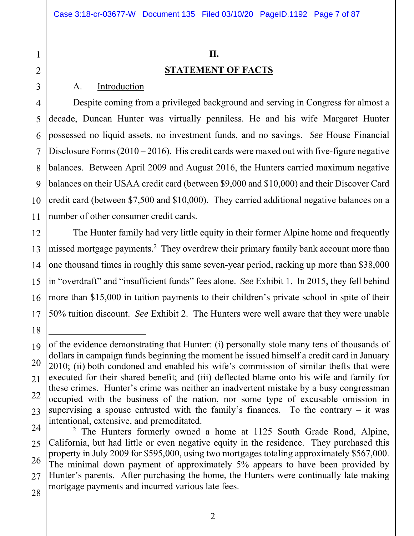#### **II.**

#### **STATEMENT OF FACTS**

#### A. Introduction

4 5 6 7 8 9 10 11 Despite coming from a privileged background and serving in Congress for almost a decade, Duncan Hunter was virtually penniless. He and his wife Margaret Hunter possessed no liquid assets, no investment funds, and no savings. *See* House Financial Disclosure Forms  $(2010 - 2016)$ . His credit cards were maxed out with five-figure negative balances. Between April 2009 and August 2016, the Hunters carried maximum negative balances on their USAA credit card (between \$9,000 and \$10,000) and their Discover Card credit card (between \$7,500 and \$10,000). They carried additional negative balances on a number of other consumer credit cards.

12 13 14 15 16 17 The Hunter family had very little equity in their former Alpine home and frequently missed mortgage payments.<sup>2</sup> They overdrew their primary family bank account more than one thousand times in roughly this same seven-year period, racking up more than \$38,000 in "overdraft" and "insufficient funds" fees alone. *See* Exhibit 1. In 2015, they fell behind more than \$15,000 in tuition payments to their children's private school in spite of their 50% tuition discount. *See* Exhibit 2. The Hunters were well aware that they were unable

 $\overline{a}$ 

1

2

<sup>19</sup>  20 21 22 23 of the evidence demonstrating that Hunter: (i) personally stole many tens of thousands of dollars in campaign funds beginning the moment he issued himself a credit card in January 2010; (ii) both condoned and enabled his wife's commission of similar thefts that were executed for their shared benefit; and (iii) deflected blame onto his wife and family for these crimes. Hunter's crime was neither an inadvertent mistake by a busy congressman occupied with the business of the nation, nor some type of excusable omission in supervising a spouse entrusted with the family's finances. To the contrary  $-$  it was intentional, extensive, and premeditated.

<sup>24</sup>  25 26 27 28 <sup>2</sup> The Hunters formerly owned a home at 1125 South Grade Road, Alpine, California, but had little or even negative equity in the residence. They purchased this property in July 2009 for \$595,000, using two mortgages totaling approximately \$567,000. The minimal down payment of approximately 5% appears to have been provided by Hunter's parents. After purchasing the home, the Hunters were continually late making mortgage payments and incurred various late fees.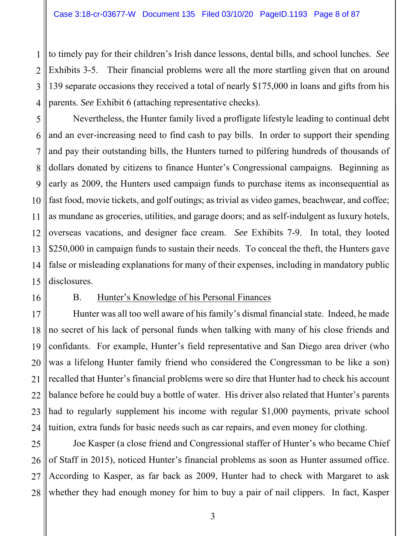2 3 4 to timely pay for their children's Irish dance lessons, dental bills, and school lunches. *See* Exhibits 3-5. Their financial problems were all the more startling given that on around 139 separate occasions they received a total of nearly \$175,000 in loans and gifts from his parents. *See* Exhibit 6 (attaching representative checks).

5 6 7 8 9 10 11 12 13 14 15 Nevertheless, the Hunter family lived a profligate lifestyle leading to continual debt and an ever-increasing need to find cash to pay bills. In order to support their spending and pay their outstanding bills, the Hunters turned to pilfering hundreds of thousands of dollars donated by citizens to finance Hunter's Congressional campaigns. Beginning as early as 2009, the Hunters used campaign funds to purchase items as inconsequential as fast food, movie tickets, and golf outings; as trivial as video games, beachwear, and coffee; as mundane as groceries, utilities, and garage doors; and as self-indulgent as luxury hotels, overseas vacations, and designer face cream. *See* Exhibits 7-9. In total, they looted \$250,000 in campaign funds to sustain their needs. To conceal the theft, the Hunters gave false or misleading explanations for many of their expenses, including in mandatory public disclosures.

16

1

#### B. Hunter's Knowledge of his Personal Finances

17 18 19 20 21 22 23 24 Hunter was all too well aware of his family's dismal financial state. Indeed, he made no secret of his lack of personal funds when talking with many of his close friends and confidants. For example, Hunter's field representative and San Diego area driver (who was a lifelong Hunter family friend who considered the Congressman to be like a son) recalled that Hunter's financial problems were so dire that Hunter had to check his account balance before he could buy a bottle of water. His driver also related that Hunter's parents had to regularly supplement his income with regular \$1,000 payments, private school tuition, extra funds for basic needs such as car repairs, and even money for clothing.

25 26 27 28 Joe Kasper (a close friend and Congressional staffer of Hunter's who became Chief of Staff in 2015), noticed Hunter's financial problems as soon as Hunter assumed office. According to Kasper, as far back as 2009, Hunter had to check with Margaret to ask whether they had enough money for him to buy a pair of nail clippers. In fact, Kasper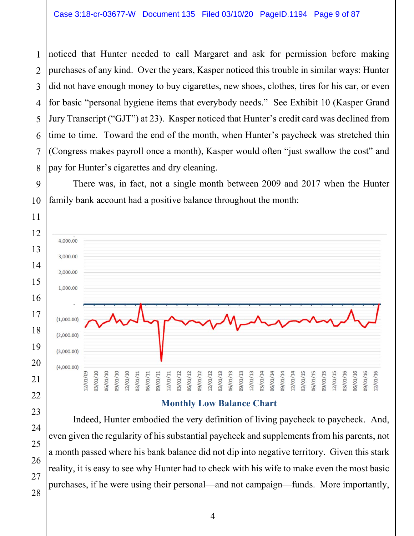noticed that Hunter needed to call Margaret and ask for permission before making purchases of any kind. Over the years, Kasper noticed this trouble in similar ways: Hunter did not have enough money to buy cigarettes, new shoes, clothes, tires for his car, or even for basic "personal hygiene items that everybody needs." See Exhibit 10 (Kasper Grand Jury Transcript ("GJT") at 23). Kasper noticed that Hunter's credit card was declined from time to time. Toward the end of the month, when Hunter's paycheck was stretched thin (Congress makes payroll once a month), Kasper would often "just swallow the cost" and pay for Hunter's cigarettes and dry cleaning.

There was, in fact, not a single month between 2009 and 2017 when the Hunter family bank account had a positive balance throughout the month:



#### **Monthly Low Balance Chart**

Indeed, Hunter embodied the very definition of living paycheck to paycheck. And, even given the regularity of his substantial paycheck and supplements from his parents, not a month passed where his bank balance did not dip into negative territory. Given this stark reality, it is easy to see why Hunter had to check with his wife to make even the most basic purchases, if he were using their personal—and not campaign—funds. More importantly,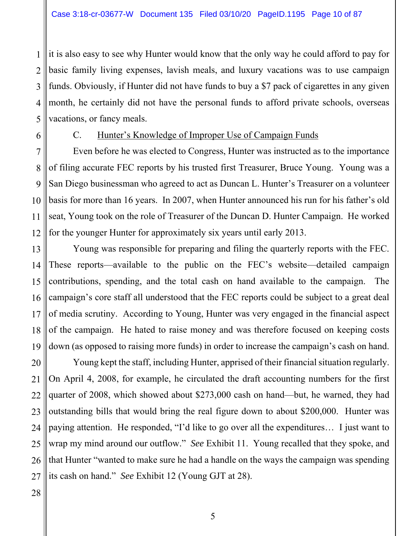2 3 4 5 it is also easy to see why Hunter would know that the only way he could afford to pay for basic family living expenses, lavish meals, and luxury vacations was to use campaign funds. Obviously, if Hunter did not have funds to buy a \$7 pack of cigarettes in any given month, he certainly did not have the personal funds to afford private schools, overseas vacations, or fancy meals.

6

1

### C. Hunter's Knowledge of Improper Use of Campaign Funds

7 8 9 10 11 12 Even before he was elected to Congress, Hunter was instructed as to the importance of filing accurate FEC reports by his trusted first Treasurer, Bruce Young. Young was a San Diego businessman who agreed to act as Duncan L. Hunter's Treasurer on a volunteer basis for more than 16 years. In 2007, when Hunter announced his run for his father's old seat, Young took on the role of Treasurer of the Duncan D. Hunter Campaign. He worked for the younger Hunter for approximately six years until early 2013.

13 14 15 16 17 18 19 Young was responsible for preparing and filing the quarterly reports with the FEC. These reports—available to the public on the FEC's website—detailed campaign contributions, spending, and the total cash on hand available to the campaign. The campaign's core staff all understood that the FEC reports could be subject to a great deal of media scrutiny. According to Young, Hunter was very engaged in the financial aspect of the campaign. He hated to raise money and was therefore focused on keeping costs down (as opposed to raising more funds) in order to increase the campaign's cash on hand.

20 21 22 23 24 25 26 27 Young kept the staff, including Hunter, apprised of their financial situation regularly. On April 4, 2008, for example, he circulated the draft accounting numbers for the first quarter of 2008, which showed about \$273,000 cash on hand—but, he warned, they had outstanding bills that would bring the real figure down to about \$200,000. Hunter was paying attention. He responded, "I'd like to go over all the expenditures… I just want to wrap my mind around our outflow." *See* Exhibit 11. Young recalled that they spoke, and that Hunter "wanted to make sure he had a handle on the ways the campaign was spending its cash on hand." *See* Exhibit 12 (Young GJT at 28).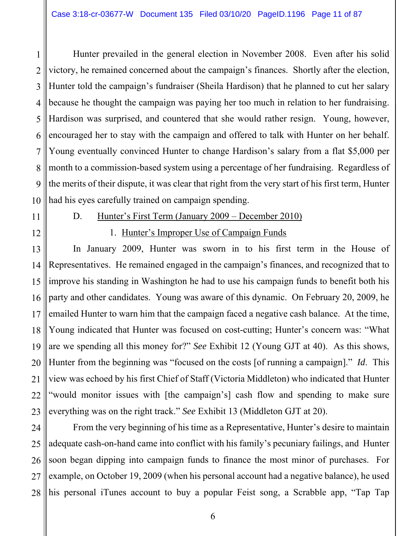1 2 3 4 5 6 7 8 9 10 Hunter prevailed in the general election in November 2008. Even after his solid victory, he remained concerned about the campaign's finances. Shortly after the election, Hunter told the campaign's fundraiser (Sheila Hardison) that he planned to cut her salary because he thought the campaign was paying her too much in relation to her fundraising. Hardison was surprised, and countered that she would rather resign. Young, however, encouraged her to stay with the campaign and offered to talk with Hunter on her behalf. Young eventually convinced Hunter to change Hardison's salary from a flat \$5,000 per month to a commission-based system using a percentage of her fundraising. Regardless of the merits of their dispute, it was clear that right from the very start of his first term, Hunter had his eyes carefully trained on campaign spending.

11

12

#### D. Hunter's First Term (January 2009 – December 2010)

#### 1. Hunter's Improper Use of Campaign Funds

13 14 15 16 17 18 19 20 21 22 23 In January 2009, Hunter was sworn in to his first term in the House of Representatives. He remained engaged in the campaign's finances, and recognized that to improve his standing in Washington he had to use his campaign funds to benefit both his party and other candidates. Young was aware of this dynamic. On February 20, 2009, he emailed Hunter to warn him that the campaign faced a negative cash balance. At the time, Young indicated that Hunter was focused on cost-cutting; Hunter's concern was: "What are we spending all this money for?" *See* Exhibit 12 (Young GJT at 40). As this shows, Hunter from the beginning was "focused on the costs [of running a campaign]." *Id*. This view was echoed by his first Chief of Staff (Victoria Middleton) who indicated that Hunter "would monitor issues with [the campaign's] cash flow and spending to make sure everything was on the right track." *See* Exhibit 13 (Middleton GJT at 20).

24 25 26 27 28 From the very beginning of his time as a Representative, Hunter's desire to maintain adequate cash-on-hand came into conflict with his family's pecuniary failings, and Hunter soon began dipping into campaign funds to finance the most minor of purchases. For example, on October 19, 2009 (when his personal account had a negative balance), he used his personal iTunes account to buy a popular Feist song, a Scrabble app, "Tap Tap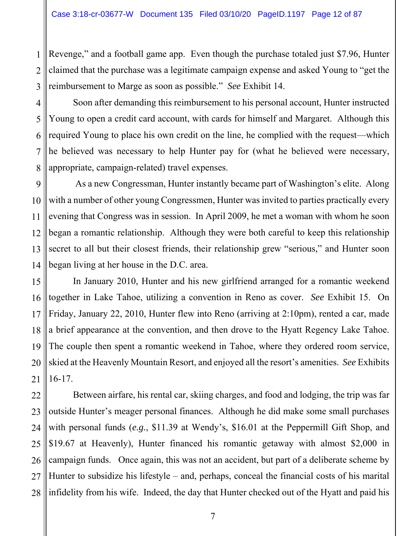1 2 3 Revenge," and a football game app. Even though the purchase totaled just \$7.96, Hunter claimed that the purchase was a legitimate campaign expense and asked Young to "get the reimbursement to Marge as soon as possible." *See* Exhibit 14.

4 5 6 7 8 Soon after demanding this reimbursement to his personal account, Hunter instructed Young to open a credit card account, with cards for himself and Margaret. Although this required Young to place his own credit on the line, he complied with the request—which he believed was necessary to help Hunter pay for (what he believed were necessary, appropriate, campaign-related) travel expenses.

9 10 11 12 13 14 As a new Congressman, Hunter instantly became part of Washington's elite. Along with a number of other young Congressmen, Hunter was invited to parties practically every evening that Congress was in session. In April 2009, he met a woman with whom he soon began a romantic relationship. Although they were both careful to keep this relationship secret to all but their closest friends, their relationship grew "serious," and Hunter soon began living at her house in the D.C. area.

15 16 17 18 19 20 21 In January 2010, Hunter and his new girlfriend arranged for a romantic weekend together in Lake Tahoe, utilizing a convention in Reno as cover. *See* Exhibit 15. On Friday, January 22, 2010, Hunter flew into Reno (arriving at 2:10pm), rented a car, made a brief appearance at the convention, and then drove to the Hyatt Regency Lake Tahoe. The couple then spent a romantic weekend in Tahoe, where they ordered room service, skied at the Heavenly Mountain Resort, and enjoyed all the resort's amenities. *See* Exhibits 16-17.

22 23 24 25 26 27 28 Between airfare, his rental car, skiing charges, and food and lodging, the trip was far outside Hunter's meager personal finances. Although he did make some small purchases with personal funds (*e.g.*, \$11.39 at Wendy's, \$16.01 at the Peppermill Gift Shop, and \$19.67 at Heavenly), Hunter financed his romantic getaway with almost \$2,000 in campaign funds. Once again, this was not an accident, but part of a deliberate scheme by Hunter to subsidize his lifestyle – and, perhaps, conceal the financial costs of his marital infidelity from his wife. Indeed, the day that Hunter checked out of the Hyatt and paid his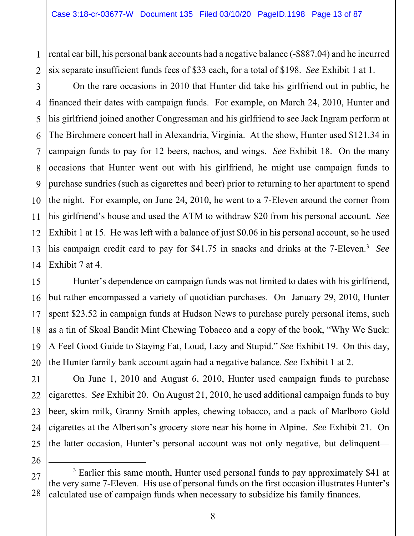1 2 rental car bill, his personal bank accounts had a negative balance (-\$887.04) and he incurred six separate insufficient funds fees of \$33 each, for a total of \$198. *See* Exhibit 1 at 1.

3 4 5 6 7 8 9 10 11 12 13 14 On the rare occasions in 2010 that Hunter did take his girlfriend out in public, he financed their dates with campaign funds. For example, on March 24, 2010, Hunter and his girlfriend joined another Congressman and his girlfriend to see Jack Ingram perform at The Birchmere concert hall in Alexandria, Virginia. At the show, Hunter used \$121.34 in campaign funds to pay for 12 beers, nachos, and wings. *See* Exhibit 18. On the many occasions that Hunter went out with his girlfriend, he might use campaign funds to purchase sundries (such as cigarettes and beer) prior to returning to her apartment to spend the night. For example, on June 24, 2010, he went to a 7-Eleven around the corner from his girlfriend's house and used the ATM to withdraw \$20 from his personal account. *See* Exhibit 1 at 15. He was left with a balance of just \$0.06 in his personal account, so he used his campaign credit card to pay for \$41.75 in snacks and drinks at the 7-Eleven.3 *See* Exhibit 7 at 4.

15 16 17 18 19 20 Hunter's dependence on campaign funds was not limited to dates with his girlfriend, but rather encompassed a variety of quotidian purchases. On January 29, 2010, Hunter spent \$23.52 in campaign funds at Hudson News to purchase purely personal items, such as a tin of Skoal Bandit Mint Chewing Tobacco and a copy of the book, "Why We Suck: A Feel Good Guide to Staying Fat, Loud, Lazy and Stupid." *See* Exhibit 19. On this day, the Hunter family bank account again had a negative balance. *See* Exhibit 1 at 2.

21 22 23 24 25 On June 1, 2010 and August 6, 2010, Hunter used campaign funds to purchase cigarettes. *See* Exhibit 20. On August 21, 2010, he used additional campaign funds to buy beer, skim milk, Granny Smith apples, chewing tobacco, and a pack of Marlboro Gold cigarettes at the Albertson's grocery store near his home in Alpine. *See* Exhibit 21. On the latter occasion, Hunter's personal account was not only negative, but delinquent—

<sup>27</sup>  28  $\frac{1}{3}$ <sup>3</sup> Earlier this same month, Hunter used personal funds to pay approximately \$41 at the very same 7-Eleven. His use of personal funds on the first occasion illustrates Hunter's calculated use of campaign funds when necessary to subsidize his family finances.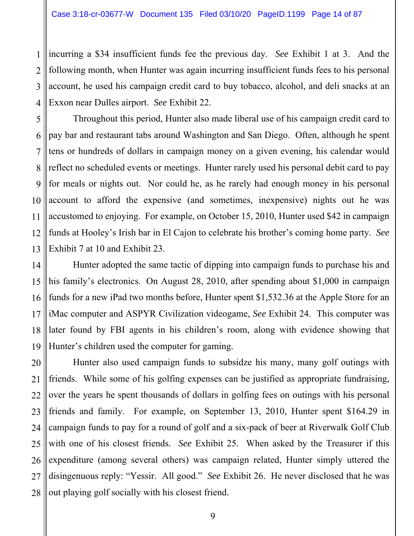1

3

2 4 incurring a \$34 insufficient funds fee the previous day. *See* Exhibit 1 at 3. And the following month, when Hunter was again incurring insufficient funds fees to his personal account, he used his campaign credit card to buy tobacco, alcohol, and deli snacks at an Exxon near Dulles airport. *See* Exhibit 22.

5 6 7 8 9 10 11 12 13 Throughout this period, Hunter also made liberal use of his campaign credit card to pay bar and restaurant tabs around Washington and San Diego. Often, although he spent tens or hundreds of dollars in campaign money on a given evening, his calendar would reflect no scheduled events or meetings. Hunter rarely used his personal debit card to pay for meals or nights out. Nor could he, as he rarely had enough money in his personal account to afford the expensive (and sometimes, inexpensive) nights out he was accustomed to enjoying. For example, on October 15, 2010, Hunter used \$42 in campaign funds at Hooley's Irish bar in El Cajon to celebrate his brother's coming home party. *See* Exhibit 7 at 10 and Exhibit 23.

14 15 16 17 18 19 Hunter adopted the same tactic of dipping into campaign funds to purchase his and his family's electronics. On August 28, 2010, after spending about \$1,000 in campaign funds for a new iPad two months before, Hunter spent \$1,532.36 at the Apple Store for an iMac computer and ASPYR Civilization videogame, *See* Exhibit 24. This computer was later found by FBI agents in his children's room, along with evidence showing that Hunter's children used the computer for gaming.

20 21 22 23 24 25 26 27 28 Hunter also used campaign funds to subsidze his many, many golf outings with friends. While some of his golfing expenses can be justified as appropriate fundraising, over the years he spent thousands of dollars in golfing fees on outings with his personal friends and family. For example, on September 13, 2010, Hunter spent \$164.29 in campaign funds to pay for a round of golf and a six-pack of beer at Riverwalk Golf Club with one of his closest friends. *See* Exhibit 25. When asked by the Treasurer if this expenditure (among several others) was campaign related, Hunter simply uttered the disingenuous reply: "Yessir. All good." *See* Exhibit 26. He never disclosed that he was out playing golf socially with his closest friend.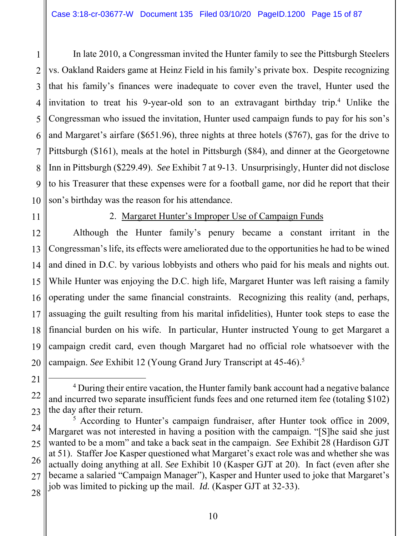1 2 3 4 5 6 7 8 9 10 In late 2010, a Congressman invited the Hunter family to see the Pittsburgh Steelers vs. Oakland Raiders game at Heinz Field in his family's private box. Despite recognizing that his family's finances were inadequate to cover even the travel, Hunter used the invitation to treat his 9-year-old son to an extravagant birthday trip.<sup>4</sup> Unlike the Congressman who issued the invitation, Hunter used campaign funds to pay for his son's and Margaret's airfare (\$651.96), three nights at three hotels (\$767), gas for the drive to Pittsburgh (\$161), meals at the hotel in Pittsburgh (\$84), and dinner at the Georgetowne Inn in Pittsburgh (\$229.49). *See* Exhibit 7 at 9-13. Unsurprisingly, Hunter did not disclose to his Treasurer that these expenses were for a football game, nor did he report that their son's birthday was the reason for his attendance.

11

#### 2. Margaret Hunter's Improper Use of Campaign Funds

12 13 14 15 16 17 18 19 20 Although the Hunter family's penury became a constant irritant in the Congressman's life, its effects were ameliorated due to the opportunities he had to be wined and dined in D.C. by various lobbyists and others who paid for his meals and nights out. While Hunter was enjoying the D.C. high life, Margaret Hunter was left raising a family operating under the same financial constraints. Recognizing this reality (and, perhaps, assuaging the guilt resulting from his marital infidelities), Hunter took steps to ease the financial burden on his wife. In particular, Hunter instructed Young to get Margaret a campaign credit card, even though Margaret had no official role whatsoever with the campaign. *See* Exhibit 12 (Young Grand Jury Transcript at 45-46).5

<sup>21</sup>  22 23  $\overline{4}$ <sup>4</sup> During their entire vacation, the Hunter family bank account had a negative balance and incurred two separate insufficient funds fees and one returned item fee (totaling \$102) the day after their return.

<sup>24</sup>  25 26 27 <sup>5</sup> According to Hunter's campaign fundraiser, after Hunter took office in 2009, Margaret was not interested in having a position with the campaign. "[S]he said she just wanted to be a mom" and take a back seat in the campaign. *See* Exhibit 28 (Hardison GJT at 51). Staffer Joe Kasper questioned what Margaret's exact role was and whether she was actually doing anything at all. *See* Exhibit 10 (Kasper GJT at 20). In fact (even after she became a salaried "Campaign Manager"), Kasper and Hunter used to joke that Margaret's job was limited to picking up the mail. *Id.* (Kasper GJT at 32-33).

<sup>28</sup>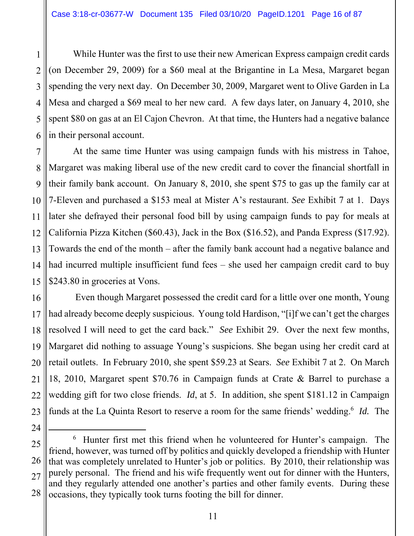1 2 3 4 5 6 While Hunter was the first to use their new American Express campaign credit cards (on December 29, 2009) for a \$60 meal at the Brigantine in La Mesa, Margaret began spending the very next day. On December 30, 2009, Margaret went to Olive Garden in La Mesa and charged a \$69 meal to her new card. A few days later, on January 4, 2010, she spent \$80 on gas at an El Cajon Chevron. At that time, the Hunters had a negative balance in their personal account.

7 8 9 10 11 12 13 14 15 At the same time Hunter was using campaign funds with his mistress in Tahoe, Margaret was making liberal use of the new credit card to cover the financial shortfall in their family bank account. On January 8, 2010, she spent \$75 to gas up the family car at 7-Eleven and purchased a \$153 meal at Mister A's restaurant. *See* Exhibit 7 at 1. Days later she defrayed their personal food bill by using campaign funds to pay for meals at California Pizza Kitchen (\$60.43), Jack in the Box (\$16.52), and Panda Express (\$17.92). Towards the end of the month – after the family bank account had a negative balance and had incurred multiple insufficient fund fees – she used her campaign credit card to buy \$243.80 in groceries at Vons.

16 17 18 19 20 21 22 23 Even though Margaret possessed the credit card for a little over one month, Young had already become deeply suspicious. Young told Hardison, "[i]f we can't get the charges resolved I will need to get the card back." *See* Exhibit 29. Over the next few months, Margaret did nothing to assuage Young's suspicions. She began using her credit card at retail outlets. In February 2010, she spent \$59.23 at Sears. *See* Exhibit 7 at 2. On March 18, 2010, Margaret spent \$70.76 in Campaign funds at Crate & Barrel to purchase a wedding gift for two close friends. *Id*, at 5. In addition, she spent \$181.12 in Campaign funds at the La Quinta Resort to reserve a room for the same friends' wedding.<sup>6</sup> *Id.* The

<sup>25</sup>  26 27 28 6  $6$  Hunter first met this friend when he volunteered for Hunter's campaign. The friend, however, was turned off by politics and quickly developed a friendship with Hunter that was completely unrelated to Hunter's job or politics. By 2010, their relationship was purely personal. The friend and his wife frequently went out for dinner with the Hunters, and they regularly attended one another's parties and other family events. During these occasions, they typically took turns footing the bill for dinner.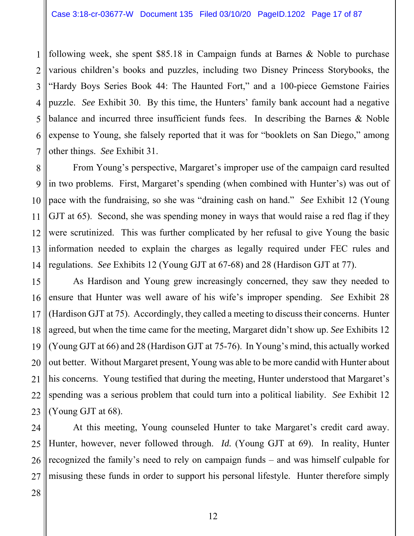1 2 3 4 5 6 7 following week, she spent \$85.18 in Campaign funds at Barnes & Noble to purchase various children's books and puzzles, including two Disney Princess Storybooks, the "Hardy Boys Series Book 44: The Haunted Fort," and a 100-piece Gemstone Fairies puzzle. *See* Exhibit 30. By this time, the Hunters' family bank account had a negative balance and incurred three insufficient funds fees. In describing the Barnes & Noble expense to Young, she falsely reported that it was for "booklets on San Diego," among other things. *See* Exhibit 31.

8 9 10 11 12 13 14 From Young's perspective, Margaret's improper use of the campaign card resulted in two problems. First, Margaret's spending (when combined with Hunter's) was out of pace with the fundraising, so she was "draining cash on hand." *See* Exhibit 12 (Young GJT at 65). Second, she was spending money in ways that would raise a red flag if they were scrutinized. This was further complicated by her refusal to give Young the basic information needed to explain the charges as legally required under FEC rules and regulations. *See* Exhibits 12 (Young GJT at 67-68) and 28 (Hardison GJT at 77).

15 16 17 18 19 20 21 22 23 As Hardison and Young grew increasingly concerned, they saw they needed to ensure that Hunter was well aware of his wife's improper spending. *See* Exhibit 28 (Hardison GJT at 75). Accordingly, they called a meeting to discuss their concerns. Hunter agreed, but when the time came for the meeting, Margaret didn't show up. *See* Exhibits 12 (Young GJT at 66) and 28 (Hardison GJT at 75-76). In Young's mind, this actually worked out better. Without Margaret present, Young was able to be more candid with Hunter about his concerns. Young testified that during the meeting, Hunter understood that Margaret's spending was a serious problem that could turn into a political liability. *See* Exhibit 12 (Young GJT at 68).

24 25 26 27 At this meeting, Young counseled Hunter to take Margaret's credit card away. Hunter, however, never followed through. *Id.* (Young GJT at 69). In reality, Hunter recognized the family's need to rely on campaign funds – and was himself culpable for misusing these funds in order to support his personal lifestyle. Hunter therefore simply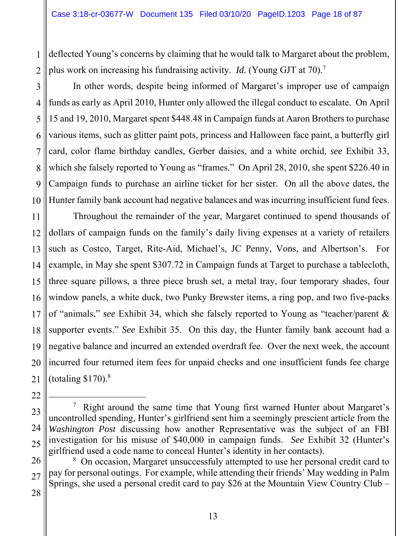1 2 deflected Young's concerns by claiming that he would talk to Margaret about the problem, plus work on increasing his fundraising activity. *Id.* (Young GJT at 70).7

10 In other words, despite being informed of Margaret's improper use of campaign funds as early as April 2010, Hunter only allowed the illegal conduct to escalate. On April 15 and 19, 2010, Margaret spent \$448.48 in Campaign funds at Aaron Brothers to purchase various items, such as glitter paint pots, princess and Halloween face paint, a butterfly girl card, color flame birthday candles, Gerber daisies, and a white orchid, *see* Exhibit 33, which she falsely reported to Young as "frames." On April 28, 2010, she spent \$226.40 in Campaign funds to purchase an airline ticket for her sister. On all the above dates, the Hunter family bank account had negative balances and was incurring insufficient fund fees.

11 12 13 14 15 16 17 18 19 20 21 Throughout the remainder of the year, Margaret continued to spend thousands of dollars of campaign funds on the family's daily living expenses at a variety of retailers such as Costco, Target, Rite-Aid, Michael's, JC Penny, Vons, and Albertson's. For example, in May she spent \$307.72 in Campaign funds at Target to purchase a tablecloth, three square pillows, a three piece brush set, a metal tray, four temporary shades, four window panels, a white duck, two Punky Brewster items, a ring pop, and two five-packs of "animals," *see* Exhibit 34, which she falsely reported to Young as "teacher/parent & supporter events." *See* Exhibit 35. On this day, the Hunter family bank account had a negative balance and incurred an extended overdraft fee. Over the next week, the account incurred four returned item fees for unpaid checks and one insufficient funds fee charge (totaling  $$170$ ).<sup>8</sup>

 $\overline{7}$ <sup>7</sup> Right around the same time that Young first warned Hunter about Margaret's uncontrolled spending, Hunter's girlfriend sent him a seemingly prescient article from the *Washington Post* discussing how another Representative was the subject of an FBI investigation for his misuse of \$40,000 in campaign funds. *See* Exhibit 32 (Hunter's girlfriend used a code name to conceal Hunter's identity in her contacts).

26 27 <sup>8</sup> On occasion, Margaret unsuccessfuly attempted to use her personal credit card to pay for personal outings. For example, while attending their friends' May wedding in Palm Springs, she used a personal credit card to pay \$26 at the Mountain View Country Club –

22

23

24

25

3

4

5

6

7

8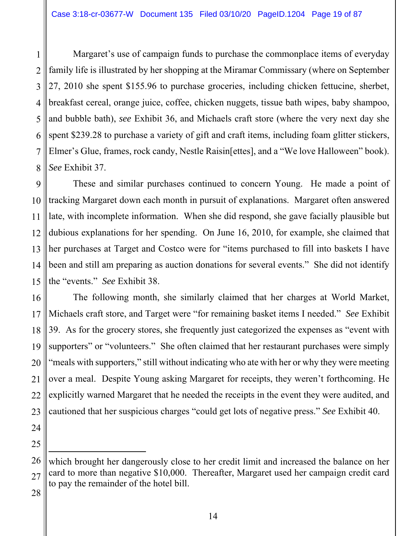1 2 3 4 5 6 7 8 Margaret's use of campaign funds to purchase the commonplace items of everyday family life is illustrated by her shopping at the Miramar Commissary (where on September 27, 2010 she spent \$155.96 to purchase groceries, including chicken fettucine, sherbet, breakfast cereal, orange juice, coffee, chicken nuggets, tissue bath wipes, baby shampoo, and bubble bath), *see* Exhibit 36, and Michaels craft store (where the very next day she spent \$239.28 to purchase a variety of gift and craft items, including foam glitter stickers, Elmer's Glue, frames, rock candy, Nestle Raisin[ettes], and a "We love Halloween" book). *See* Exhibit 37.

9 10 11 12 13 14 15 These and similar purchases continued to concern Young. He made a point of tracking Margaret down each month in pursuit of explanations. Margaret often answered late, with incomplete information. When she did respond, she gave facially plausible but dubious explanations for her spending. On June 16, 2010, for example, she claimed that her purchases at Target and Costco were for "items purchased to fill into baskets I have been and still am preparing as auction donations for several events." She did not identify the "events." *See* Exhibit 38.

16 17 18 19 20 21 22 The following month, she similarly claimed that her charges at World Market, Michaels craft store, and Target were "for remaining basket items I needed." *See* Exhibit 39. As for the grocery stores, she frequently just categorized the expenses as "event with supporters" or "volunteers." She often claimed that her restaurant purchases were simply "meals with supporters," still without indicating who ate with her or why they were meeting over a meal. Despite Young asking Margaret for receipts, they weren't forthcoming. He explicitly warned Margaret that he needed the receipts in the event they were audited, and cautioned that her suspicious charges "could get lots of negative press." *See* Exhibit 40.

-

which brought her dangerously close to her credit limit and increased the balance on her card to more than negative \$10,000. Thereafter, Margaret used her campaign credit card to pay the remainder of the hotel bill.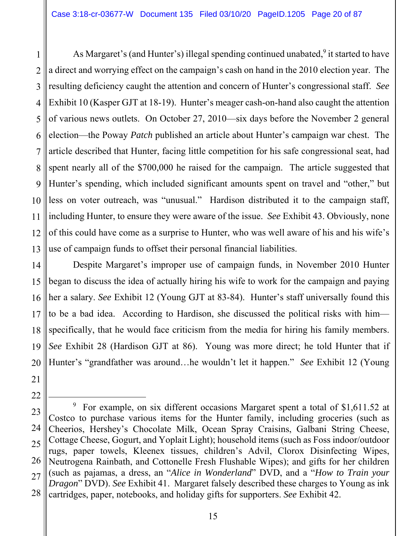1 2 3 4 5 6 7 8 9 10 11 12 13 As Margaret's (and Hunter's) illegal spending continued unabated,<sup>9</sup> it started to have a direct and worrying effect on the campaign's cash on hand in the 2010 election year. The resulting deficiency caught the attention and concern of Hunter's congressional staff. *See* Exhibit 10 (Kasper GJT at 18-19). Hunter's meager cash-on-hand also caught the attention of various news outlets. On October 27, 2010—six days before the November 2 general election—the Poway *Patch* published an article about Hunter's campaign war chest. The article described that Hunter, facing little competition for his safe congressional seat, had spent nearly all of the \$700,000 he raised for the campaign. The article suggested that Hunter's spending, which included significant amounts spent on travel and "other," but less on voter outreach, was "unusual." Hardison distributed it to the campaign staff, including Hunter, to ensure they were aware of the issue. *See* Exhibit 43. Obviously, none of this could have come as a surprise to Hunter, who was well aware of his and his wife's use of campaign funds to offset their personal financial liabilities.

14 15 16 17 18 19 20 Despite Margaret's improper use of campaign funds, in November 2010 Hunter began to discuss the idea of actually hiring his wife to work for the campaign and paying her a salary. *See* Exhibit 12 (Young GJT at 83-84). Hunter's staff universally found this to be a bad idea. According to Hardison, she discussed the political risks with him specifically, that he would face criticism from the media for hiring his family members. *See* Exhibit 28 (Hardison GJT at 86). Young was more direct; he told Hunter that if Hunter's "grandfather was around…he wouldn't let it happen." *See* Exhibit 12 (Young

<sup>23</sup>  24 25 26 27 28 9  $9$  For example, on six different occasions Margaret spent a total of \$1,611.52 at Costco to purchase various items for the Hunter family, including groceries (such as Cheerios, Hershey's Chocolate Milk, Ocean Spray Craisins, Galbani String Cheese, Cottage Cheese, Gogurt, and Yoplait Light); household items (such as Foss indoor/outdoor rugs, paper towels, Kleenex tissues, children's Advil, Clorox Disinfecting Wipes, Neutrogena Rainbath, and Cottonelle Fresh Flushable Wipes); and gifts for her children (such as pajamas, a dress, an "*Alice in Wonderland*" DVD, and a "*How to Train your Dragon*" DVD). *See* Exhibit 41. Margaret falsely described these charges to Young as ink cartridges, paper, notebooks, and holiday gifts for supporters. *See* Exhibit 42.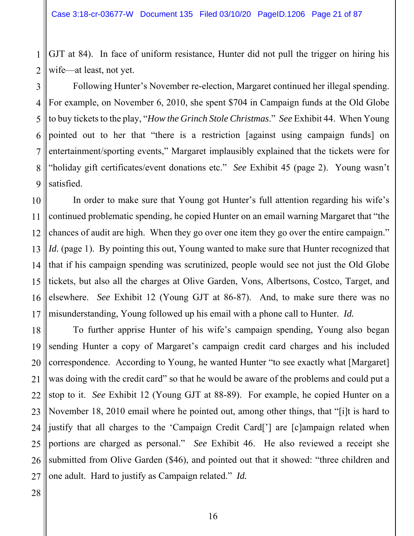1 2 GJT at 84). In face of uniform resistance, Hunter did not pull the trigger on hiring his wife—at least, not yet.

3 4 5 6 7 8 9 Following Hunter's November re-election, Margaret continued her illegal spending. For example, on November 6, 2010, she spent \$704 in Campaign funds at the Old Globe to buy tickets to the play, "*How the Grinch Stole Christmas*." *See* Exhibit 44. When Young pointed out to her that "there is a restriction [against using campaign funds] on entertainment/sporting events," Margaret implausibly explained that the tickets were for "holiday gift certificates/event donations etc." *See* Exhibit 45 (page 2). Young wasn't satisfied.

10 11 12 13 14 15 16 17 In order to make sure that Young got Hunter's full attention regarding his wife's continued problematic spending, he copied Hunter on an email warning Margaret that "the chances of audit are high. When they go over one item they go over the entire campaign." *Id.* (page 1). By pointing this out, Young wanted to make sure that Hunter recognized that that if his campaign spending was scrutinized, people would see not just the Old Globe tickets, but also all the charges at Olive Garden, Vons, Albertsons, Costco, Target, and elsewhere. *See* Exhibit 12 (Young GJT at 86-87). And, to make sure there was no misunderstanding, Young followed up his email with a phone call to Hunter. *Id.*

18 19 20 21 22 23 24 25 26 27 To further apprise Hunter of his wife's campaign spending, Young also began sending Hunter a copy of Margaret's campaign credit card charges and his included correspondence. According to Young, he wanted Hunter "to see exactly what [Margaret] was doing with the credit card" so that he would be aware of the problems and could put a stop to it. *See* Exhibit 12 (Young GJT at 88-89). For example, he copied Hunter on a November 18, 2010 email where he pointed out, among other things, that "[i]t is hard to justify that all charges to the 'Campaign Credit Card['] are [c]ampaign related when portions are charged as personal." *See* Exhibit 46. He also reviewed a receipt she submitted from Olive Garden (\$46), and pointed out that it showed: "three children and one adult. Hard to justify as Campaign related." *Id.*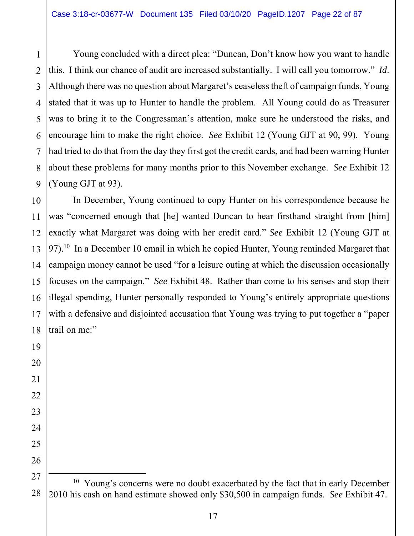2 3 4 5 6 7 8 9 Young concluded with a direct plea: "Duncan, Don't know how you want to handle this. I think our chance of audit are increased substantially. I will call you tomorrow." *Id*. Although there was no question about Margaret's ceaseless theft of campaign funds, Young stated that it was up to Hunter to handle the problem. All Young could do as Treasurer was to bring it to the Congressman's attention, make sure he understood the risks, and encourage him to make the right choice. *See* Exhibit 12 (Young GJT at 90, 99). Young had tried to do that from the day they first got the credit cards, and had been warning Hunter about these problems for many months prior to this November exchange. *See* Exhibit 12 (Young GJT at 93).

10 11 12 13 14 15 In December, Young continued to copy Hunter on his correspondence because he was "concerned enough that [he] wanted Duncan to hear firsthand straight from [him] exactly what Margaret was doing with her credit card." *See* Exhibit 12 (Young GJT at 97).<sup>10</sup> In a December 10 email in which he copied Hunter, Young reminded Margaret that campaign money cannot be used "for a leisure outing at which the discussion occasionally focuses on the campaign." *See* Exhibit 48. Rather than come to his senses and stop their illegal spending, Hunter personally responded to Young's entirely appropriate questions with a defensive and disjointed accusation that Young was trying to put together a "paper trail on me:"

<sup>16</sup>  17 18 19 20 21 22 23 24 25 26 27 28

<sup>&</sup>lt;sup>10</sup> Young's concerns were no doubt exacerbated by the fact that in early December 2010 his cash on hand estimate showed only \$30,500 in campaign funds. *See* Exhibit 47.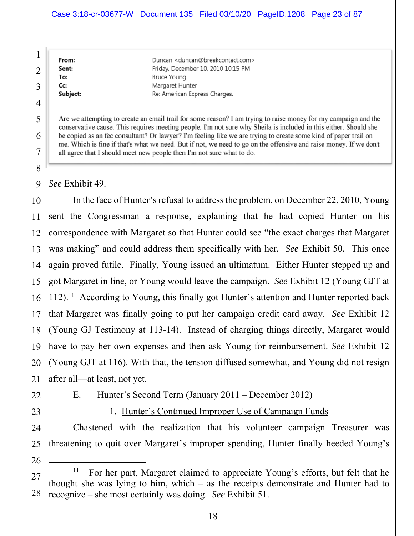#### Case 3:18-cr-03677-W Document 135 Filed 03/10/20 PageID.1208 Page 23 of 87

| From:    | Duncan <duncan@breakcontact.com></duncan@breakcontact.com> |
|----------|------------------------------------------------------------|
| Sent:    | Friday, December 10, 2010 10:15 PM                         |
| To:      | <b>Bruce Young</b>                                         |
| Cc:      | Margaret Hunter                                            |
| Subject: | Re: American Express Charges.                              |
|          |                                                            |

Are we attempting to create an email trail for some reason? I am trying to raise money for my campaign and the conservative cause. This requires meeting people. I'm not sure why Sheila is included in this either. Should she be copied as an fec consultant? Or lawyer? I'm feeling like we are trying to create some kind of paper trail on me. Which is fine if that's what we need. But if not, we need to go on the offensive and raise money. If we don't all agree that I should meet new people then I'm not sure what to do.

*See* Exhibit 49.

1

2

3

4

5

6

7

8

9

10 11 12 13 14 15 16 17 18 19 20 21 In the face of Hunter's refusal to address the problem, on December 22, 2010, Young sent the Congressman a response, explaining that he had copied Hunter on his correspondence with Margaret so that Hunter could see "the exact charges that Margaret was making" and could address them specifically with her. *See* Exhibit 50. This once again proved futile. Finally, Young issued an ultimatum. Either Hunter stepped up and got Margaret in line, or Young would leave the campaign. *See* Exhibit 12 (Young GJT at  $112$ ).<sup>11</sup> According to Young, this finally got Hunter's attention and Hunter reported back that Margaret was finally going to put her campaign credit card away. *See* Exhibit 12 (Young GJ Testimony at 113-14). Instead of charging things directly, Margaret would have to pay her own expenses and then ask Young for reimbursement. *See* Exhibit 12 (Young GJT at 116). With that, the tension diffused somewhat, and Young did not resign after all—at least, not yet.

22 23

#### E. Hunter's Second Term (January 2011 – December 2012)

1. Hunter's Continued Improper Use of Campaign Funds

24 25 Chastened with the realization that his volunteer campaign Treasurer was threatening to quit over Margaret's improper spending, Hunter finally heeded Young's

<sup>27</sup>  28 <sup>11</sup> For her part, Margaret claimed to appreciate Young's efforts, but felt that he thought she was lying to him, which – as the receipts demonstrate and Hunter had to recognize – she most certainly was doing. *See* Exhibit 51.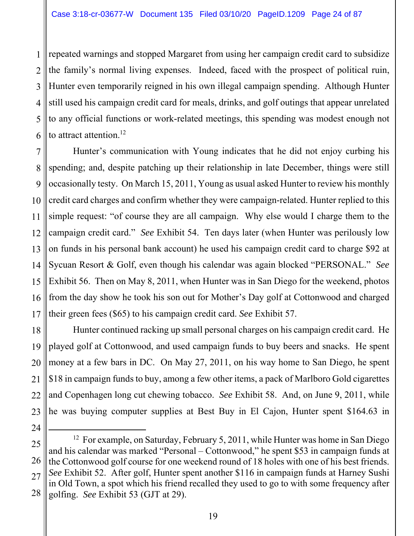1 2 3 4 5 6 repeated warnings and stopped Margaret from using her campaign credit card to subsidize the family's normal living expenses. Indeed, faced with the prospect of political ruin, Hunter even temporarily reigned in his own illegal campaign spending. Although Hunter still used his campaign credit card for meals, drinks, and golf outings that appear unrelated to any official functions or work-related meetings, this spending was modest enough not to attract attention.<sup>12</sup>

7 8 9 10 11 12 13 14 15 16 17 Hunter's communication with Young indicates that he did not enjoy curbing his spending; and, despite patching up their relationship in late December, things were still occasionally testy. On March 15, 2011, Young as usual asked Hunter to review his monthly credit card charges and confirm whether they were campaign-related. Hunter replied to this simple request: "of course they are all campaign. Why else would I charge them to the campaign credit card." *See* Exhibit 54. Ten days later (when Hunter was perilously low on funds in his personal bank account) he used his campaign credit card to charge \$92 at Sycuan Resort & Golf, even though his calendar was again blocked "PERSONAL." *See* Exhibit 56. Then on May 8, 2011, when Hunter was in San Diego for the weekend, photos from the day show he took his son out for Mother's Day golf at Cottonwood and charged their green fees (\$65) to his campaign credit card. *See* Exhibit 57.

18 19 20 21 22 23 Hunter continued racking up small personal charges on his campaign credit card. He played golf at Cottonwood, and used campaign funds to buy beers and snacks. He spent money at a few bars in DC. On May 27, 2011, on his way home to San Diego, he spent \$18 in campaign funds to buy, among a few other items, a pack of Marlboro Gold cigarettes and Copenhagen long cut chewing tobacco. *See* Exhibit 58. And, on June 9, 2011, while he was buying computer supplies at Best Buy in El Cajon, Hunter spent \$164.63 in

<sup>25</sup>  26 27 28 <sup>12</sup> For example, on Saturday, February 5, 2011, while Hunter was home in San Diego and his calendar was marked "Personal – Cottonwood," he spent \$53 in campaign funds at the Cottonwood golf course for one weekend round of 18 holes with one of his best friends. *See* Exhibit 52. After golf, Hunter spent another \$116 in campaign funds at Harney Sushi in Old Town, a spot which his friend recalled they used to go to with some frequency after golfing. *See* Exhibit 53 (GJT at 29).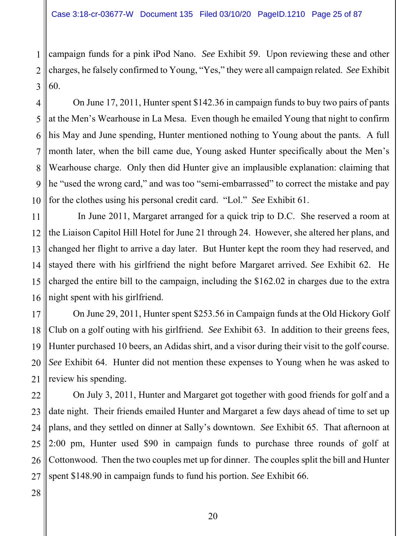1 2 3 campaign funds for a pink iPod Nano. *See* Exhibit 59. Upon reviewing these and other charges, he falsely confirmed to Young, "Yes," they were all campaign related. *See* Exhibit 60.

4 5 6 7 8 9 10 On June 17, 2011, Hunter spent \$142.36 in campaign funds to buy two pairs of pants at the Men's Wearhouse in La Mesa. Even though he emailed Young that night to confirm his May and June spending, Hunter mentioned nothing to Young about the pants. A full month later, when the bill came due, Young asked Hunter specifically about the Men's Wearhouse charge. Only then did Hunter give an implausible explanation: claiming that he "used the wrong card," and was too "semi-embarrassed" to correct the mistake and pay for the clothes using his personal credit card. "Lol." *See* Exhibit 61.

11 12 13 14 15 16 In June 2011, Margaret arranged for a quick trip to D.C. She reserved a room at the Liaison Capitol Hill Hotel for June 21 through 24. However, she altered her plans, and changed her flight to arrive a day later. But Hunter kept the room they had reserved, and stayed there with his girlfriend the night before Margaret arrived. *See* Exhibit 62. He charged the entire bill to the campaign, including the \$162.02 in charges due to the extra night spent with his girlfriend.

17 18 19 20 21 On June 29, 2011, Hunter spent \$253.56 in Campaign funds at the Old Hickory Golf Club on a golf outing with his girlfriend. *See* Exhibit 63. In addition to their greens fees, Hunter purchased 10 beers, an Adidas shirt, and a visor during their visit to the golf course. *See* Exhibit 64. Hunter did not mention these expenses to Young when he was asked to review his spending.

22 23 24 25 26 27 On July 3, 2011, Hunter and Margaret got together with good friends for golf and a date night. Their friends emailed Hunter and Margaret a few days ahead of time to set up plans, and they settled on dinner at Sally's downtown. *See* Exhibit 65. That afternoon at 2:00 pm, Hunter used \$90 in campaign funds to purchase three rounds of golf at Cottonwood. Then the two couples met up for dinner. The couples split the bill and Hunter spent \$148.90 in campaign funds to fund his portion. *See* Exhibit 66.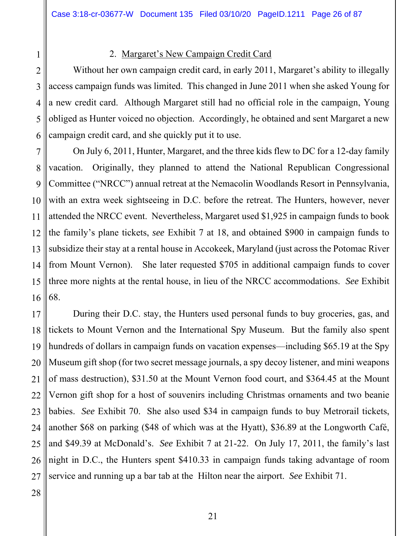1 2

#### 2. Margaret's New Campaign Credit Card

3 4 5 6 Without her own campaign credit card, in early 2011, Margaret's ability to illegally access campaign funds was limited. This changed in June 2011 when she asked Young for a new credit card. Although Margaret still had no official role in the campaign, Young obliged as Hunter voiced no objection. Accordingly, he obtained and sent Margaret a new campaign credit card, and she quickly put it to use.

7 8 9 10 11 12 13 14 15 16 On July 6, 2011, Hunter, Margaret, and the three kids flew to DC for a 12-day family vacation. Originally, they planned to attend the National Republican Congressional Committee ("NRCC") annual retreat at the Nemacolin Woodlands Resort in Pennsylvania, with an extra week sightseeing in D.C. before the retreat. The Hunters, however, never attended the NRCC event. Nevertheless, Margaret used \$1,925 in campaign funds to book the family's plane tickets, *see* Exhibit 7 at 18, and obtained \$900 in campaign funds to subsidize their stay at a rental house in Accokeek, Maryland (just across the Potomac River from Mount Vernon). She later requested \$705 in additional campaign funds to cover three more nights at the rental house, in lieu of the NRCC accommodations. *See* Exhibit 68.

17 18 19 20 21 22 23 24 25 26 27 During their D.C. stay, the Hunters used personal funds to buy groceries, gas, and tickets to Mount Vernon and the International Spy Museum. But the family also spent hundreds of dollars in campaign funds on vacation expenses—including \$65.19 at the Spy Museum gift shop (for two secret message journals, a spy decoy listener, and mini weapons of mass destruction), \$31.50 at the Mount Vernon food court, and \$364.45 at the Mount Vernon gift shop for a host of souvenirs including Christmas ornaments and two beanie babies. *See* Exhibit 70. She also used \$34 in campaign funds to buy Metrorail tickets, another \$68 on parking (\$48 of which was at the Hyatt), \$36.89 at the Longworth Café, and \$49.39 at McDonald's. *See* Exhibit 7 at 21-22. On July 17, 2011, the family's last night in D.C., the Hunters spent \$410.33 in campaign funds taking advantage of room service and running up a bar tab at the Hilton near the airport. *See* Exhibit 71.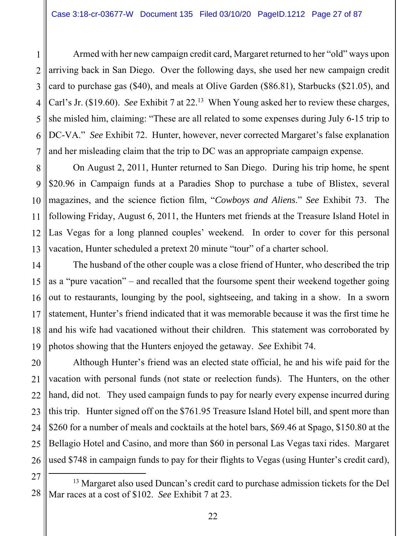1 2 3 4 5 6 7 Armed with her new campaign credit card, Margaret returned to her "old" ways upon arriving back in San Diego. Over the following days, she used her new campaign credit card to purchase gas (\$40), and meals at Olive Garden (\$86.81), Starbucks (\$21.05), and Carl's Jr. (\$19.60). *See* Exhibit 7 at 22.<sup>13</sup> When Young asked her to review these charges, she misled him, claiming: "These are all related to some expenses during July 6-15 trip to DC-VA." *See* Exhibit 72. Hunter, however, never corrected Margaret's false explanation and her misleading claim that the trip to DC was an appropriate campaign expense.

8 9 10 11 12 13 On August 2, 2011, Hunter returned to San Diego. During his trip home, he spent \$20.96 in Campaign funds at a Paradies Shop to purchase a tube of Blistex, several magazines, and the science fiction film, "*Cowboys and Aliens*." *See* Exhibit 73. The following Friday, August 6, 2011, the Hunters met friends at the Treasure Island Hotel in Las Vegas for a long planned couples' weekend. In order to cover for this personal vacation, Hunter scheduled a pretext 20 minute "tour" of a charter school.

14 15 16 17 18 19 The husband of the other couple was a close friend of Hunter, who described the trip as a "pure vacation" – and recalled that the foursome spent their weekend together going out to restaurants, lounging by the pool, sightseeing, and taking in a show. In a sworn statement, Hunter's friend indicated that it was memorable because it was the first time he and his wife had vacationed without their children. This statement was corroborated by photos showing that the Hunters enjoyed the getaway. *See* Exhibit 74.

20 21 22 23 24 25 26 Although Hunter's friend was an elected state official, he and his wife paid for the vacation with personal funds (not state or reelection funds). The Hunters, on the other hand, did not. They used campaign funds to pay for nearly every expense incurred during this trip. Hunter signed off on the \$761.95 Treasure Island Hotel bill, and spent more than \$260 for a number of meals and cocktails at the hotel bars, \$69.46 at Spago, \$150.80 at the Bellagio Hotel and Casino, and more than \$60 in personal Las Vegas taxi rides. Margaret used \$748 in campaign funds to pay for their flights to Vegas (using Hunter's credit card),

<sup>28</sup>  <sup>13</sup> Margaret also used Duncan's credit card to purchase admission tickets for the Del Mar races at a cost of \$102. *See* Exhibit 7 at 23.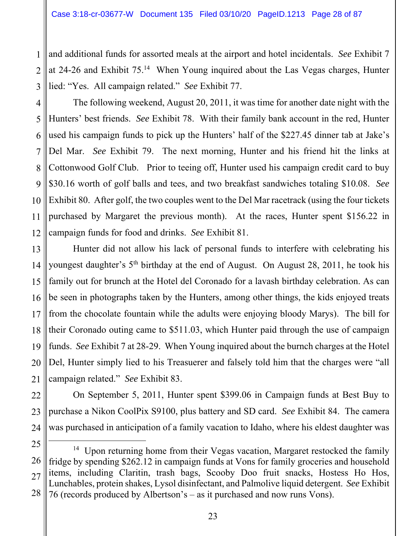1 2 3 and additional funds for assorted meals at the airport and hotel incidentals. *See* Exhibit 7 at 24-26 and Exhibit 75.14 When Young inquired about the Las Vegas charges, Hunter lied: "Yes. All campaign related." *See* Exhibit 77.

4 5 6 7 8 9 10 11 12 The following weekend, August 20, 2011, it was time for another date night with the Hunters' best friends. *See* Exhibit 78. With their family bank account in the red, Hunter used his campaign funds to pick up the Hunters' half of the \$227.45 dinner tab at Jake's Del Mar. *See* Exhibit 79. The next morning, Hunter and his friend hit the links at Cottonwood Golf Club. Prior to teeing off, Hunter used his campaign credit card to buy \$30.16 worth of golf balls and tees, and two breakfast sandwiches totaling \$10.08. *See* Exhibit 80. After golf, the two couples went to the Del Mar racetrack (using the four tickets purchased by Margaret the previous month). At the races, Hunter spent \$156.22 in campaign funds for food and drinks. *See* Exhibit 81.

13 14 15 16 17 18 19 20 21 Hunter did not allow his lack of personal funds to interfere with celebrating his youngest daughter's 5<sup>th</sup> birthday at the end of August. On August 28, 2011, he took his family out for brunch at the Hotel del Coronado for a lavash birthday celebration. As can be seen in photographs taken by the Hunters, among other things, the kids enjoyed treats from the chocolate fountain while the adults were enjoying bloody Marys). The bill for their Coronado outing came to \$511.03, which Hunter paid through the use of campaign funds. *See* Exhibit 7 at 28-29. When Young inquired about the burnch charges at the Hotel Del, Hunter simply lied to his Treasuerer and falsely told him that the charges were "all campaign related." *See* Exhibit 83.

22 23 24 On September 5, 2011, Hunter spent \$399.06 in Campaign funds at Best Buy to purchase a Nikon CoolPix S9100, plus battery and SD card. *See* Exhibit 84. The camera was purchased in anticipation of a family vacation to Idaho, where his eldest daughter was

<sup>25</sup>  26 27 28 <sup>14</sup> Upon returning home from their Vegas vacation, Margaret restocked the family fridge by spending \$262.12 in campaign funds at Vons for family groceries and household items, including Claritin, trash bags, Scooby Doo fruit snacks, Hostess Ho Hos, Lunchables, protein shakes, Lysol disinfectant, and Palmolive liquid detergent. *See* Exhibit 76 (records produced by Albertson's – as it purchased and now runs Vons).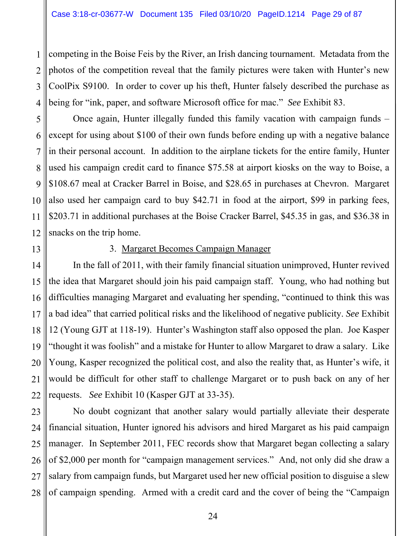1 2 3 4 competing in the Boise Feis by the River, an Irish dancing tournament. Metadata from the photos of the competition reveal that the family pictures were taken with Hunter's new CoolPix S9100. In order to cover up his theft, Hunter falsely described the purchase as being for "ink, paper, and software Microsoft office for mac." *See* Exhibit 83.

5 6 7 8 9 10 Once again, Hunter illegally funded this family vacation with campaign funds – except for using about \$100 of their own funds before ending up with a negative balance in their personal account. In addition to the airplane tickets for the entire family, Hunter used his campaign credit card to finance \$75.58 at airport kiosks on the way to Boise, a \$108.67 meal at Cracker Barrel in Boise, and \$28.65 in purchases at Chevron. Margaret also used her campaign card to buy \$42.71 in food at the airport, \$99 in parking fees, \$203.71 in additional purchases at the Boise Cracker Barrel, \$45.35 in gas, and \$36.38 in snacks on the trip home.

12 13

11

#### 3. Margaret Becomes Campaign Manager

14 15 16 17 18 19 20 21 22 In the fall of 2011, with their family financial situation unimproved, Hunter revived the idea that Margaret should join his paid campaign staff. Young, who had nothing but difficulties managing Margaret and evaluating her spending, "continued to think this was a bad idea" that carried political risks and the likelihood of negative publicity. *See* Exhibit 12 (Young GJT at 118-19). Hunter's Washington staff also opposed the plan. Joe Kasper "thought it was foolish" and a mistake for Hunter to allow Margaret to draw a salary. Like Young, Kasper recognized the political cost, and also the reality that, as Hunter's wife, it would be difficult for other staff to challenge Margaret or to push back on any of her requests. *See* Exhibit 10 (Kasper GJT at 33-35).

23 24 25 26 27 28 No doubt cognizant that another salary would partially alleviate their desperate financial situation, Hunter ignored his advisors and hired Margaret as his paid campaign manager. In September 2011, FEC records show that Margaret began collecting a salary of \$2,000 per month for "campaign management services." And, not only did she draw a salary from campaign funds, but Margaret used her new official position to disguise a slew of campaign spending. Armed with a credit card and the cover of being the "Campaign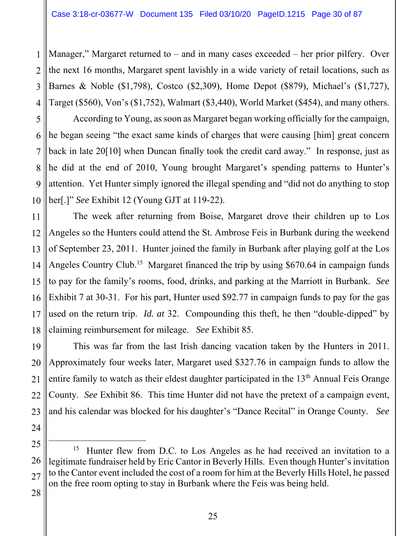1 2 3 4 Manager," Margaret returned to  $-$  and in many cases exceeded  $-$  her prior pilfery. Over the next 16 months, Margaret spent lavishly in a wide variety of retail locations, such as Barnes & Noble (\$1,798), Costco (\$2,309), Home Depot (\$879), Michael's (\$1,727), Target (\$560), Von's (\$1,752), Walmart (\$3,440), World Market (\$454), and many others.

5 6 7 8 9 10 According to Young, as soon as Margaret began working officially for the campaign, he began seeing "the exact same kinds of charges that were causing [him] great concern back in late 20[10] when Duncan finally took the credit card away." In response, just as he did at the end of 2010, Young brought Margaret's spending patterns to Hunter's attention. Yet Hunter simply ignored the illegal spending and "did not do anything to stop her[.]" *See* Exhibit 12 (Young GJT at 119-22).

11 12 13 14 15 16 17 18 The week after returning from Boise, Margaret drove their children up to Los Angeles so the Hunters could attend the St. Ambrose Feis in Burbank during the weekend of September 23, 2011. Hunter joined the family in Burbank after playing golf at the Los Angeles Country Club.<sup>15</sup> Margaret financed the trip by using \$670.64 in campaign funds to pay for the family's rooms, food, drinks, and parking at the Marriott in Burbank. *See* Exhibit 7 at 30-31. For his part, Hunter used \$92.77 in campaign funds to pay for the gas used on the return trip. *Id. at* 32. Compounding this theft, he then "double-dipped" by claiming reimbursement for mileage. *See* Exhibit 85.

19 20 21 22 23 This was far from the last Irish dancing vacation taken by the Hunters in 2011. Approximately four weeks later, Margaret used \$327.76 in campaign funds to allow the entire family to watch as their eldest daughter participated in the 13<sup>th</sup> Annual Feis Orange County. *See* Exhibit 86. This time Hunter did not have the pretext of a campaign event, and his calendar was blocked for his daughter's "Dance Recital" in Orange County. *See*

24 25 26

<sup>27</sup>  <sup>15</sup> Hunter flew from D.C. to Los Angeles as he had received an invitation to a legitimate fundraiser held by Eric Cantor in Beverly Hills. Even though Hunter's invitation to the Cantor event included the cost of a room for him at the Beverly Hills Hotel, he passed on the free room opting to stay in Burbank where the Feis was being held.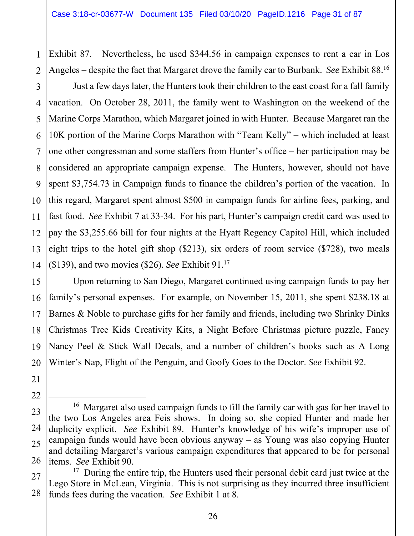2 Exhibit 87. Nevertheless, he used \$344.56 in campaign expenses to rent a car in Los Angeles – despite the fact that Margaret drove the family car to Burbank. *See* Exhibit 88.16

3 4 5 6 7 8 9 10 11 12 13 14 Just a few days later, the Hunters took their children to the east coast for a fall family vacation. On October 28, 2011, the family went to Washington on the weekend of the Marine Corps Marathon, which Margaret joined in with Hunter. Because Margaret ran the 10K portion of the Marine Corps Marathon with "Team Kelly" – which included at least one other congressman and some staffers from Hunter's office – her participation may be considered an appropriate campaign expense. The Hunters, however, should not have spent \$3,754.73 in Campaign funds to finance the children's portion of the vacation. In this regard, Margaret spent almost \$500 in campaign funds for airline fees, parking, and fast food. *See* Exhibit 7 at 33-34. For his part, Hunter's campaign credit card was used to pay the \$3,255.66 bill for four nights at the Hyatt Regency Capitol Hill, which included eight trips to the hotel gift shop (\$213), six orders of room service (\$728), two meals (\$139), and two movies (\$26). *See* Exhibit 91.17

15 16 17 18 19 20 Upon returning to San Diego, Margaret continued using campaign funds to pay her family's personal expenses. For example, on November 15, 2011, she spent \$238.18 at Barnes & Noble to purchase gifts for her family and friends, including two Shrinky Dinks Christmas Tree Kids Creativity Kits, a Night Before Christmas picture puzzle, Fancy Nancy Peel & Stick Wall Decals, and a number of children's books such as A Long Winter's Nap, Flight of the Penguin, and Goofy Goes to the Doctor. *See* Exhibit 92.

21 22

<sup>23</sup>  24 25 26 <sup>16</sup> Margaret also used campaign funds to fill the family car with gas for her travel to the two Los Angeles area Feis shows. In doing so, she copied Hunter and made her duplicity explicit. *See* Exhibit 89. Hunter's knowledge of his wife's improper use of campaign funds would have been obvious anyway – as Young was also copying Hunter and detailing Margaret's various campaign expenditures that appeared to be for personal items. *See* Exhibit 90.

<sup>27</sup>  28 <sup>17</sup> During the entire trip, the Hunters used their personal debit card just twice at the Lego Store in McLean, Virginia. This is not surprising as they incurred three insufficient funds fees during the vacation. *See* Exhibit 1 at 8.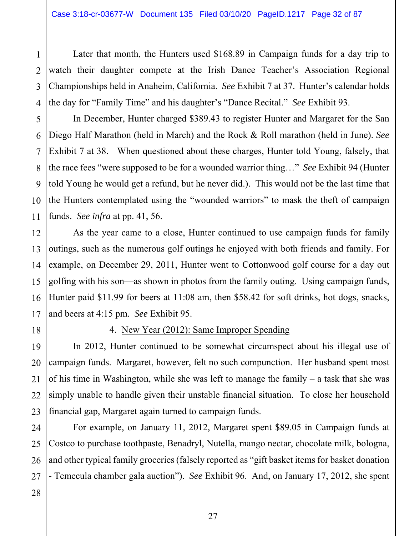Later that month, the Hunters used \$168.89 in Campaign funds for a day trip to watch their daughter compete at the Irish Dance Teacher's Association Regional Championships held in Anaheim, California. *See* Exhibit 7 at 37. Hunter's calendar holds the day for "Family Time" and his daughter's "Dance Recital." *See* Exhibit 93.

5 6 7 8 9 10 11 In December, Hunter charged \$389.43 to register Hunter and Margaret for the San Diego Half Marathon (held in March) and the Rock & Roll marathon (held in June). *See* Exhibit 7 at 38. When questioned about these charges, Hunter told Young, falsely, that the race fees "were supposed to be for a wounded warrior thing…" *See* Exhibit 94 (Hunter told Young he would get a refund, but he never did.). This would not be the last time that the Hunters contemplated using the "wounded warriors" to mask the theft of campaign funds. *See infra* at pp. 41, 56.

12 13 14 15 16 17 As the year came to a close, Hunter continued to use campaign funds for family outings, such as the numerous golf outings he enjoyed with both friends and family. For example, on December 29, 2011, Hunter went to Cottonwood golf course for a day out golfing with his son—as shown in photos from the family outing. Using campaign funds, Hunter paid \$11.99 for beers at 11:08 am, then \$58.42 for soft drinks, hot dogs, snacks, and beers at 4:15 pm. *See* Exhibit 95.

18

1

2

3

4

#### 4. New Year (2012): Same Improper Spending

19 20 21 22 23 In 2012, Hunter continued to be somewhat circumspect about his illegal use of campaign funds. Margaret, however, felt no such compunction. Her husband spent most of his time in Washington, while she was left to manage the family – a task that she was simply unable to handle given their unstable financial situation. To close her household financial gap, Margaret again turned to campaign funds.

24 25 26 27 For example, on January 11, 2012, Margaret spent \$89.05 in Campaign funds at Costco to purchase toothpaste, Benadryl, Nutella, mango nectar, chocolate milk, bologna, and other typical family groceries (falsely reported as "gift basket items for basket donation - Temecula chamber gala auction"). *See* Exhibit 96. And, on January 17, 2012, she spent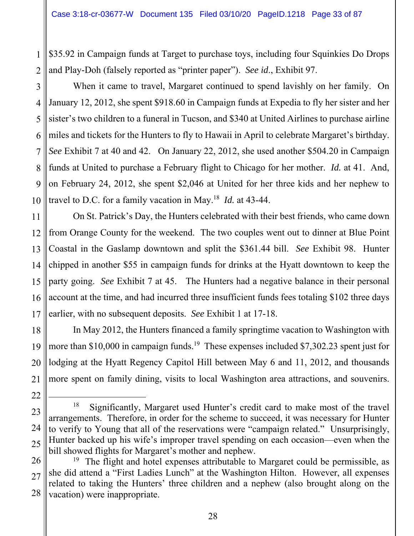1 2 \$35.92 in Campaign funds at Target to purchase toys, including four Squinkies Do Drops and Play-Doh (falsely reported as "printer paper"). *See id*., Exhibit 97.

3 4 5 6 7 8 9 10 When it came to travel, Margaret continued to spend lavishly on her family. On January 12, 2012, she spent \$918.60 in Campaign funds at Expedia to fly her sister and her sister's two children to a funeral in Tucson, and \$340 at United Airlines to purchase airline miles and tickets for the Hunters to fly to Hawaii in April to celebrate Margaret's birthday. *See* Exhibit 7 at 40 and 42. On January 22, 2012, she used another \$504.20 in Campaign funds at United to purchase a February flight to Chicago for her mother. *Id.* at 41. And, on February 24, 2012, she spent \$2,046 at United for her three kids and her nephew to travel to D.C. for a family vacation in May.18 *Id.* at 43-44.

11 12 13 14 15 16 17 On St. Patrick's Day, the Hunters celebrated with their best friends, who came down from Orange County for the weekend. The two couples went out to dinner at Blue Point Coastal in the Gaslamp downtown and split the \$361.44 bill. *See* Exhibit 98. Hunter chipped in another \$55 in campaign funds for drinks at the Hyatt downtown to keep the party going. *See* Exhibit 7 at 45. The Hunters had a negative balance in their personal account at the time, and had incurred three insufficient funds fees totaling \$102 three days earlier, with no subsequent deposits. *See* Exhibit 1 at 17-18.

18 19 20 In May 2012, the Hunters financed a family springtime vacation to Washington with more than \$10,000 in campaign funds.<sup>19</sup> These expenses included \$7,302.23 spent just for lodging at the Hyatt Regency Capitol Hill between May 6 and 11, 2012, and thousands more spent on family dining, visits to local Washington area attractions, and souvenirs.

<sup>21</sup>  22 23 24 25

 $18$  Significantly, Margaret used Hunter's credit card to make most of the travel arrangements. Therefore, in order for the scheme to succeed, it was necessary for Hunter to verify to Young that all of the reservations were "campaign related." Unsurprisingly, Hunter backed up his wife's improper travel spending on each occasion—even when the bill showed flights for Margaret's mother and nephew.

<sup>26</sup>  27 28 <sup>19</sup> The flight and hotel expenses attributable to Margaret could be permissible, as she did attend a "First Ladies Lunch" at the Washington Hilton. However, all expenses related to taking the Hunters' three children and a nephew (also brought along on the vacation) were inappropriate.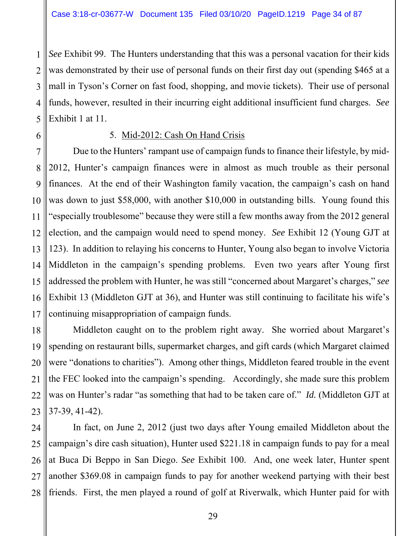1 2 3 4 *See* Exhibit 99. The Hunters understanding that this was a personal vacation for their kids was demonstrated by their use of personal funds on their first day out (spending \$465 at a mall in Tyson's Corner on fast food, shopping, and movie tickets). Their use of personal funds, however, resulted in their incurring eight additional insufficient fund charges. *See* Exhibit 1 at 11.

#### 5. Mid-2012: Cash On Hand Crisis

15 16 17 Due to the Hunters' rampant use of campaign funds to finance their lifestyle, by mid-2012, Hunter's campaign finances were in almost as much trouble as their personal finances. At the end of their Washington family vacation, the campaign's cash on hand was down to just \$58,000, with another \$10,000 in outstanding bills. Young found this "especially troublesome" because they were still a few months away from the 2012 general election, and the campaign would need to spend money. *See* Exhibit 12 (Young GJT at 123). In addition to relaying his concerns to Hunter, Young also began to involve Victoria Middleton in the campaign's spending problems. Even two years after Young first addressed the problem with Hunter, he was still "concerned about Margaret's charges," *see* Exhibit 13 (Middleton GJT at 36), and Hunter was still continuing to facilitate his wife's continuing misappropriation of campaign funds.

18 19 20 21 22 23 Middleton caught on to the problem right away. She worried about Margaret's spending on restaurant bills, supermarket charges, and gift cards (which Margaret claimed were "donations to charities"). Among other things, Middleton feared trouble in the event the FEC looked into the campaign's spending. Accordingly, she made sure this problem was on Hunter's radar "as something that had to be taken care of." *Id.* (Middleton GJT at 37-39, 41-42).

24 25 26 27 28 In fact, on June 2, 2012 (just two days after Young emailed Middleton about the campaign's dire cash situation), Hunter used \$221.18 in campaign funds to pay for a meal at Buca Di Beppo in San Diego. *See* Exhibit 100. And, one week later, Hunter spent another \$369.08 in campaign funds to pay for another weekend partying with their best friends. First, the men played a round of golf at Riverwalk, which Hunter paid for with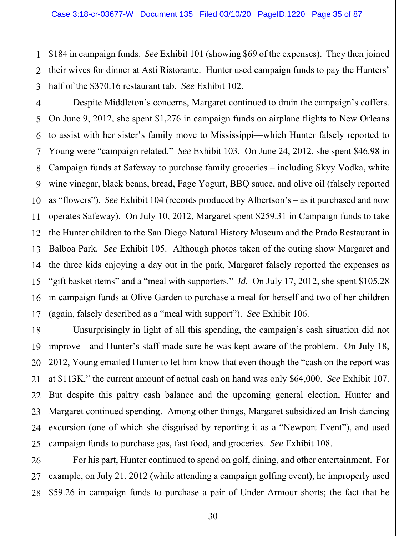1 2 3 \$184 in campaign funds. *See* Exhibit 101 (showing \$69 of the expenses). They then joined their wives for dinner at Asti Ristorante. Hunter used campaign funds to pay the Hunters' half of the \$370.16 restaurant tab. *See* Exhibit 102.

4 5 6 7 8 9 10 11 12 13 14 15 16 17 Despite Middleton's concerns, Margaret continued to drain the campaign's coffers. On June 9, 2012, she spent \$1,276 in campaign funds on airplane flights to New Orleans to assist with her sister's family move to Mississippi—which Hunter falsely reported to Young were "campaign related." *See* Exhibit 103. On June 24, 2012, she spent \$46.98 in Campaign funds at Safeway to purchase family groceries – including Skyy Vodka, white wine vinegar, black beans, bread, Fage Yogurt, BBQ sauce, and olive oil (falsely reported as "flowers"). *See* Exhibit 104 (records produced by Albertson's – as it purchased and now operates Safeway). On July 10, 2012, Margaret spent \$259.31 in Campaign funds to take the Hunter children to the San Diego Natural History Museum and the Prado Restaurant in Balboa Park. *See* Exhibit 105. Although photos taken of the outing show Margaret and the three kids enjoying a day out in the park, Margaret falsely reported the expenses as "gift basket items" and a "meal with supporters." *Id.* On July 17, 2012, she spent \$105.28 in campaign funds at Olive Garden to purchase a meal for herself and two of her children (again, falsely described as a "meal with support"). *See* Exhibit 106.

18 19 20 21 22 23 24 25 Unsurprisingly in light of all this spending, the campaign's cash situation did not improve—and Hunter's staff made sure he was kept aware of the problem. On July 18, 2012, Young emailed Hunter to let him know that even though the "cash on the report was at \$113K," the current amount of actual cash on hand was only \$64,000. *See* Exhibit 107. But despite this paltry cash balance and the upcoming general election, Hunter and Margaret continued spending. Among other things, Margaret subsidized an Irish dancing excursion (one of which she disguised by reporting it as a "Newport Event"), and used campaign funds to purchase gas, fast food, and groceries. *See* Exhibit 108.

26 27 28 For his part, Hunter continued to spend on golf, dining, and other entertainment. For example, on July 21, 2012 (while attending a campaign golfing event), he improperly used \$59.26 in campaign funds to purchase a pair of Under Armour shorts; the fact that he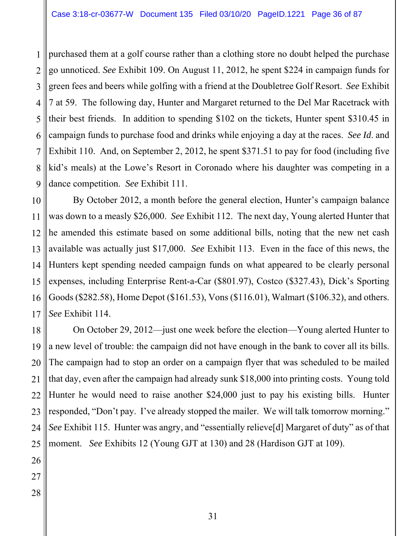1 2 3 4 5 6 7 8 9 purchased them at a golf course rather than a clothing store no doubt helped the purchase go unnoticed. *See* Exhibit 109. On August 11, 2012, he spent \$224 in campaign funds for green fees and beers while golfing with a friend at the Doubletree Golf Resort. *See* Exhibit 7 at 59. The following day, Hunter and Margaret returned to the Del Mar Racetrack with their best friends. In addition to spending \$102 on the tickets, Hunter spent \$310.45 in campaign funds to purchase food and drinks while enjoying a day at the races. *See Id*. and Exhibit 110. And, on September 2, 2012, he spent \$371.51 to pay for food (including five kid's meals) at the Lowe's Resort in Coronado where his daughter was competing in a dance competition. *See* Exhibit 111.

10 11 12 13 14 15 16 17 By October 2012, a month before the general election, Hunter's campaign balance was down to a measly \$26,000. *See* Exhibit 112. The next day, Young alerted Hunter that he amended this estimate based on some additional bills, noting that the new net cash available was actually just \$17,000. *See* Exhibit 113. Even in the face of this news, the Hunters kept spending needed campaign funds on what appeared to be clearly personal expenses, including Enterprise Rent-a-Car (\$801.97), Costco (\$327.43), Dick's Sporting Goods (\$282.58), Home Depot (\$161.53), Vons (\$116.01), Walmart (\$106.32), and others. *See* Exhibit 114.

18 19 20 21 22 23 24 On October 29, 2012—just one week before the election—Young alerted Hunter to a new level of trouble: the campaign did not have enough in the bank to cover all its bills. The campaign had to stop an order on a campaign flyer that was scheduled to be mailed that day, even after the campaign had already sunk \$18,000 into printing costs. Young told Hunter he would need to raise another \$24,000 just to pay his existing bills. Hunter responded, "Don't pay. I've already stopped the mailer. We will talk tomorrow morning." *See* Exhibit 115. Hunter was angry, and "essentially relieve[d] Margaret of duty" as of that moment. *See* Exhibits 12 (Young GJT at 130) and 28 (Hardison GJT at 109).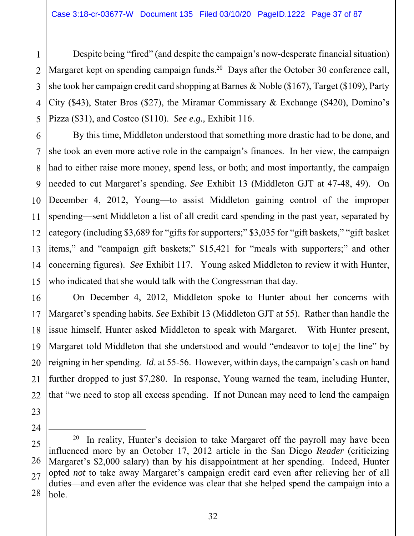1 2 3 4 5 Despite being "fired" (and despite the campaign's now-desperate financial situation) Margaret kept on spending campaign funds.<sup>20</sup> Days after the October 30 conference call, she took her campaign credit card shopping at Barnes & Noble (\$167), Target (\$109), Party City (\$43), Stater Bros (\$27), the Miramar Commissary & Exchange (\$420), Domino's Pizza (\$31), and Costco (\$110). *See e.g.,* Exhibit 116.

6 7 8 9 10 11 12 13 14 15 By this time, Middleton understood that something more drastic had to be done, and she took an even more active role in the campaign's finances. In her view, the campaign had to either raise more money, spend less, or both; and most importantly, the campaign needed to cut Margaret's spending. *See* Exhibit 13 (Middleton GJT at 47-48, 49). On December 4, 2012, Young—to assist Middleton gaining control of the improper spending—sent Middleton a list of all credit card spending in the past year, separated by category (including \$3,689 for "gifts for supporters;" \$3,035 for "gift baskets," "gift basket items," and "campaign gift baskets;" \$15,421 for "meals with supporters;" and other concerning figures). *See* Exhibit 117. Young asked Middleton to review it with Hunter, who indicated that she would talk with the Congressman that day.

16 17 18 19 20 21 22 On December 4, 2012, Middleton spoke to Hunter about her concerns with Margaret's spending habits. *See* Exhibit 13 (Middleton GJT at 55). Rather than handle the issue himself, Hunter asked Middleton to speak with Margaret. With Hunter present, Margaret told Middleton that she understood and would "endeavor to to<sup>[e]</sup> the line" by reigning in her spending. *Id*. at 55-56. However, within days, the campaign's cash on hand further dropped to just \$7,280. In response, Young warned the team, including Hunter, that "we need to stop all excess spending. If not Duncan may need to lend the campaign

23

24

25 26 27 28  $20$  In reality, Hunter's decision to take Margaret off the payroll may have been influenced more by an October 17, 2012 article in the San Diego *Reader* (criticizing Margaret's \$2,000 salary) than by his disappointment at her spending. Indeed, Hunter opted *not* to take away Margaret's campaign credit card even after relieving her of all duties—and even after the evidence was clear that she helped spend the campaign into a hole.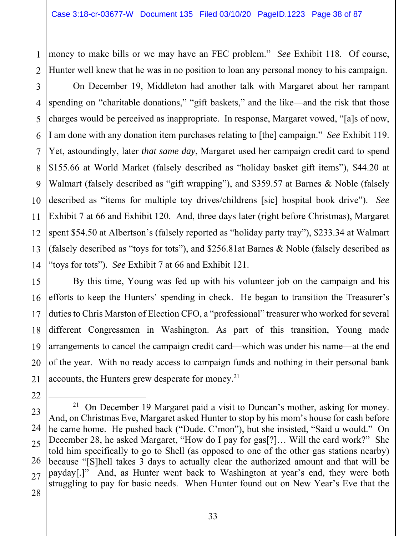1 2 money to make bills or we may have an FEC problem." *See* Exhibit 118. Of course, Hunter well knew that he was in no position to loan any personal money to his campaign.

3 4 5 6 7 8 9 10 11 12 13 14 On December 19, Middleton had another talk with Margaret about her rampant spending on "charitable donations," "gift baskets," and the like—and the risk that those charges would be perceived as inappropriate. In response, Margaret vowed, "[a]s of now, I am done with any donation item purchases relating to [the] campaign." *See* Exhibit 119. Yet, astoundingly, later *that same day*, Margaret used her campaign credit card to spend \$155.66 at World Market (falsely described as "holiday basket gift items"), \$44.20 at Walmart (falsely described as "gift wrapping"), and \$359.57 at Barnes & Noble (falsely described as "items for multiple toy drives/childrens [sic] hospital book drive"). *See* Exhibit 7 at 66 and Exhibit 120. And, three days later (right before Christmas), Margaret spent \$54.50 at Albertson's (falsely reported as "holiday party tray"), \$233.34 at Walmart (falsely described as "toys for tots"), and \$256.81at Barnes & Noble (falsely described as "toys for tots"). *See* Exhibit 7 at 66 and Exhibit 121.

15 16 17 18 19 20 21 By this time, Young was fed up with his volunteer job on the campaign and his efforts to keep the Hunters' spending in check. He began to transition the Treasurer's duties to Chris Marston of Election CFO, a "professional" treasurer who worked for several different Congressmen in Washington. As part of this transition, Young made arrangements to cancel the campaign credit card—which was under his name—at the end of the year. With no ready access to campaign funds and nothing in their personal bank accounts, the Hunters grew desperate for money. $21$ 

22 23 24 25 26 27 28 <sup>21</sup> On December 19 Margaret paid a visit to Duncan's mother, asking for money. And, on Christmas Eve, Margaret asked Hunter to stop by his mom's house for cash before he came home. He pushed back ("Dude. C'mon"), but she insisted, "Said u would." On December 28, he asked Margaret, "How do I pay for gas[?]… Will the card work?" She told him specifically to go to Shell (as opposed to one of the other gas stations nearby) because "[S]hell takes 3 days to actually clear the authorized amount and that will be payday[.]" And, as Hunter went back to Washington at year's end, they were both struggling to pay for basic needs. When Hunter found out on New Year's Eve that the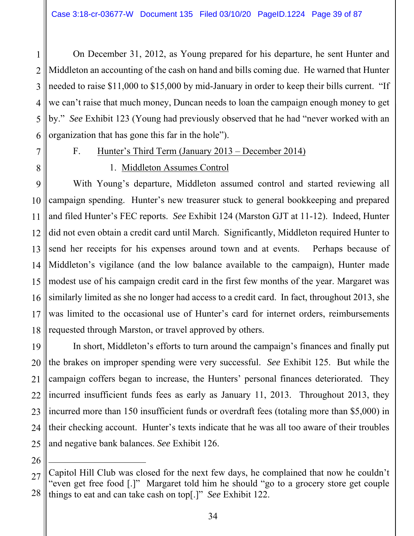2 3 4 5 6 On December 31, 2012, as Young prepared for his departure, he sent Hunter and Middleton an accounting of the cash on hand and bills coming due. He warned that Hunter needed to raise \$11,000 to \$15,000 by mid-January in order to keep their bills current. "If we can't raise that much money, Duncan needs to loan the campaign enough money to get by." *See* Exhibit 123 (Young had previously observed that he had "never worked with an organization that has gone this far in the hole").

7

8

1

## F. Hunter's Third Term (January 2013 – December 2014)

## 1. Middleton Assumes Control

9 10 11 12 13 14 15 16 17 18 With Young's departure, Middleton assumed control and started reviewing all campaign spending. Hunter's new treasurer stuck to general bookkeeping and prepared and filed Hunter's FEC reports. *See* Exhibit 124 (Marston GJT at 11-12). Indeed, Hunter did not even obtain a credit card until March. Significantly, Middleton required Hunter to send her receipts for his expenses around town and at events. Perhaps because of Middleton's vigilance (and the low balance available to the campaign), Hunter made modest use of his campaign credit card in the first few months of the year. Margaret was similarly limited as she no longer had access to a credit card. In fact, throughout 2013, she was limited to the occasional use of Hunter's card for internet orders, reimbursements requested through Marston, or travel approved by others.

19 20 21 22 23 24 25 In short, Middleton's efforts to turn around the campaign's finances and finally put the brakes on improper spending were very successful. *See* Exhibit 125. But while the campaign coffers began to increase, the Hunters' personal finances deteriorated. They incurred insufficient funds fees as early as January 11, 2013. Throughout 2013, they incurred more than 150 insufficient funds or overdraft fees (totaling more than \$5,000) in their checking account. Hunter's texts indicate that he was all too aware of their troubles and negative bank balances. *See* Exhibit 126.

26

 $\overline{a}$ 

<sup>27</sup>  28 Capitol Hill Club was closed for the next few days, he complained that now he couldn't "even get free food [.]" Margaret told him he should "go to a grocery store get couple things to eat and can take cash on top[.]" *See* Exhibit 122.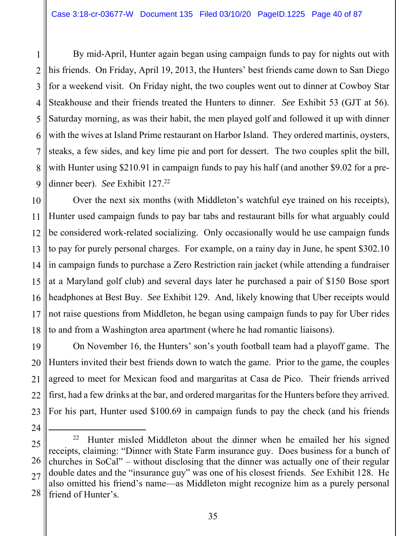1 2 3 4 5 6 7 8 9 By mid-April, Hunter again began using campaign funds to pay for nights out with his friends. On Friday, April 19, 2013, the Hunters' best friends came down to San Diego for a weekend visit. On Friday night, the two couples went out to dinner at Cowboy Star Steakhouse and their friends treated the Hunters to dinner. *See* Exhibit 53 (GJT at 56). Saturday morning, as was their habit, the men played golf and followed it up with dinner with the wives at Island Prime restaurant on Harbor Island. They ordered martinis, oysters, steaks, a few sides, and key lime pie and port for dessert. The two couples split the bill, with Hunter using \$210.91 in campaign funds to pay his half (and another \$9.02 for a predinner beer). *See* Exhibit 127.<sup>22</sup>

10 11 12 13 14 15 16 17 18 Over the next six months (with Middleton's watchful eye trained on his receipts), Hunter used campaign funds to pay bar tabs and restaurant bills for what arguably could be considered work-related socializing. Only occasionally would he use campaign funds to pay for purely personal charges. For example, on a rainy day in June, he spent \$302.10 in campaign funds to purchase a Zero Restriction rain jacket (while attending a fundraiser at a Maryland golf club) and several days later he purchased a pair of \$150 Bose sport headphones at Best Buy. *See* Exhibit 129. And, likely knowing that Uber receipts would not raise questions from Middleton, he began using campaign funds to pay for Uber rides to and from a Washington area apartment (where he had romantic liaisons).

19 20 21 22 23 On November 16, the Hunters' son's youth football team had a playoff game. The Hunters invited their best friends down to watch the game. Prior to the game, the couples agreed to meet for Mexican food and margaritas at Casa de Pico. Their friends arrived first, had a few drinks at the bar, and ordered margaritas for the Hunters before they arrived. For his part, Hunter used \$100.69 in campaign funds to pay the check (and his friends

<sup>25</sup>  26 27 28 <sup>22</sup> Hunter misled Middleton about the dinner when he emailed her his signed receipts, claiming: "Dinner with State Farm insurance guy. Does business for a bunch of churches in SoCal" – without disclosing that the dinner was actually one of their regular double dates and the "insurance guy" was one of his closest friends. *See* Exhibit 128. He also omitted his friend's name—as Middleton might recognize him as a purely personal friend of Hunter's.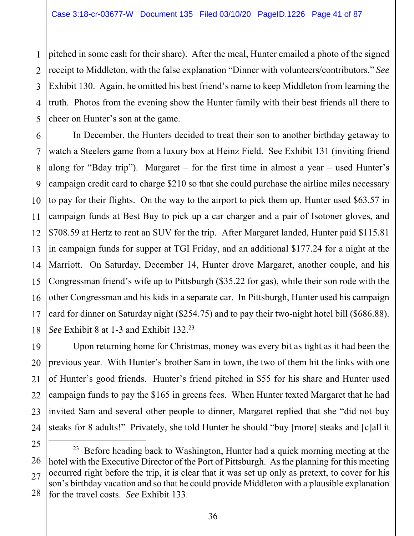1 2 3 4 5 pitched in some cash for their share). After the meal, Hunter emailed a photo of the signed receipt to Middleton, with the false explanation "Dinner with volunteers/contributors." *See* Exhibit 130. Again, he omitted his best friend's name to keep Middleton from learning the truth. Photos from the evening show the Hunter family with their best friends all there to cheer on Hunter's son at the game.

6 7 8 9 10 11 12 13 14 15 16 17 18 In December, the Hunters decided to treat their son to another birthday getaway to watch a Steelers game from a luxury box at Heinz Field. See Exhibit 131 (inviting friend along for "Bday trip"). Margaret – for the first time in almost a year – used Hunter's campaign credit card to charge \$210 so that she could purchase the airline miles necessary to pay for their flights. On the way to the airport to pick them up, Hunter used \$63.57 in campaign funds at Best Buy to pick up a car charger and a pair of Isotoner gloves, and \$708.59 at Hertz to rent an SUV for the trip. After Margaret landed, Hunter paid \$115.81 in campaign funds for supper at TGI Friday, and an additional \$177.24 for a night at the Marriott. On Saturday, December 14, Hunter drove Margaret, another couple, and his Congressman friend's wife up to Pittsburgh (\$35.22 for gas), while their son rode with the other Congressman and his kids in a separate car. In Pittsburgh, Hunter used his campaign card for dinner on Saturday night (\$254.75) and to pay their two-night hotel bill (\$686.88). *See* Exhibit 8 at 1-3 and Exhibit 132.23

19 20 21 22 23 24 Upon returning home for Christmas, money was every bit as tight as it had been the previous year. With Hunter's brother Sam in town, the two of them hit the links with one of Hunter's good friends. Hunter's friend pitched in \$55 for his share and Hunter used campaign funds to pay the \$165 in greens fees. When Hunter texted Margaret that he had invited Sam and several other people to dinner, Margaret replied that she "did not buy steaks for 8 adults!" Privately, she told Hunter he should "buy [more] steaks and [c]all it

<sup>25</sup> 

<sup>26</sup>  27 28  $23$  Before heading back to Washington, Hunter had a quick morning meeting at the hotel with the Executive Director of the Port of Pittsburgh. As the planning for this meeting occurred right before the trip, it is clear that it was set up only as pretext, to cover for his son's birthday vacation and so that he could provide Middleton with a plausible explanation for the travel costs. *See* Exhibit 133.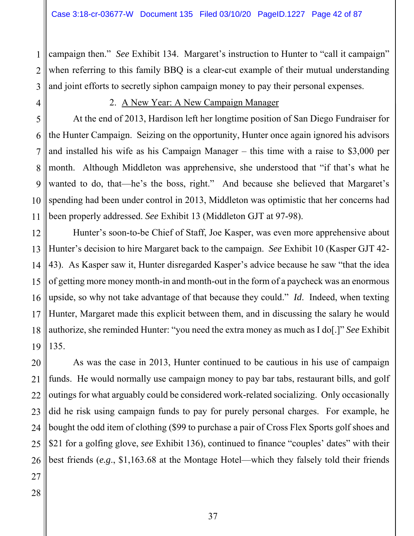campaign then." *See* Exhibit 134. Margaret's instruction to Hunter to "call it campaign" when referring to this family BBQ is a clear-cut example of their mutual understanding and joint efforts to secretly siphon campaign money to pay their personal expenses.

1

2

### 2. A New Year: A New Campaign Manager

At the end of 2013, Hardison left her longtime position of San Diego Fundraiser for the Hunter Campaign. Seizing on the opportunity, Hunter once again ignored his advisors and installed his wife as his Campaign Manager – this time with a raise to \$3,000 per month. Although Middleton was apprehensive, she understood that "if that's what he wanted to do, that—he's the boss, right." And because she believed that Margaret's spending had been under control in 2013, Middleton was optimistic that her concerns had been properly addressed. *See* Exhibit 13 (Middleton GJT at 97-98).

Hunter's soon-to-be Chief of Staff, Joe Kasper, was even more apprehensive about Hunter's decision to hire Margaret back to the campaign. *See* Exhibit 10 (Kasper GJT 42- 43). As Kasper saw it, Hunter disregarded Kasper's advice because he saw "that the idea of getting more money month-in and month-out in the form of a paycheck was an enormous upside, so why not take advantage of that because they could." *Id*. Indeed, when texting Hunter, Margaret made this explicit between them, and in discussing the salary he would authorize, she reminded Hunter: "you need the extra money as much as I do[.]" *See* Exhibit 135.

26 As was the case in 2013, Hunter continued to be cautious in his use of campaign funds. He would normally use campaign money to pay bar tabs, restaurant bills, and golf outings for what arguably could be considered work-related socializing. Only occasionally did he risk using campaign funds to pay for purely personal charges. For example, he bought the odd item of clothing (\$99 to purchase a pair of Cross Flex Sports golf shoes and \$21 for a golfing glove, *see* Exhibit 136), continued to finance "couples' dates" with their best friends (*e.g*., \$1,163.68 at the Montage Hotel—which they falsely told their friends

28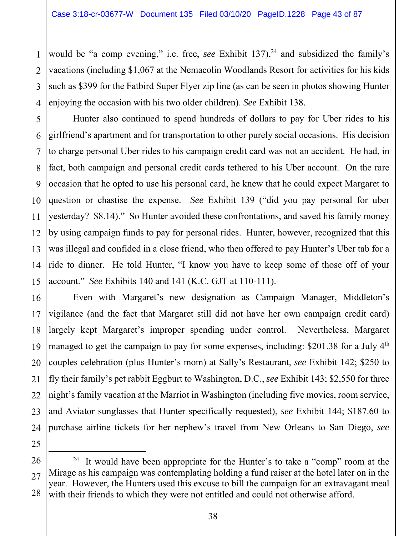1 2 3 4 would be "a comp evening," i.e. free, *see* Exhibit  $137$ <sup>24</sup> and subsidized the family's vacations (including \$1,067 at the Nemacolin Woodlands Resort for activities for his kids such as \$399 for the Fatbird Super Flyer zip line (as can be seen in photos showing Hunter enjoying the occasion with his two older children). *See* Exhibit 138.

5 6 7 8 9 10 11 12 13 14 15 Hunter also continued to spend hundreds of dollars to pay for Uber rides to his girlfriend's apartment and for transportation to other purely social occasions. His decision to charge personal Uber rides to his campaign credit card was not an accident. He had, in fact, both campaign and personal credit cards tethered to his Uber account. On the rare occasion that he opted to use his personal card, he knew that he could expect Margaret to question or chastise the expense. *See* Exhibit 139 ("did you pay personal for uber yesterday? \$8.14)." So Hunter avoided these confrontations, and saved his family money by using campaign funds to pay for personal rides. Hunter, however, recognized that this was illegal and confided in a close friend, who then offered to pay Hunter's Uber tab for a ride to dinner. He told Hunter, "I know you have to keep some of those off of your account." *See* Exhibits 140 and 141 (K.C. GJT at 110-111).

16 17 18 19 20 21 22 23 24 Even with Margaret's new designation as Campaign Manager, Middleton's vigilance (and the fact that Margaret still did not have her own campaign credit card) largely kept Margaret's improper spending under control. Nevertheless, Margaret managed to get the campaign to pay for some expenses, including: \$201.38 for a July 4<sup>th</sup> couples celebration (plus Hunter's mom) at Sally's Restaurant, *see* Exhibit 142; \$250 to fly their family's pet rabbit Eggburt to Washington, D.C., *see* Exhibit 143; \$2,550 for three night's family vacation at the Marriot in Washington (including five movies, room service, and Aviator sunglasses that Hunter specifically requested), *see* Exhibit 144; \$187.60 to purchase airline tickets for her nephew's travel from New Orleans to San Diego, *see* 

<sup>27</sup>  28 <sup>24</sup> It would have been appropriate for the Hunter's to take a "comp" room at the Mirage as his campaign was contemplating holding a fund raiser at the hotel later on in the year. However, the Hunters used this excuse to bill the campaign for an extravagant meal with their friends to which they were not entitled and could not otherwise afford.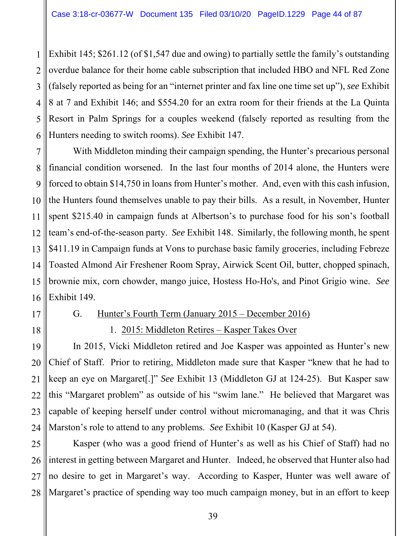1 2 3 4 5 6 Exhibit 145; \$261.12 (of \$1,547 due and owing) to partially settle the family's outstanding overdue balance for their home cable subscription that included HBO and NFL Red Zone (falsely reported as being for an "internet printer and fax line one time set up"), *see* Exhibit 8 at 7 and Exhibit 146; and \$554.20 for an extra room for their friends at the La Quinta Resort in Palm Springs for a couples weekend (falsely reported as resulting from the Hunters needing to switch rooms). *See* Exhibit 147.

7 8 9 10 11 12 13 14 15 16 With Middleton minding their campaign spending, the Hunter's precarious personal financial condition worsened. In the last four months of 2014 alone, the Hunters were forced to obtain \$14,750 in loans from Hunter's mother. And, even with this cash infusion, the Hunters found themselves unable to pay their bills. As a result, in November, Hunter spent \$215.40 in campaign funds at Albertson's to purchase food for his son's football team's end-of-the-season party. *See* Exhibit 148. Similarly, the following month, he spent \$411.19 in Campaign funds at Vons to purchase basic family groceries, including Febreze Toasted Almond Air Freshener Room Spray, Airwick Scent Oil, butter, chopped spinach, brownie mix, corn chowder, mango juice, Hostess Ho-Ho's, and Pinot Grigio wine. *See* Exhibit 149.

17

## G. Hunter's Fourth Term (January 2015 – December 2016)

18

1. 2015: Middleton Retires – Kasper Takes Over

19 20 21 22 23 24 In 2015, Vicki Middleton retired and Joe Kasper was appointed as Hunter's new Chief of Staff. Prior to retiring, Middleton made sure that Kasper "knew that he had to keep an eye on Margaret[.]" *See* Exhibit 13 (Middleton GJ at 124-25). But Kasper saw this "Margaret problem" as outside of his "swim lane." He believed that Margaret was capable of keeping herself under control without micromanaging, and that it was Chris Marston's role to attend to any problems. *See* Exhibit 10 (Kasper GJ at 54).

25 26 27 28 Kasper (who was a good friend of Hunter's as well as his Chief of Staff) had no interest in getting between Margaret and Hunter. Indeed, he observed that Hunter also had no desire to get in Margaret's way. According to Kasper, Hunter was well aware of Margaret's practice of spending way too much campaign money, but in an effort to keep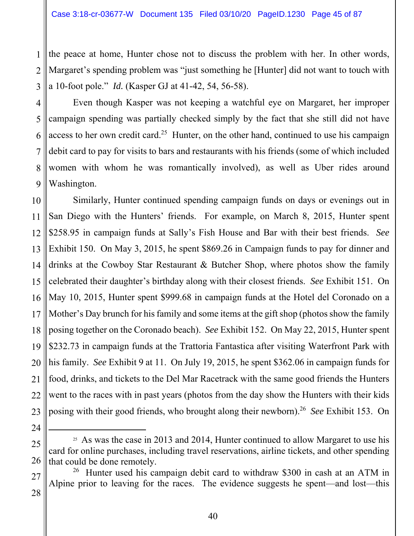1 2 3 the peace at home, Hunter chose not to discuss the problem with her. In other words, Margaret's spending problem was "just something he [Hunter] did not want to touch with a 10-foot pole." *Id.* (Kasper GJ at 41-42, 54, 56-58).

4 5 6 7 8 9 Even though Kasper was not keeping a watchful eye on Margaret, her improper campaign spending was partially checked simply by the fact that she still did not have access to her own credit card.<sup>25</sup> Hunter, on the other hand, continued to use his campaign debit card to pay for visits to bars and restaurants with his friends (some of which included women with whom he was romantically involved), as well as Uber rides around Washington.

10 11 12 13 14 15 16 17 18 19 20 21 22 23 Similarly, Hunter continued spending campaign funds on days or evenings out in San Diego with the Hunters' friends. For example, on March 8, 2015, Hunter spent \$258.95 in campaign funds at Sally's Fish House and Bar with their best friends. *See* Exhibit 150. On May 3, 2015, he spent \$869.26 in Campaign funds to pay for dinner and drinks at the Cowboy Star Restaurant & Butcher Shop, where photos show the family celebrated their daughter's birthday along with their closest friends. *See* Exhibit 151. On May 10, 2015, Hunter spent \$999.68 in campaign funds at the Hotel del Coronado on a Mother's Day brunch for his family and some items at the gift shop (photos show the family posing together on the Coronado beach). *See* Exhibit 152. On May 22, 2015, Hunter spent \$232.73 in campaign funds at the Trattoria Fantastica after visiting Waterfront Park with his family. *See* Exhibit 9 at 11. On July 19, 2015, he spent \$362.06 in campaign funds for food, drinks, and tickets to the Del Mar Racetrack with the same good friends the Hunters went to the races with in past years (photos from the day show the Hunters with their kids posing with their good friends, who brought along their newborn).26 *See* Exhibit 153. On

25 26  $25$  As was the case in 2013 and 2014, Hunter continued to allow Margaret to use his card for online purchases, including travel reservations, airline tickets, and other spending that could be done remotely.

24

27

28

<sup>26</sup> Hunter used his campaign debit card to withdraw \$300 in cash at an ATM in Alpine prior to leaving for the races. The evidence suggests he spent—and lost—this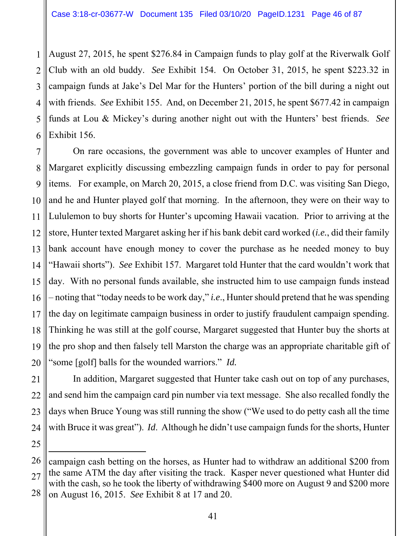1 2 3 4 5 6 August 27, 2015, he spent \$276.84 in Campaign funds to play golf at the Riverwalk Golf Club with an old buddy. *See* Exhibit 154. On October 31, 2015, he spent \$223.32 in campaign funds at Jake's Del Mar for the Hunters' portion of the bill during a night out with friends. *See* Exhibit 155. And, on December 21, 2015, he spent \$677.42 in campaign funds at Lou & Mickey's during another night out with the Hunters' best friends. *See* Exhibit 156.

7 8 9 10 11 12 13 14 15 16 17 18 19 On rare occasions, the government was able to uncover examples of Hunter and Margaret explicitly discussing embezzling campaign funds in order to pay for personal items. For example, on March 20, 2015, a close friend from D.C. was visiting San Diego, and he and Hunter played golf that morning. In the afternoon, they were on their way to Lululemon to buy shorts for Hunter's upcoming Hawaii vacation. Prior to arriving at the store, Hunter texted Margaret asking her if his bank debit card worked (*i.e.*, did their family bank account have enough money to cover the purchase as he needed money to buy "Hawaii shorts"). *See* Exhibit 157. Margaret told Hunter that the card wouldn't work that day. With no personal funds available, she instructed him to use campaign funds instead – noting that "today needs to be work day," *i.e*., Hunter should pretend that he was spending the day on legitimate campaign business in order to justify fraudulent campaign spending. Thinking he was still at the golf course, Margaret suggested that Hunter buy the shorts at the pro shop and then falsely tell Marston the charge was an appropriate charitable gift of "some [golf] balls for the wounded warriors." *Id.* 

 $\overline{a}$ 

In addition, Margaret suggested that Hunter take cash out on top of any purchases, and send him the campaign card pin number via text message. She also recalled fondly the days when Bruce Young was still running the show ("We used to do petty cash all the time with Bruce it was great"). *Id*. Although he didn't use campaign funds for the shorts, Hunter

<sup>28</sup>  campaign cash betting on the horses, as Hunter had to withdraw an additional \$200 from the same ATM the day after visiting the track. Kasper never questioned what Hunter did with the cash, so he took the liberty of withdrawing \$400 more on August 9 and \$200 more on August 16, 2015. *See* Exhibit 8 at 17 and 20.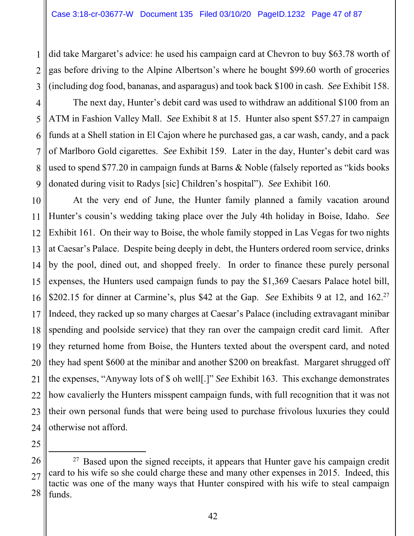did take Margaret's advice: he used his campaign card at Chevron to buy \$63.78 worth of gas before driving to the Alpine Albertson's where he bought \$99.60 worth of groceries (including dog food, bananas, and asparagus) and took back \$100 in cash. *See* Exhibit 158.

4 5 6 7 8 9 The next day, Hunter's debit card was used to withdraw an additional \$100 from an ATM in Fashion Valley Mall. *See* Exhibit 8 at 15. Hunter also spent \$57.27 in campaign funds at a Shell station in El Cajon where he purchased gas, a car wash, candy, and a pack of Marlboro Gold cigarettes. *See* Exhibit 159. Later in the day, Hunter's debit card was used to spend \$77.20 in campaign funds at Barns & Noble (falsely reported as "kids books donated during visit to Radys [sic] Children's hospital"). *See* Exhibit 160.

10 11 12 13 14 15 16 17 18 19 20 21 22 23 At the very end of June, the Hunter family planned a family vacation around Hunter's cousin's wedding taking place over the July 4th holiday in Boise, Idaho. *See* Exhibit 161. On their way to Boise, the whole family stopped in Las Vegas for two nights at Caesar's Palace. Despite being deeply in debt, the Hunters ordered room service, drinks by the pool, dined out, and shopped freely. In order to finance these purely personal expenses, the Hunters used campaign funds to pay the \$1,369 Caesars Palace hotel bill, \$202.15 for dinner at Carmine's, plus \$42 at the Gap. *See* Exhibits 9 at 12, and 162.<sup>27</sup> Indeed, they racked up so many charges at Caesar's Palace (including extravagant minibar spending and poolside service) that they ran over the campaign credit card limit. After they returned home from Boise, the Hunters texted about the overspent card, and noted they had spent \$600 at the minibar and another \$200 on breakfast. Margaret shrugged off the expenses, "Anyway lots of \$ oh well[.]" *See* Exhibit 163. This exchange demonstrates how cavalierly the Hunters misspent campaign funds, with full recognition that it was not their own personal funds that were being used to purchase frivolous luxuries they could otherwise not afford.

1

2

<sup>28</sup>   $27$  Based upon the signed receipts, it appears that Hunter gave his campaign credit card to his wife so she could charge these and many other expenses in 2015. Indeed, this tactic was one of the many ways that Hunter conspired with his wife to steal campaign funds.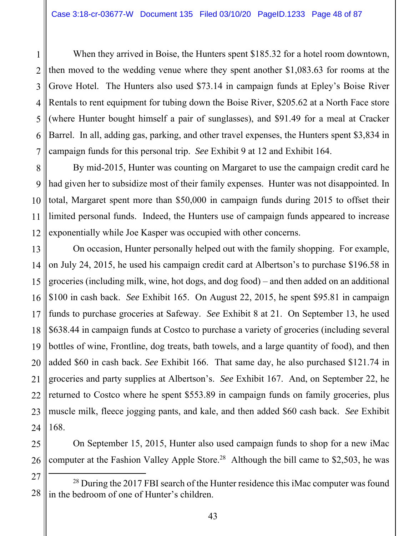1 2 3 4 5 6 7 When they arrived in Boise, the Hunters spent \$185.32 for a hotel room downtown, then moved to the wedding venue where they spent another \$1,083.63 for rooms at the Grove Hotel. The Hunters also used \$73.14 in campaign funds at Epley's Boise River Rentals to rent equipment for tubing down the Boise River, \$205.62 at a North Face store (where Hunter bought himself a pair of sunglasses), and \$91.49 for a meal at Cracker Barrel. In all, adding gas, parking, and other travel expenses, the Hunters spent \$3,834 in campaign funds for this personal trip. *See* Exhibit 9 at 12 and Exhibit 164.

8 9 10 11 12 By mid-2015, Hunter was counting on Margaret to use the campaign credit card he had given her to subsidize most of their family expenses. Hunter was not disappointed. In total, Margaret spent more than \$50,000 in campaign funds during 2015 to offset their limited personal funds. Indeed, the Hunters use of campaign funds appeared to increase exponentially while Joe Kasper was occupied with other concerns.

13 14 15 16 17 18 19 20 21 22 23 24 On occasion, Hunter personally helped out with the family shopping. For example, on July 24, 2015, he used his campaign credit card at Albertson's to purchase \$196.58 in groceries (including milk, wine, hot dogs, and dog food) – and then added on an additional \$100 in cash back. *See* Exhibit 165. On August 22, 2015, he spent \$95.81 in campaign funds to purchase groceries at Safeway. *See* Exhibit 8 at 21. On September 13, he used \$638.44 in campaign funds at Costco to purchase a variety of groceries (including several bottles of wine, Frontline, dog treats, bath towels, and a large quantity of food), and then added \$60 in cash back. *See* Exhibit 166. That same day, he also purchased \$121.74 in groceries and party supplies at Albertson's. *See* Exhibit 167. And, on September 22, he returned to Costco where he spent \$553.89 in campaign funds on family groceries, plus muscle milk, fleece jogging pants, and kale, and then added \$60 cash back. *See* Exhibit 168.

25 26 On September 15, 2015, Hunter also used campaign funds to shop for a new iMac computer at the Fashion Valley Apple Store.<sup>28</sup> Although the bill came to \$2,503, he was

<sup>27</sup>  28 <sup>28</sup> During the 2017 FBI search of the Hunter residence this iMac computer was found in the bedroom of one of Hunter's children.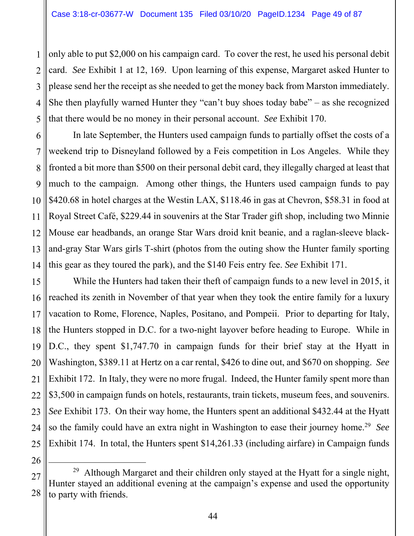1 2 3 4 5 only able to put \$2,000 on his campaign card. To cover the rest, he used his personal debit card. *See* Exhibit 1 at 12, 169. Upon learning of this expense, Margaret asked Hunter to please send her the receipt as she needed to get the money back from Marston immediately. She then playfully warned Hunter they "can't buy shoes today babe" – as she recognized that there would be no money in their personal account. *See* Exhibit 170.

6 7 8 9 10 11 12 13 14 In late September, the Hunters used campaign funds to partially offset the costs of a weekend trip to Disneyland followed by a Feis competition in Los Angeles. While they fronted a bit more than \$500 on their personal debit card, they illegally charged at least that much to the campaign. Among other things, the Hunters used campaign funds to pay \$420.68 in hotel charges at the Westin LAX, \$118.46 in gas at Chevron, \$58.31 in food at Royal Street Café, \$229.44 in souvenirs at the Star Trader gift shop, including two Minnie Mouse ear headbands, an orange Star Wars droid knit beanie, and a raglan-sleeve blackand-gray Star Wars girls T-shirt (photos from the outing show the Hunter family sporting this gear as they toured the park), and the \$140 Feis entry fee. *See* Exhibit 171.

15 16 17 18 19 20 21 22 23 24 25 While the Hunters had taken their theft of campaign funds to a new level in 2015, it reached its zenith in November of that year when they took the entire family for a luxury vacation to Rome, Florence, Naples, Positano, and Pompeii. Prior to departing for Italy, the Hunters stopped in D.C. for a two-night layover before heading to Europe. While in D.C., they spent \$1,747.70 in campaign funds for their brief stay at the Hyatt in Washington, \$389.11 at Hertz on a car rental, \$426 to dine out, and \$670 on shopping. *See* Exhibit 172. In Italy, they were no more frugal. Indeed, the Hunter family spent more than \$3,500 in campaign funds on hotels, restaurants, train tickets, museum fees, and souvenirs. *See* Exhibit 173. On their way home, the Hunters spent an additional \$432.44 at the Hyatt so the family could have an extra night in Washington to ease their journey home.29 *See* Exhibit 174. In total, the Hunters spent \$14,261.33 (including airfare) in Campaign funds

<sup>27</sup>  28 <sup>29</sup> Although Margaret and their children only stayed at the Hyatt for a single night, Hunter stayed an additional evening at the campaign's expense and used the opportunity to party with friends.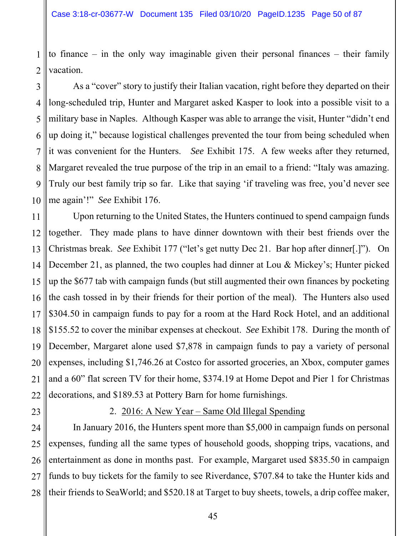1 2 to finance – in the only way imaginable given their personal finances – their family vacation.

3 4 5 6 7 8 9 10 As a "cover" story to justify their Italian vacation, right before they departed on their long-scheduled trip, Hunter and Margaret asked Kasper to look into a possible visit to a military base in Naples. Although Kasper was able to arrange the visit, Hunter "didn't end up doing it," because logistical challenges prevented the tour from being scheduled when it was convenient for the Hunters. *See* Exhibit 175. A few weeks after they returned, Margaret revealed the true purpose of the trip in an email to a friend: "Italy was amazing. Truly our best family trip so far. Like that saying 'if traveling was free, you'd never see me again'!" *See* Exhibit 176.

11 12 13 14 15 16 17 18 19 20 21 22 Upon returning to the United States, the Hunters continued to spend campaign funds together. They made plans to have dinner downtown with their best friends over the Christmas break. *See* Exhibit 177 ("let's get nutty Dec 21. Bar hop after dinner[.]"). On December 21, as planned, the two couples had dinner at Lou & Mickey's; Hunter picked up the \$677 tab with campaign funds (but still augmented their own finances by pocketing the cash tossed in by their friends for their portion of the meal). The Hunters also used \$304.50 in campaign funds to pay for a room at the Hard Rock Hotel, and an additional \$155.52 to cover the minibar expenses at checkout. *See* Exhibit 178. During the month of December, Margaret alone used \$7,878 in campaign funds to pay a variety of personal expenses, including \$1,746.26 at Costco for assorted groceries, an Xbox, computer games and a 60" flat screen TV for their home, \$374.19 at Home Depot and Pier 1 for Christmas decorations, and \$189.53 at Pottery Barn for home furnishings.

23

# 2. 2016: A New Year – Same Old Illegal Spending

24 25 26 27 28 In January 2016, the Hunters spent more than \$5,000 in campaign funds on personal expenses, funding all the same types of household goods, shopping trips, vacations, and entertainment as done in months past. For example, Margaret used \$835.50 in campaign funds to buy tickets for the family to see Riverdance, \$707.84 to take the Hunter kids and their friends to SeaWorld; and \$520.18 at Target to buy sheets, towels, a drip coffee maker,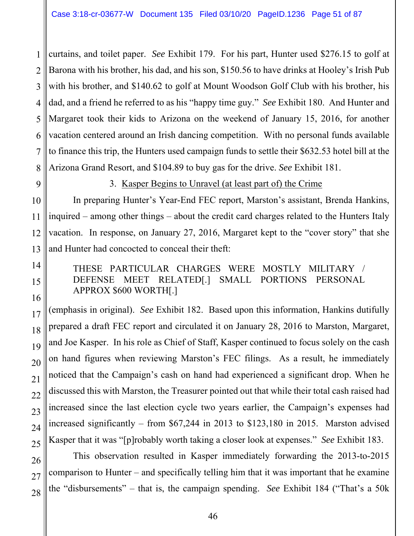1 2 3 4 5 6 7 8 curtains, and toilet paper. *See* Exhibit 179. For his part, Hunter used \$276.15 to golf at Barona with his brother, his dad, and his son, \$150.56 to have drinks at Hooley's Irish Pub with his brother, and \$140.62 to golf at Mount Woodson Golf Club with his brother, his dad, and a friend he referred to as his "happy time guy." *See* Exhibit 180. And Hunter and Margaret took their kids to Arizona on the weekend of January 15, 2016, for another vacation centered around an Irish dancing competition. With no personal funds available to finance this trip, the Hunters used campaign funds to settle their \$632.53 hotel bill at the Arizona Grand Resort, and \$104.89 to buy gas for the drive. *See* Exhibit 181.

9

# 3. Kasper Begins to Unravel (at least part of) the Crime

10 11 In preparing Hunter's Year-End FEC report, Marston's assistant, Brenda Hankins, inquired – among other things – about the credit card charges related to the Hunters Italy vacation. In response, on January 27, 2016, Margaret kept to the "cover story" that she and Hunter had concocted to conceal their theft:

# THESE PARTICULAR CHARGES WERE MOSTLY MILITARY / DEFENSE MEET RELATED[.] SMALL PORTIONS PERSONAL APPROX \$600 WORTH[.]

(emphasis in original). *See* Exhibit 182. Based upon this information, Hankins dutifully prepared a draft FEC report and circulated it on January 28, 2016 to Marston, Margaret, and Joe Kasper. In his role as Chief of Staff, Kasper continued to focus solely on the cash on hand figures when reviewing Marston's FEC filings. As a result, he immediately noticed that the Campaign's cash on hand had experienced a significant drop. When he discussed this with Marston, the Treasurer pointed out that while their total cash raised had increased since the last election cycle two years earlier, the Campaign's expenses had increased significantly – from \$67,244 in 2013 to \$123,180 in 2015. Marston advised Kasper that it was "[p]robably worth taking a closer look at expenses." *See* Exhibit 183.

 This observation resulted in Kasper immediately forwarding the 2013-to-2015 comparison to Hunter – and specifically telling him that it was important that he examine the "disbursements" – that is, the campaign spending. *See* Exhibit 184 ("That's a 50k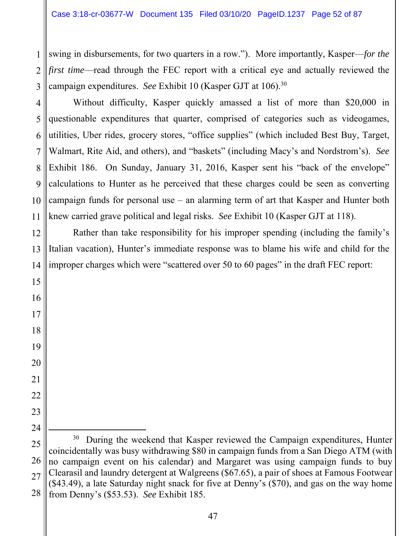1 2 3 swing in disbursements, for two quarters in a row."). More importantly, Kasper—*for the first time*—read through the FEC report with a critical eye and actually reviewed the campaign expenditures. *See* Exhibit 10 (Kasper GJT at 106).30

4 5 6 7 8 9 10 11 Without difficulty, Kasper quickly amassed a list of more than \$20,000 in questionable expenditures that quarter, comprised of categories such as videogames, utilities, Uber rides, grocery stores, "office supplies" (which included Best Buy, Target, Walmart, Rite Aid, and others), and "baskets" (including Macy's and Nordstrom's). *See* Exhibit 186. On Sunday, January 31, 2016, Kasper sent his "back of the envelope" calculations to Hunter as he perceived that these charges could be seen as converting campaign funds for personal use – an alarming term of art that Kasper and Hunter both knew carried grave political and legal risks. *See* Exhibit 10 (Kasper GJT at 118).

12 13 14 Rather than take responsibility for his improper spending (including the family's Italian vacation), Hunter's immediate response was to blame his wife and child for the improper charges which were "scattered over 50 to 60 pages" in the draft FEC report:

15

16

17

18

19

20

21

22

23

<sup>25</sup>  26 27 28 <sup>30</sup> During the weekend that Kasper reviewed the Campaign expenditures, Hunter coincidentally was busy withdrawing \$80 in campaign funds from a San Diego ATM (with no campaign event on his calendar) and Margaret was using campaign funds to buy Clearasil and laundry detergent at Walgreens (\$67.65), a pair of shoes at Famous Footwear (\$43.49), a late Saturday night snack for five at Denny's (\$70), and gas on the way home from Denny's (\$53.53). *See* Exhibit 185.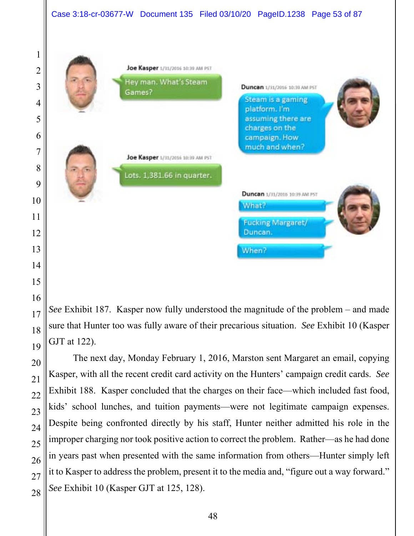

*See* Exhibit 187. Kasper now fully understood the magnitude of the problem – and made sure that Hunter too was fully aware of their precarious situation. *See* Exhibit 10 (Kasper GJT at 122).

The next day, Monday February 1, 2016, Marston sent Margaret an email, copying Kasper, with all the recent credit card activity on the Hunters' campaign credit cards. *See* Exhibit 188. Kasper concluded that the charges on their face—which included fast food, kids' school lunches, and tuition payments—were not legitimate campaign expenses. Despite being confronted directly by his staff, Hunter neither admitted his role in the improper charging nor took positive action to correct the problem. Rather—as he had done in years past when presented with the same information from others—Hunter simply left it to Kasper to address the problem, present it to the media and, "figure out a way forward." *See* Exhibit 10 (Kasper GJT at 125, 128).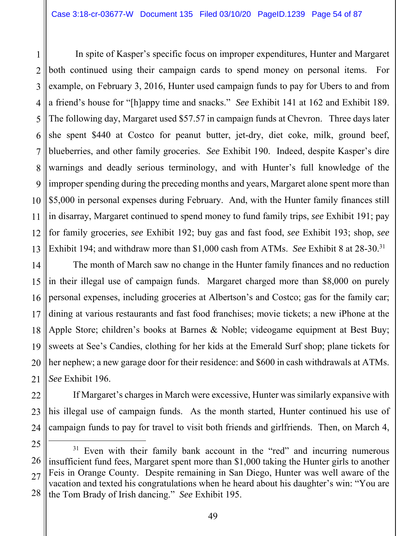1 2 3 4 5 6 7 8 9 10 11 12 13 In spite of Kasper's specific focus on improper expenditures, Hunter and Margaret both continued using their campaign cards to spend money on personal items. For example, on February 3, 2016, Hunter used campaign funds to pay for Ubers to and from a friend's house for "[h]appy time and snacks." *See* Exhibit 141 at 162 and Exhibit 189. The following day, Margaret used \$57.57 in campaign funds at Chevron. Three days later she spent \$440 at Costco for peanut butter, jet-dry, diet coke, milk, ground beef, blueberries, and other family groceries. *See* Exhibit 190. Indeed, despite Kasper's dire warnings and deadly serious terminology, and with Hunter's full knowledge of the improper spending during the preceding months and years, Margaret alone spent more than \$5,000 in personal expenses during February. And, with the Hunter family finances still in disarray, Margaret continued to spend money to fund family trips, *see* Exhibit 191; pay for family groceries, *see* Exhibit 192; buy gas and fast food, *see* Exhibit 193; shop, *see* Exhibit 194; and withdraw more than \$1,000 cash from ATMs. *See* Exhibit 8 at 28-30.31

14 15 16 17 18 19 20 21 The month of March saw no change in the Hunter family finances and no reduction in their illegal use of campaign funds. Margaret charged more than \$8,000 on purely personal expenses, including groceries at Albertson's and Costco; gas for the family car; dining at various restaurants and fast food franchises; movie tickets; a new iPhone at the Apple Store; children's books at Barnes & Noble; videogame equipment at Best Buy; sweets at See's Candies, clothing for her kids at the Emerald Surf shop; plane tickets for her nephew; a new garage door for their residence: and \$600 in cash withdrawals at ATMs. *See* Exhibit 196.

22 23 24 If Margaret's charges in March were excessive, Hunter was similarly expansive with his illegal use of campaign funds. As the month started, Hunter continued his use of campaign funds to pay for travel to visit both friends and girlfriends. Then, on March 4,

<sup>25</sup> 

<sup>26</sup>  27 28  $31$  Even with their family bank account in the "red" and incurring numerous insufficient fund fees, Margaret spent more than \$1,000 taking the Hunter girls to another Feis in Orange County. Despite remaining in San Diego, Hunter was well aware of the vacation and texted his congratulations when he heard about his daughter's win: "You are the Tom Brady of Irish dancing." *See* Exhibit 195.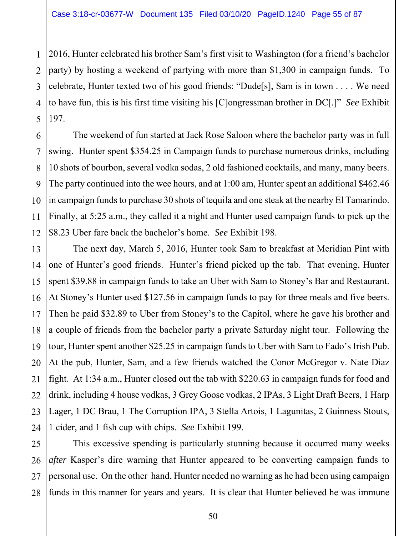1

2 3 4 5 2016, Hunter celebrated his brother Sam's first visit to Washington (for a friend's bachelor party) by hosting a weekend of partying with more than \$1,300 in campaign funds. To celebrate, Hunter texted two of his good friends: "Dude[s], Sam is in town . . . . We need to have fun, this is his first time visiting his [C]ongressman brother in DC[.]" *See* Exhibit 197.

6 7 8 9 10 11 12 The weekend of fun started at Jack Rose Saloon where the bachelor party was in full swing. Hunter spent \$354.25 in Campaign funds to purchase numerous drinks, including 10 shots of bourbon, several vodka sodas, 2 old fashioned cocktails, and many, many beers. The party continued into the wee hours, and at 1:00 am, Hunter spent an additional \$462.46 in campaign funds to purchase 30 shots of tequila and one steak at the nearby El Tamarindo. Finally, at 5:25 a.m., they called it a night and Hunter used campaign funds to pick up the \$8.23 Uber fare back the bachelor's home. *See* Exhibit 198.

13 14 15 16 17 18 19 20 21 22 23 24 The next day, March 5, 2016, Hunter took Sam to breakfast at Meridian Pint with one of Hunter's good friends. Hunter's friend picked up the tab. That evening, Hunter spent \$39.88 in campaign funds to take an Uber with Sam to Stoney's Bar and Restaurant. At Stoney's Hunter used \$127.56 in campaign funds to pay for three meals and five beers. Then he paid \$32.89 to Uber from Stoney's to the Capitol, where he gave his brother and a couple of friends from the bachelor party a private Saturday night tour. Following the tour, Hunter spent another \$25.25 in campaign funds to Uber with Sam to Fado's Irish Pub. At the pub, Hunter, Sam, and a few friends watched the Conor McGregor v. Nate Diaz fight. At 1:34 a.m., Hunter closed out the tab with \$220.63 in campaign funds for food and drink, including 4 house vodkas, 3 Grey Goose vodkas, 2 IPAs, 3 Light Draft Beers, 1 Harp Lager, 1 DC Brau, 1 The Corruption IPA, 3 Stella Artois, 1 Lagunitas, 2 Guinness Stouts, 1 cider, and 1 fish cup with chips. *See* Exhibit 199.

25 26 27 28 This excessive spending is particularly stunning because it occurred many weeks *after* Kasper's dire warning that Hunter appeared to be converting campaign funds to personal use. On the other hand, Hunter needed no warning as he had been using campaign funds in this manner for years and years. It is clear that Hunter believed he was immune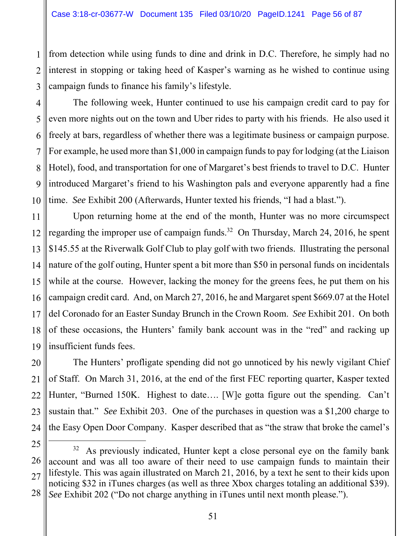1 2 3 from detection while using funds to dine and drink in D.C. Therefore, he simply had no interest in stopping or taking heed of Kasper's warning as he wished to continue using campaign funds to finance his family's lifestyle.

4 5 6 7 8 9 10 The following week, Hunter continued to use his campaign credit card to pay for even more nights out on the town and Uber rides to party with his friends. He also used it freely at bars, regardless of whether there was a legitimate business or campaign purpose. For example, he used more than \$1,000 in campaign funds to pay for lodging (at the Liaison Hotel), food, and transportation for one of Margaret's best friends to travel to D.C. Hunter introduced Margaret's friend to his Washington pals and everyone apparently had a fine time. *See* Exhibit 200 (Afterwards, Hunter texted his friends, "I had a blast.").

11 12 13 14 15 16 17 18 19 Upon returning home at the end of the month, Hunter was no more circumspect regarding the improper use of campaign funds.<sup>32</sup> On Thursday, March 24, 2016, he spent \$145.55 at the Riverwalk Golf Club to play golf with two friends. Illustrating the personal nature of the golf outing, Hunter spent a bit more than \$50 in personal funds on incidentals while at the course. However, lacking the money for the greens fees, he put them on his campaign credit card. And, on March 27, 2016, he and Margaret spent \$669.07 at the Hotel del Coronado for an Easter Sunday Brunch in the Crown Room. *See* Exhibit 201. On both of these occasions, the Hunters' family bank account was in the "red" and racking up insufficient funds fees.

20 21 22 23 24 The Hunters' profligate spending did not go unnoticed by his newly vigilant Chief of Staff. On March 31, 2016, at the end of the first FEC reporting quarter, Kasper texted Hunter, "Burned 150K. Highest to date…. [W]e gotta figure out the spending. Can't sustain that." *See* Exhibit 203. One of the purchases in question was a \$1,200 charge to the Easy Open Door Company. Kasper described that as "the straw that broke the camel's

<sup>26</sup>  27 28  $32$  As previously indicated, Hunter kept a close personal eye on the family bank account and was all too aware of their need to use campaign funds to maintain their lifestyle. This was again illustrated on March 21, 2016, by a text he sent to their kids upon noticing \$32 in iTunes charges (as well as three Xbox charges totaling an additional \$39). *See* Exhibit 202 ("Do not charge anything in iTunes until next month please.").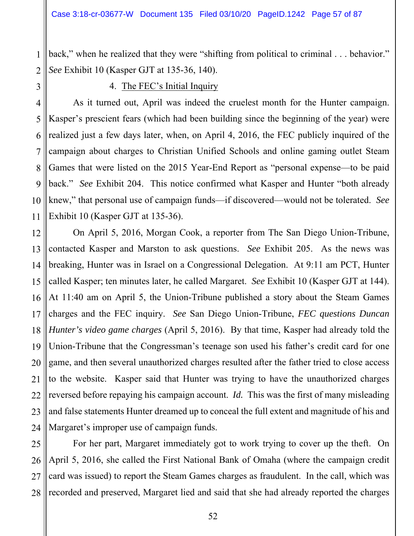2 back," when he realized that they were "shifting from political to criminal . . . behavior." *See* Exhibit 10 (Kasper GJT at 135-36, 140).

## 4. The FEC's Initial Inquiry

1

3

4 5 6 7 8 9 10 11 As it turned out, April was indeed the cruelest month for the Hunter campaign. Kasper's prescient fears (which had been building since the beginning of the year) were realized just a few days later, when, on April 4, 2016, the FEC publicly inquired of the campaign about charges to Christian Unified Schools and online gaming outlet Steam Games that were listed on the 2015 Year-End Report as "personal expense—to be paid back." *See* Exhibit 204. This notice confirmed what Kasper and Hunter "both already knew," that personal use of campaign funds—if discovered—would not be tolerated. *See* Exhibit 10 (Kasper GJT at 135-36).

12 13 14 15 16 17 18 19 20 21 22 23 24 On April 5, 2016, Morgan Cook, a reporter from The San Diego Union-Tribune, contacted Kasper and Marston to ask questions. *See* Exhibit 205. As the news was breaking, Hunter was in Israel on a Congressional Delegation. At 9:11 am PCT, Hunter called Kasper; ten minutes later, he called Margaret. *See* Exhibit 10 (Kasper GJT at 144). At 11:40 am on April 5, the Union-Tribune published a story about the Steam Games charges and the FEC inquiry. *See* San Diego Union-Tribune, *FEC questions Duncan Hunter's video game charges* (April 5, 2016). By that time, Kasper had already told the Union-Tribune that the Congressman's teenage son used his father's credit card for one game, and then several unauthorized charges resulted after the father tried to close access to the website. Kasper said that Hunter was trying to have the unauthorized charges reversed before repaying his campaign account. *Id.* This was the first of many misleading and false statements Hunter dreamed up to conceal the full extent and magnitude of his and Margaret's improper use of campaign funds.

25 26 27 28 For her part, Margaret immediately got to work trying to cover up the theft. On April 5, 2016, she called the First National Bank of Omaha (where the campaign credit card was issued) to report the Steam Games charges as fraudulent. In the call, which was recorded and preserved, Margaret lied and said that she had already reported the charges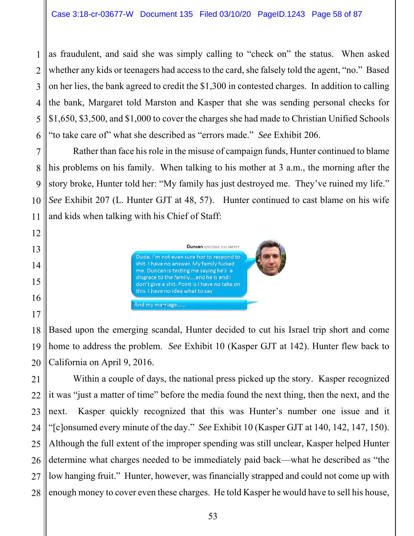as fraudulent, and said she was simply calling to "check on" the status. When asked whether any kids or teenagers had access to the card, she falsely told the agent, "no." Based on her lies, the bank agreed to credit the \$1,300 in contested charges. In addition to calling the bank, Margaret told Marston and Kasper that she was sending personal checks for \$1,650, \$3,500, and \$1,000 to cover the charges she had made to Christian Unified Schools "to take care of" what she described as "errors made." *See* Exhibit 206.

Rather than face his role in the misuse of campaign funds, Hunter continued to blame his problems on his family. When talking to his mother at 3 a.m., the morning after the story broke, Hunter told her: "My family has just destroyed me. They've ruined my life." *See* Exhibit 207 (L. Hunter GJT at 48, 57). Hunter continued to cast blame on his wife and kids when talking with his Chief of Staff:



Based upon the emerging scandal, Hunter decided to cut his Israel trip short and come home to address the problem. *See* Exhibit 10 (Kasper GJT at 142). Hunter flew back to California on April 9, 2016.

Within a couple of days, the national press picked up the story. Kasper recognized it was "just a matter of time" before the media found the next thing, then the next, and the next. Kasper quickly recognized that this was Hunter's number one issue and it "[c]onsumed every minute of the day." *See* Exhibit 10 (Kasper GJT at 140, 142, 147, 150). Although the full extent of the improper spending was still unclear, Kasper helped Hunter determine what charges needed to be immediately paid back—what he described as "the low hanging fruit." Hunter, however, was financially strapped and could not come up with enough money to cover even these charges. He told Kasper he would have to sell his house,

1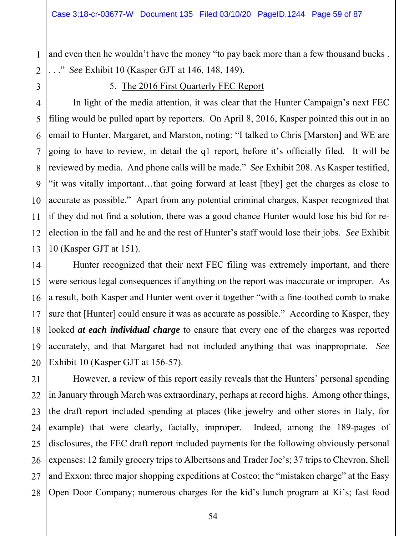1 2 and even then he wouldn't have the money "to pay back more than a few thousand bucks . . . ." *See* Exhibit 10 (Kasper GJT at 146, 148, 149).

3

11

## 5. The 2016 First Quarterly FEC Report

4 5 6 7 8 9 10 12 13 In light of the media attention, it was clear that the Hunter Campaign's next FEC filing would be pulled apart by reporters. On April 8, 2016, Kasper pointed this out in an email to Hunter, Margaret, and Marston, noting: "I talked to Chris [Marston] and WE are going to have to review, in detail the q1 report, before it's officially filed. It will be reviewed by media. And phone calls will be made." *See* Exhibit 208. As Kasper testified, "it was vitally important…that going forward at least [they] get the charges as close to accurate as possible." Apart from any potential criminal charges, Kasper recognized that if they did not find a solution, there was a good chance Hunter would lose his bid for reelection in the fall and he and the rest of Hunter's staff would lose their jobs. *See* Exhibit 10 (Kasper GJT at 151).

14 15 16 17 18 19 20 Hunter recognized that their next FEC filing was extremely important, and there were serious legal consequences if anything on the report was inaccurate or improper. As a result, both Kasper and Hunter went over it together "with a fine-toothed comb to make sure that [Hunter] could ensure it was as accurate as possible." According to Kasper, they looked *at each individual charge* to ensure that every one of the charges was reported accurately, and that Margaret had not included anything that was inappropriate. *See* Exhibit 10 (Kasper GJT at 156-57).

21 22 23 24 25 26 27 28 However, a review of this report easily reveals that the Hunters' personal spending in January through March was extraordinary, perhaps at record highs. Among other things, the draft report included spending at places (like jewelry and other stores in Italy, for example) that were clearly, facially, improper. Indeed, among the 189-pages of disclosures, the FEC draft report included payments for the following obviously personal expenses: 12 family grocery trips to Albertsons and Trader Joe's; 37 trips to Chevron, Shell and Exxon; three major shopping expeditions at Costco; the "mistaken charge" at the Easy Open Door Company; numerous charges for the kid's lunch program at Ki's; fast food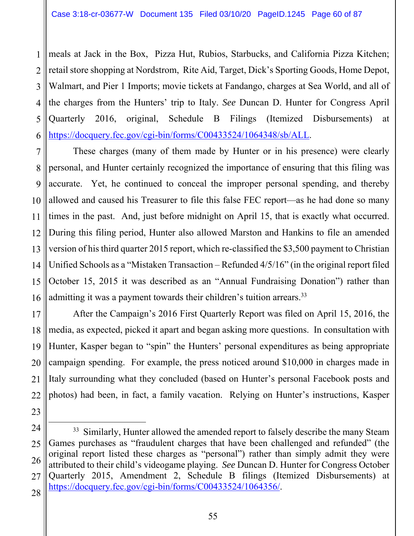1 2 3 4 5 6 meals at Jack in the Box, Pizza Hut, Rubios, Starbucks, and California Pizza Kitchen; retail store shopping at Nordstrom, Rite Aid, Target, Dick's Sporting Goods, Home Depot, Walmart, and Pier 1 Imports; movie tickets at Fandango, charges at Sea World, and all of the charges from the Hunters' trip to Italy. *See* Duncan D. Hunter for Congress April Quarterly 2016, original, Schedule B Filings (Itemized Disbursements) at https://docquery.fec.gov/cgi-bin/forms/C00433524/1064348/sb/ALL.

7 8 9 10 11 12 13 14 15 16 These charges (many of them made by Hunter or in his presence) were clearly personal, and Hunter certainly recognized the importance of ensuring that this filing was accurate. Yet, he continued to conceal the improper personal spending, and thereby allowed and caused his Treasurer to file this false FEC report—as he had done so many times in the past. And, just before midnight on April 15, that is exactly what occurred. During this filing period, Hunter also allowed Marston and Hankins to file an amended version of his third quarter 2015 report, which re-classified the \$3,500 payment to Christian Unified Schools as a "Mistaken Transaction – Refunded 4/5/16" (in the original report filed October 15, 2015 it was described as an "Annual Fundraising Donation") rather than admitting it was a payment towards their children's tuition arrears.<sup>33</sup>

17 18 19 20 21 22 After the Campaign's 2016 First Quarterly Report was filed on April 15, 2016, the media, as expected, picked it apart and began asking more questions. In consultation with Hunter, Kasper began to "spin" the Hunters' personal expenditures as being appropriate campaign spending. For example, the press noticed around \$10,000 in charges made in Italy surrounding what they concluded (based on Hunter's personal Facebook posts and photos) had been, in fact, a family vacation. Relying on Hunter's instructions, Kasper

55

<sup>24</sup>  25 26 27 28 <sup>33</sup> Similarly, Hunter allowed the amended report to falsely describe the many Steam Games purchases as "fraudulent charges that have been challenged and refunded" (the original report listed these charges as "personal") rather than simply admit they were attributed to their child's videogame playing. *See* Duncan D. Hunter for Congress October Quarterly 2015, Amendment 2, Schedule B filings (Itemized Disbursements) at https://docquery.fec.gov/cgi-bin/forms/C00433524/1064356/.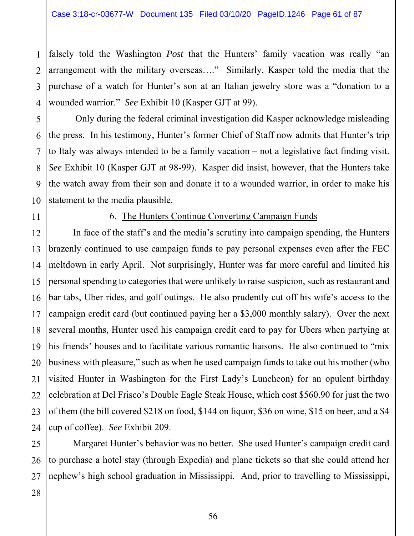1 2 3 4 falsely told the Washington *Post* that the Hunters' family vacation was really "an arrangement with the military overseas…." Similarly, Kasper told the media that the purchase of a watch for Hunter's son at an Italian jewelry store was a "donation to a wounded warrior." *See* Exhibit 10 (Kasper GJT at 99).

5 6 7 8 9 10 Only during the federal criminal investigation did Kasper acknowledge misleading the press. In his testimony, Hunter's former Chief of Staff now admits that Hunter's trip to Italy was always intended to be a family vacation – not a legislative fact finding visit. *See* Exhibit 10 (Kasper GJT at 98-99). Kasper did insist, however, that the Hunters take the watch away from their son and donate it to a wounded warrior, in order to make his statement to the media plausible.

11

#### 6. The Hunters Continue Converting Campaign Funds

12 13 14 15 16 17 18 19 20 21 22 23 24 In face of the staff's and the media's scrutiny into campaign spending, the Hunters brazenly continued to use campaign funds to pay personal expenses even after the FEC meltdown in early April. Not surprisingly, Hunter was far more careful and limited his personal spending to categories that were unlikely to raise suspicion, such as restaurant and bar tabs, Uber rides, and golf outings. He also prudently cut off his wife's access to the campaign credit card (but continued paying her a \$3,000 monthly salary). Over the next several months, Hunter used his campaign credit card to pay for Ubers when partying at his friends' houses and to facilitate various romantic liaisons. He also continued to "mix business with pleasure," such as when he used campaign funds to take out his mother (who visited Hunter in Washington for the First Lady's Luncheon) for an opulent birthday celebration at Del Frisco's Double Eagle Steak House, which cost \$560.90 for just the two of them (the bill covered \$218 on food, \$144 on liquor, \$36 on wine, \$15 on beer, and a \$4 cup of coffee). *See* Exhibit 209.

25 26 27 Margaret Hunter's behavior was no better. She used Hunter's campaign credit card to purchase a hotel stay (through Expedia) and plane tickets so that she could attend her nephew's high school graduation in Mississippi. And, prior to travelling to Mississippi,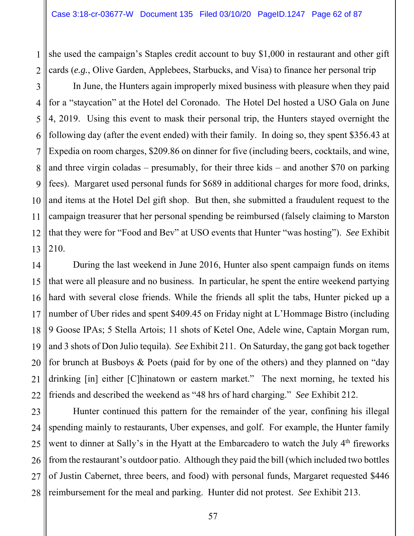1 2 she used the campaign's Staples credit account to buy \$1,000 in restaurant and other gift cards (*e.g.*, Olive Garden, Applebees, Starbucks, and Visa) to finance her personal trip

3 4 5 6 7 8 9 10 11 12 13 In June, the Hunters again improperly mixed business with pleasure when they paid for a "staycation" at the Hotel del Coronado. The Hotel Del hosted a USO Gala on June 4, 2019. Using this event to mask their personal trip, the Hunters stayed overnight the following day (after the event ended) with their family. In doing so, they spent \$356.43 at Expedia on room charges, \$209.86 on dinner for five (including beers, cocktails, and wine, and three virgin coladas – presumably, for their three kids – and another \$70 on parking fees). Margaret used personal funds for \$689 in additional charges for more food, drinks, and items at the Hotel Del gift shop. But then, she submitted a fraudulent request to the campaign treasurer that her personal spending be reimbursed (falsely claiming to Marston that they were for "Food and Bev" at USO events that Hunter "was hosting"). *See* Exhibit 210.

14 15 16 17 18 19 20 21 22 During the last weekend in June 2016, Hunter also spent campaign funds on items that were all pleasure and no business. In particular, he spent the entire weekend partying hard with several close friends. While the friends all split the tabs, Hunter picked up a number of Uber rides and spent \$409.45 on Friday night at L'Hommage Bistro (including 9 Goose IPAs; 5 Stella Artois; 11 shots of Ketel One, Adele wine, Captain Morgan rum, and 3 shots of Don Julio tequila). *See* Exhibit 211. On Saturday, the gang got back together for brunch at Busboys & Poets (paid for by one of the others) and they planned on "day drinking [in] either [C]hinatown or eastern market." The next morning, he texted his friends and described the weekend as "48 hrs of hard charging." *See* Exhibit 212.

23 24 25 26 27 28 Hunter continued this pattern for the remainder of the year, confining his illegal spending mainly to restaurants, Uber expenses, and golf. For example, the Hunter family went to dinner at Sally's in the Hyatt at the Embarcadero to watch the July 4<sup>th</sup> fireworks from the restaurant's outdoor patio. Although they paid the bill (which included two bottles of Justin Cabernet, three beers, and food) with personal funds, Margaret requested \$446 reimbursement for the meal and parking. Hunter did not protest. *See* Exhibit 213.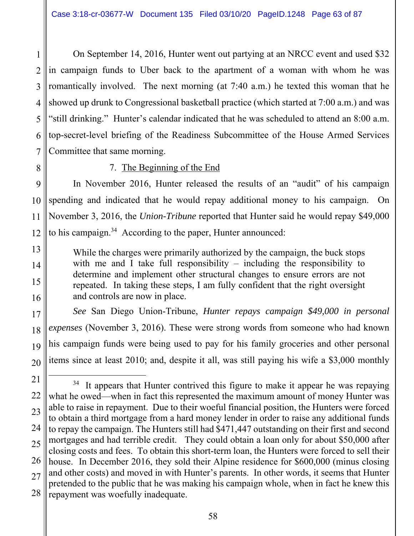1 2 3 4 5 6 7 On September 14, 2016, Hunter went out partying at an NRCC event and used \$32 in campaign funds to Uber back to the apartment of a woman with whom he was romantically involved. The next morning (at 7:40 a.m.) he texted this woman that he showed up drunk to Congressional basketball practice (which started at 7:00 a.m.) and was "still drinking." Hunter's calendar indicated that he was scheduled to attend an 8:00 a.m. top-secret-level briefing of the Readiness Subcommittee of the House Armed Services Committee that same morning.

8

13

14

15

16

17

18

19

20

### 7. The Beginning of the End

9 10 11 12 In November 2016, Hunter released the results of an "audit" of his campaign spending and indicated that he would repay additional money to his campaign. On November 3, 2016, the *Union-Tribune* reported that Hunter said he would repay \$49,000 to his campaign.<sup>34</sup> According to the paper, Hunter announced:

While the charges were primarily authorized by the campaign, the buck stops with me and I take full responsibility – including the responsibility to determine and implement other structural changes to ensure errors are not repeated. In taking these steps, I am fully confident that the right oversight and controls are now in place.

*See* San Diego Union-Tribune, *Hunter repays campaign \$49,000 in personal expenses* (November 3, 2016). These were strong words from someone who had known his campaign funds were being used to pay for his family groceries and other personal items since at least 2010; and, despite it all, was still paying his wife a \$3,000 monthly

<sup>21</sup>  22 23 24 25 26 27 28  $34$  It appears that Hunter contrived this figure to make it appear he was repaying what he owed—when in fact this represented the maximum amount of money Hunter was able to raise in repayment. Due to their woeful financial position, the Hunters were forced to obtain a third mortgage from a hard money lender in order to raise any additional funds to repay the campaign. The Hunters still had \$471,447 outstanding on their first and second mortgages and had terrible credit. They could obtain a loan only for about \$50,000 after closing costs and fees. To obtain this short-term loan, the Hunters were forced to sell their house. In December 2016, they sold their Alpine residence for \$600,000 (minus closing and other costs) and moved in with Hunter's parents. In other words, it seems that Hunter pretended to the public that he was making his campaign whole, when in fact he knew this repayment was woefully inadequate.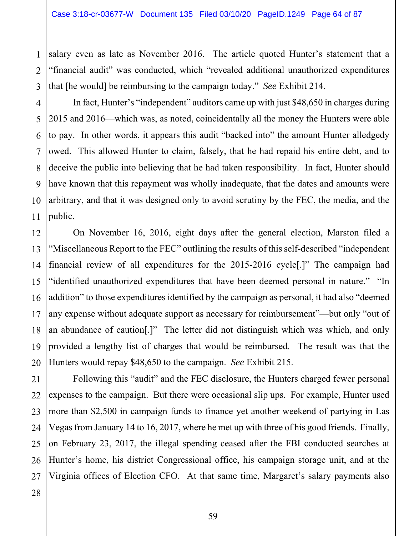salary even as late as November 2016. The article quoted Hunter's statement that a "financial audit" was conducted, which "revealed additional unauthorized expenditures that [he would] be reimbursing to the campaign today." *See* Exhibit 214.

4 5 6 7 8 9 10 In fact, Hunter's "independent" auditors came up with just \$48,650 in charges during 2015 and 2016—which was, as noted, coincidentally all the money the Hunters were able to pay. In other words, it appears this audit "backed into" the amount Hunter alledgedy owed. This allowed Hunter to claim, falsely, that he had repaid his entire debt, and to deceive the public into believing that he had taken responsibility. In fact, Hunter should have known that this repayment was wholly inadequate, that the dates and amounts were arbitrary, and that it was designed only to avoid scrutiny by the FEC, the media, and the public.

12 13 14 15 16 17 18 19 20 On November 16, 2016, eight days after the general election, Marston filed a "Miscellaneous Report to the FEC" outlining the results of this self-described "independent financial review of all expenditures for the 2015-2016 cycle[.]" The campaign had "identified unauthorized expenditures that have been deemed personal in nature." "In addition" to those expenditures identified by the campaign as personal, it had also "deemed any expense without adequate support as necessary for reimbursement"—but only "out of an abundance of caution[.]" The letter did not distinguish which was which, and only provided a lengthy list of charges that would be reimbursed. The result was that the Hunters would repay \$48,650 to the campaign. *See* Exhibit 215.

21 22 23 24 25 26 27 Following this "audit" and the FEC disclosure, the Hunters charged fewer personal expenses to the campaign. But there were occasional slip ups. For example, Hunter used more than \$2,500 in campaign funds to finance yet another weekend of partying in Las Vegas from January 14 to 16, 2017, where he met up with three of his good friends. Finally, on February 23, 2017, the illegal spending ceased after the FBI conducted searches at Hunter's home, his district Congressional office, his campaign storage unit, and at the Virginia offices of Election CFO. At that same time, Margaret's salary payments also

1

2

3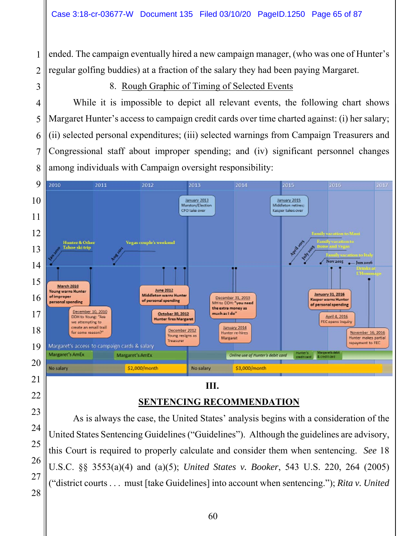ended. The campaign eventually hired a new campaign manager, (who was one of Hunter's regular golfing buddies) at a fraction of the salary they had been paying Margaret.

8. Rough Graphic of Timing of Selected Events

 While it is impossible to depict all relevant events, the following chart shows Margaret Hunter's access to campaign credit cards over time charted against: (i) her salary; (ii) selected personal expenditures; (iii) selected warnings from Campaign Treasurers and Congressional staff about improper spending; and (iv) significant personnel changes among individuals with Campaign oversight responsibility:



# **SENTENCING RECOMMENDATION**

As is always the case, the United States' analysis begins with a consideration of the United States Sentencing Guidelines ("Guidelines"). Although the guidelines are advisory, this Court is required to properly calculate and consider them when sentencing. *See* 18 U.S.C. §§ 3553(a)(4) and (a)(5); *United States v. Booker*, 543 U.S. 220, 264 (2005) ("district courts . . . must [take Guidelines] into account when sentencing."); *Rita v. United*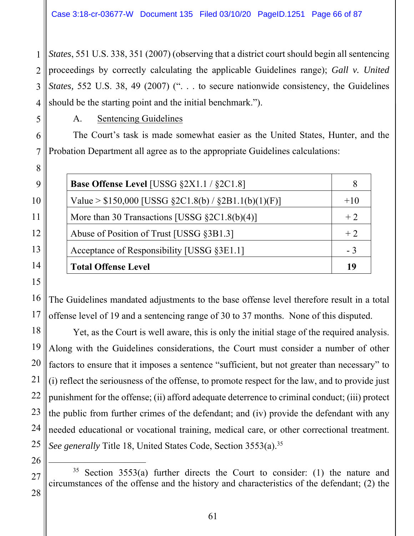1 2 *States*, 551 U.S. 338, 351 (2007) (observing that a district court should begin all sentencing proceedings by correctly calculating the applicable Guidelines range); *Gall v. United States,* 552 U.S. 38, 49 (2007) (". . . to secure nationwide consistency, the Guidelines should be the starting point and the initial benchmark.").

A. Sentencing Guidelines

The Court's task is made somewhat easier as the United States, Hunter, and the Probation Department all agree as to the appropriate Guidelines calculations:

| <b>Base Offense Level</b> [USSG $\S 2X1.1 / \S 2C1.8$ ] |       |
|---------------------------------------------------------|-------|
| Value > $$150,000$ [USSG $$2C1.8(b) / $2B1.1(b)(1)(F)]$ | $+10$ |
| More than 30 Transactions [USSG $\S 2C1.8(b)(4)$ ]      | $+2$  |
| Abuse of Position of Trust [USSG §3B1.3]                | $+2$  |
| Acceptance of Responsibility [USSG §3E1.1]              | $-3$  |
| <b>Total Offense Level</b>                              |       |

The Guidelines mandated adjustments to the base offense level therefore result in a total offense level of 19 and a sentencing range of 30 to 37 months. None of this disputed.

Yet, as the Court is well aware, this is only the initial stage of the required analysis. Along with the Guidelines considerations, the Court must consider a number of other factors to ensure that it imposes a sentence "sufficient, but not greater than necessary" to (i) reflect the seriousness of the offense, to promote respect for the law, and to provide just punishment for the offense; (ii) afford adequate deterrence to criminal conduct; (iii) protect the public from further crimes of the defendant; and (iv) provide the defendant with any needed educational or vocational training, medical care, or other correctional treatment. *See generally* Title 18, United States Code, Section 3553(a).<sup>35</sup>

 $35$  Section 3553(a) further directs the Court to consider: (1) the nature and circumstances of the offense and the history and characteristics of the defendant; (2) the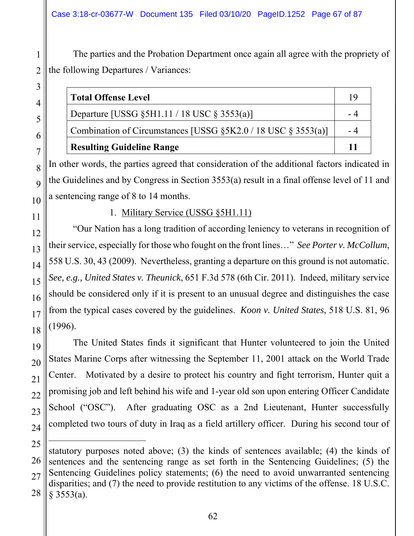The parties and the Probation Department once again all agree with the propriety of the following Departures / Variances:

| <b>Total Offense Level</b>                                            |  |
|-----------------------------------------------------------------------|--|
| Departure [USSG $\S$ 5H1.11 / 18 USC $\S$ 3553(a)]                    |  |
| Combination of Circumstances [USSG $\S 5K2.0 / 18$ USC $\S 3553(a)$ ] |  |
| <b>Resulting Guideline Range</b>                                      |  |

In other words, the parties agreed that consideration of the additional factors indicated in the Guidelines and by Congress in Section 3553(a) result in a final offense level of 11 and a sentencing range of 8 to 14 months.

1

2

3

4

5

6

7

# 1. Military Service (USSG §5H1.11)

"Our Nation has a long tradition of according leniency to veterans in recognition of their service, especially for those who fought on the front lines…" *See Porter v. McCollum*, 558 U.S. 30, 43 (2009). Nevertheless, granting a departure on this ground is not automatic. *See, e.g., United States v. Theunick*, 651 F.3d 578 (6th Cir. 2011). Indeed, military service should be considered only if it is present to an unusual degree and distinguishes the case from the typical cases covered by the guidelines. *Koon v. United States*, 518 U.S. 81, 96 (1996).

The United States finds it significant that Hunter volunteered to join the United States Marine Corps after witnessing the September 11, 2001 attack on the World Trade Center. Motivated by a desire to protect his country and fight terrorism, Hunter quit a promising job and left behind his wife and 1-year old son upon entering Officer Candidate School ("OSC"). After graduating OSC as a 2nd Lieutenant, Hunter successfully completed two tours of duty in Iraq as a field artillery officer. During his second tour of

 $\overline{a}$ 

<sup>28</sup>  statutory purposes noted above; (3) the kinds of sentences available; (4) the kinds of sentences and the sentencing range as set forth in the Sentencing Guidelines; (5) the Sentencing Guidelines policy statements; (6) the need to avoid unwarranted sentencing disparities; and (7) the need to provide restitution to any victims of the offense. 18 U.S.C.  $§$  3553(a).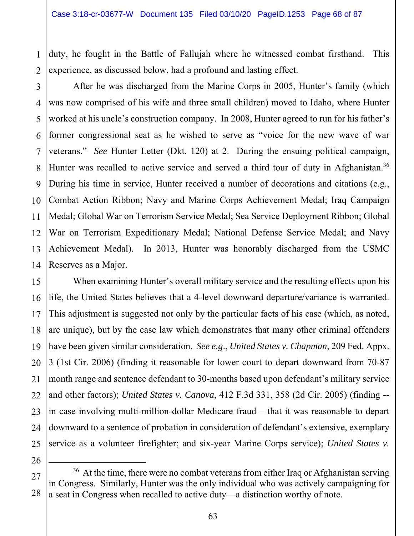1

2

26

duty, he fought in the Battle of Fallujah where he witnessed combat firsthand. This experience, as discussed below, had a profound and lasting effect.

3 4 5 6 7 8 9 10 11 12 13 14 After he was discharged from the Marine Corps in 2005, Hunter's family (which was now comprised of his wife and three small children) moved to Idaho, where Hunter worked at his uncle's construction company. In 2008, Hunter agreed to run for his father's former congressional seat as he wished to serve as "voice for the new wave of war veterans." *See* Hunter Letter (Dkt. 120) at 2. During the ensuing political campaign, Hunter was recalled to active service and served a third tour of duty in Afghanistan.<sup>36</sup> During his time in service, Hunter received a number of decorations and citations (e.g., Combat Action Ribbon; Navy and Marine Corps Achievement Medal; Iraq Campaign Medal; Global War on Terrorism Service Medal; Sea Service Deployment Ribbon; Global War on Terrorism Expeditionary Medal; National Defense Service Medal; and Navy Achievement Medal). In 2013, Hunter was honorably discharged from the USMC Reserves as a Major.

15 16 17 18 19 20 21 22 23 24 25 When examining Hunter's overall military service and the resulting effects upon his life, the United States believes that a 4-level downward departure/variance is warranted. This adjustment is suggested not only by the particular facts of his case (which, as noted, are unique), but by the case law which demonstrates that many other criminal offenders have been given similar consideration. *See e.g*., *United States v. Chapman*, 209 Fed. Appx. 3 (1st Cir. 2006) (finding it reasonable for lower court to depart downward from 70-87 month range and sentence defendant to 30-months based upon defendant's military service and other factors); *United States v. Canova*, 412 F.3d 331, 358 (2d Cir. 2005) (finding - in case involving multi-million-dollar Medicare fraud – that it was reasonable to depart downward to a sentence of probation in consideration of defendant's extensive, exemplary service as a volunteer firefighter; and six-year Marine Corps service); *United States v.* 

<sup>27</sup>  28  $36$  At the time, there were no combat veterans from either Iraq or Afghanistan serving in Congress. Similarly, Hunter was the only individual who was actively campaigning for a seat in Congress when recalled to active duty—a distinction worthy of note.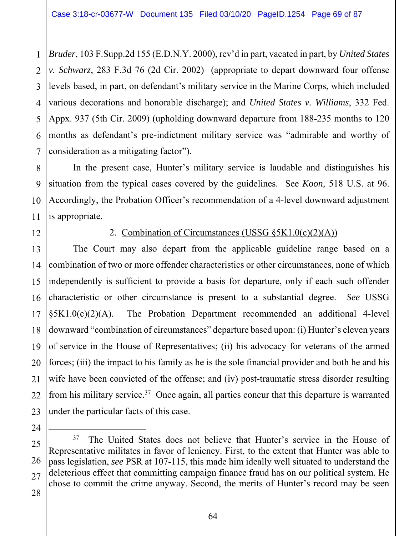1 2 3 4 5 6 7 *Bruder*, 103 F.Supp.2d 155 (E.D.N.Y. 2000), rev'd in part, vacated in part, by *United States v. Schwarz*, 283 F.3d 76 (2d Cir. 2002) (appropriate to depart downward four offense levels based, in part, on defendant's military service in the Marine Corps, which included various decorations and honorable discharge); and *United States v. Williams*, 332 Fed. Appx. 937 (5th Cir. 2009) (upholding downward departure from 188-235 months to 120 months as defendant's pre-indictment military service was "admirable and worthy of consideration as a mitigating factor").

8 9 10 11 In the present case, Hunter's military service is laudable and distinguishes his situation from the typical cases covered by the guidelines. See *Koon,* 518 U.S. at 96. Accordingly, the Probation Officer's recommendation of a 4-level downward adjustment is appropriate.

12

# 2. Combination of Circumstances (USSG  $\S 5K1.0(c)(2)(A)$ )

13 14 15 16 17 18 19 20 21 22 23 The Court may also depart from the applicable guideline range based on a combination of two or more offender characteristics or other circumstances, none of which independently is sufficient to provide a basis for departure, only if each such offender characteristic or other circumstance is present to a substantial degree. *See* USSG  $\S 5K1.0(c)(2)(A)$ . The Probation Department recommended an additional 4-level downward "combination of circumstances" departure based upon: (i) Hunter's eleven years of service in the House of Representatives; (ii) his advocacy for veterans of the armed forces; (iii) the impact to his family as he is the sole financial provider and both he and his wife have been convicted of the offense; and (iv) post-traumatic stress disorder resulting from his military service.<sup>37</sup> Once again, all parties concur that this departure is warranted under the particular facts of this case.

<sup>25</sup>  26 27 28 <sup>37</sup> The United States does not believe that Hunter's service in the House of Representative militates in favor of leniency. First, to the extent that Hunter was able to pass legislation, *see* PSR at 107-115, this made him ideally well situated to understand the deleterious effect that committing campaign finance fraud has on our political system. He chose to commit the crime anyway. Second, the merits of Hunter's record may be seen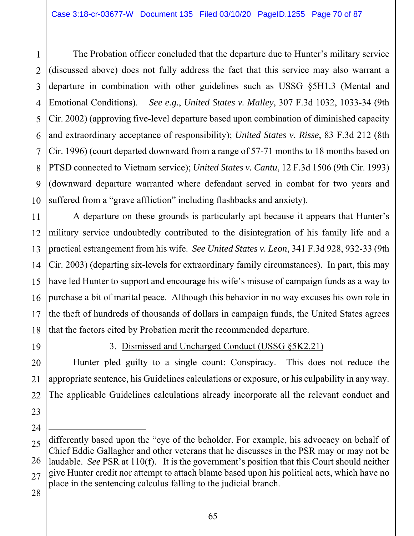1 2 3 4 5 6 7 8 9 10 The Probation officer concluded that the departure due to Hunter's military service (discussed above) does not fully address the fact that this service may also warrant a departure in combination with other guidelines such as USSG §5H1.3 (Mental and Emotional Conditions). *See e.g.*, *United States v. Malley*, 307 F.3d 1032, 1033-34 (9th Cir. 2002) (approving five-level departure based upon combination of diminished capacity and extraordinary acceptance of responsibility); *United States v. Risse*, 83 F.3d 212 (8th Cir. 1996) (court departed downward from a range of 57-71 months to 18 months based on PTSD connected to Vietnam service); *United States v. Cantu*, 12 F.3d 1506 (9th Cir. 1993) (downward departure warranted where defendant served in combat for two years and suffered from a "grave affliction" including flashbacks and anxiety).

11 12 13 14 15 16 17 18 A departure on these grounds is particularly apt because it appears that Hunter's military service undoubtedly contributed to the disintegration of his family life and a practical estrangement from his wife. *See United States v. Leon*, 341 F.3d 928, 932-33 (9th Cir. 2003) (departing six-levels for extraordinary family circumstances). In part, this may have led Hunter to support and encourage his wife's misuse of campaign funds as a way to purchase a bit of marital peace. Although this behavior in no way excuses his own role in the theft of hundreds of thousands of dollars in campaign funds, the United States agrees that the factors cited by Probation merit the recommended departure.

19

# 3. Dismissed and Uncharged Conduct (USSG §5K2.21)

20 21 22 Hunter pled guilty to a single count: Conspiracy. This does not reduce the appropriate sentence, his Guidelines calculations or exposure, or his culpability in any way. The applicable Guidelines calculations already incorporate all the relevant conduct and

23 24

 $\overline{a}$ 

<sup>25</sup>  26 27 differently based upon the "eye of the beholder. For example, his advocacy on behalf of Chief Eddie Gallagher and other veterans that he discusses in the PSR may or may not be laudable. *See* PSR at 110(f). It is the government's position that this Court should neither give Hunter credit nor attempt to attach blame based upon his political acts, which have no place in the sentencing calculus falling to the judicial branch.

<sup>28</sup>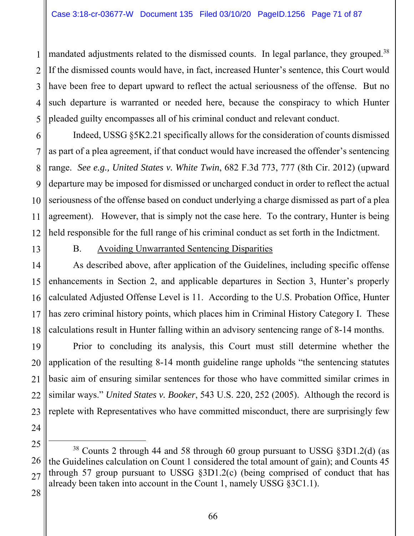1 2 3 4 5 mandated adjustments related to the dismissed counts. In legal parlance, they grouped.<sup>38</sup> If the dismissed counts would have, in fact, increased Hunter's sentence, this Court would have been free to depart upward to reflect the actual seriousness of the offense. But no such departure is warranted or needed here, because the conspiracy to which Hunter pleaded guilty encompasses all of his criminal conduct and relevant conduct.

6 7 8 9 10 11 12 Indeed, USSG §5K2.21 specifically allows for the consideration of counts dismissed as part of a plea agreement, if that conduct would have increased the offender's sentencing range. *See e.g., United States v. White Twin*, 682 F.3d 773, 777 (8th Cir. 2012) (upward departure may be imposed for dismissed or uncharged conduct in order to reflect the actual seriousness of the offense based on conduct underlying a charge dismissed as part of a plea agreement). However, that is simply not the case here. To the contrary, Hunter is being held responsible for the full range of his criminal conduct as set forth in the Indictment.

13

# B. Avoiding Unwarranted Sentencing Disparities

14 15 16 17 18 As described above, after application of the Guidelines, including specific offense enhancements in Section 2, and applicable departures in Section 3, Hunter's properly calculated Adjusted Offense Level is 11. According to the U.S. Probation Office, Hunter has zero criminal history points, which places him in Criminal History Category I. These calculations result in Hunter falling within an advisory sentencing range of 8-14 months.

19 20 21 22 23 Prior to concluding its analysis, this Court must still determine whether the application of the resulting 8-14 month guideline range upholds "the sentencing statutes basic aim of ensuring similar sentences for those who have committed similar crimes in similar ways." *United States v. Booker*, 543 U.S. 220, 252 (2005). Although the record is replete with Representatives who have committed misconduct, there are surprisingly few

25 26 27 38 Counts 2 through 44 and 58 through 60 group pursuant to USSG §3D1.2(d) (as the Guidelines calculation on Count 1 considered the total amount of gain); and Counts 45 through 57 group pursuant to USSG §3D1.2(c) (being comprised of conduct that has already been taken into account in the Count 1, namely USSG §3C1.1).

28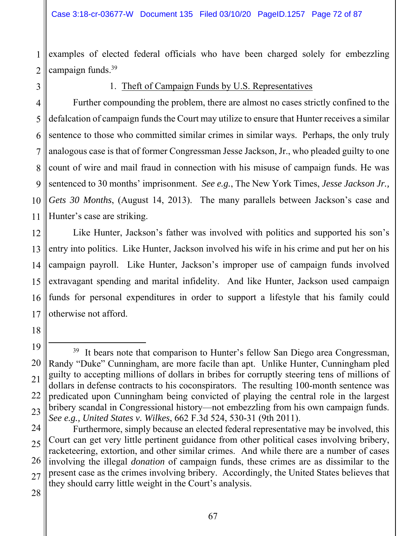1 2 examples of elected federal officials who have been charged solely for embezzling campaign funds.39

3

### 1. Theft of Campaign Funds by U.S. Representatives

4 5 6 7 8 9 10 11 Further compounding the problem, there are almost no cases strictly confined to the defalcation of campaign funds the Court may utilize to ensure that Hunter receives a similar sentence to those who committed similar crimes in similar ways. Perhaps, the only truly analogous case is that of former Congressman Jesse Jackson, Jr., who pleaded guilty to one count of wire and mail fraud in connection with his misuse of campaign funds. He was sentenced to 30 months' imprisonment. *See e.g.*, The New York Times, *Jesse Jackson Jr., Gets 30 Months*, (August 14, 2013). The many parallels between Jackson's case and Hunter's case are striking.

12 13 14 15 16 17 Like Hunter, Jackson's father was involved with politics and supported his son's entry into politics. Like Hunter, Jackson involved his wife in his crime and put her on his campaign payroll. Like Hunter, Jackson's improper use of campaign funds involved extravagant spending and marital infidelity. And like Hunter, Jackson used campaign funds for personal expenditures in order to support a lifestyle that his family could otherwise not afford.

<sup>19</sup>  20 21 22 23  $39$  It bears note that comparison to Hunter's fellow San Diego area Congressman, Randy "Duke" Cunningham, are more facile than apt. Unlike Hunter, Cunningham pled guilty to accepting millions of dollars in bribes for corruptly steering tens of millions of dollars in defense contracts to his coconspirators. The resulting 100-month sentence was predicated upon Cunningham being convicted of playing the central role in the largest bribery scandal in Congressional history—not embezzling from his own campaign funds. *See e.g., United States v. Wilkes*, 662 F.3d 524, 530-31 (9th 2011).

<sup>24</sup>  25 26 27 Furthermore, simply because an elected federal representative may be involved, this Court can get very little pertinent guidance from other political cases involving bribery, racketeering, extortion, and other similar crimes. And while there are a number of cases involving the illegal *donation* of campaign funds, these crimes are as dissimilar to the present case as the crimes involving bribery. Accordingly, the United States believes that they should carry little weight in the Court's analysis.

<sup>28</sup>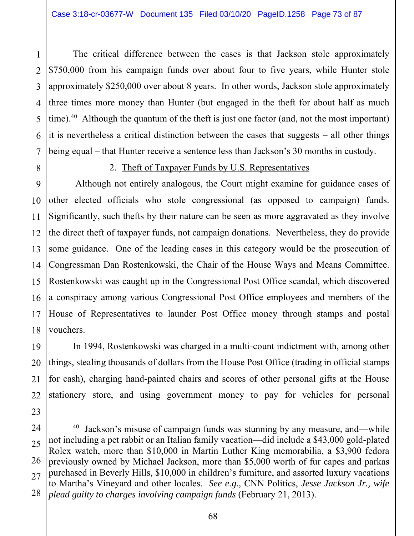1 2 3 4 5 6 7 The critical difference between the cases is that Jackson stole approximately \$750,000 from his campaign funds over about four to five years, while Hunter stole approximately \$250,000 over about 8 years. In other words, Jackson stole approximately three times more money than Hunter (but engaged in the theft for about half as much time).<sup>40</sup> Although the quantum of the theft is just one factor (and, not the most important) it is nevertheless a critical distinction between the cases that suggests – all other things being equal – that Hunter receive a sentence less than Jackson's 30 months in custody.

8

23

## 2. Theft of Taxpayer Funds by U.S. Representatives

9 10 11 12 13 14 15 16 17 18 Although not entirely analogous, the Court might examine for guidance cases of other elected officials who stole congressional (as opposed to campaign) funds. Significantly, such thefts by their nature can be seen as more aggravated as they involve the direct theft of taxpayer funds, not campaign donations. Nevertheless, they do provide some guidance. One of the leading cases in this category would be the prosecution of Congressman Dan Rostenkowski, the Chair of the House Ways and Means Committee. Rostenkowski was caught up in the Congressional Post Office scandal, which discovered a conspiracy among various Congressional Post Office employees and members of the House of Representatives to launder Post Office money through stamps and postal vouchers.

19 20 21 22 In 1994, Rostenkowski was charged in a multi-count indictment with, among other things, stealing thousands of dollars from the House Post Office (trading in official stamps for cash), charging hand-painted chairs and scores of other personal gifts at the House stationery store, and using government money to pay for vehicles for personal

<sup>24</sup>  25 26 27 28 <sup>40</sup> Jackson's misuse of campaign funds was stunning by any measure, and—while not including a pet rabbit or an Italian family vacation—did include a \$43,000 gold-plated Rolex watch, more than \$10,000 in Martin Luther King memorabilia, a \$3,900 fedora previously owned by Michael Jackson, more than \$5,000 worth of fur capes and parkas purchased in Beverly Hills, \$10,000 in children's furniture, and assorted luxury vacations to Martha's Vineyard and other locales. *See e.g.,* CNN Politics, *Jesse Jackson Jr., wife plead guilty to charges involving campaign funds* (February 21, 2013).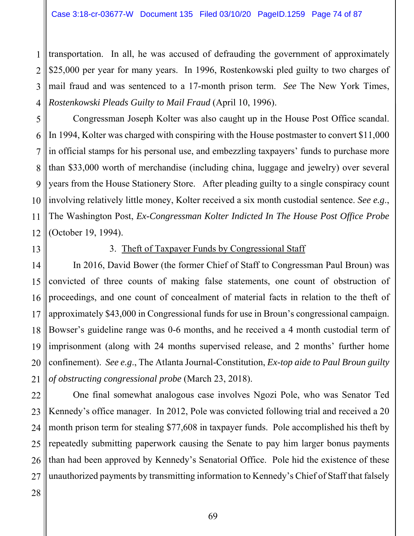1 2 3 4 transportation. In all, he was accused of defrauding the government of approximately \$25,000 per year for many years. In 1996, Rostenkowski pled guilty to two charges of mail fraud and was sentenced to a 17-month prison term. *See* The New York Times, *Rostenkowski Pleads Guilty to Mail Fraud* (April 10, 1996).

5 6 7 8 9 10 11 12 Congressman Joseph Kolter was also caught up in the House Post Office scandal. In 1994, Kolter was charged with conspiring with the House postmaster to convert \$11,000 in official stamps for his personal use, and embezzling taxpayers' funds to purchase more than \$33,000 worth of merchandise (including china, luggage and jewelry) over several years from the House Stationery Store. After pleading guilty to a single conspiracy count involving relatively little money, Kolter received a six month custodial sentence. *See e.g*., The Washington Post, *Ex-Congressman Kolter Indicted In The House Post Office Probe* (October 19, 1994).

13

# 3. Theft of Taxpayer Funds by Congressional Staff

14 15 16 17 18 19 20 21 In 2016, David Bower (the former Chief of Staff to Congressman Paul Broun) was convicted of three counts of making false statements, one count of obstruction of proceedings, and one count of concealment of material facts in relation to the theft of approximately \$43,000 in Congressional funds for use in Broun's congressional campaign. Bowser's guideline range was 0-6 months, and he received a 4 month custodial term of imprisonment (along with 24 months supervised release, and 2 months' further home confinement). *See e.g*., The Atlanta Journal-Constitution, *Ex-top aide to Paul Broun guilty of obstructing congressional probe* (March 23, 2018).

22 23 24 25 26 27 One final somewhat analogous case involves Ngozi Pole, who was Senator Ted Kennedy's office manager. In 2012, Pole was convicted following trial and received a 20 month prison term for stealing \$77,608 in taxpayer funds. Pole accomplished his theft by repeatedly submitting paperwork causing the Senate to pay him larger bonus payments than had been approved by Kennedy's Senatorial Office. Pole hid the existence of these unauthorized payments by transmitting information to Kennedy's Chief of Staff that falsely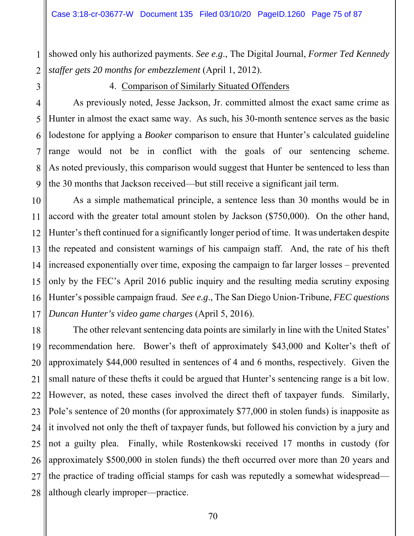1 2 showed only his authorized payments. *See e.g*., The Digital Journal, *Former Ted Kennedy staffer gets 20 months for embezzlement* (April 1, 2012).

3

4. Comparison of Similarly Situated Offenders

4 5 6 7 8 9 As previously noted, Jesse Jackson, Jr. committed almost the exact same crime as Hunter in almost the exact same way. As such, his 30-month sentence serves as the basic lodestone for applying a *Booker* comparison to ensure that Hunter's calculated guideline range would not be in conflict with the goals of our sentencing scheme. As noted previously, this comparison would suggest that Hunter be sentenced to less than the 30 months that Jackson received—but still receive a significant jail term.

10 11 12 13 14 15 16 17 As a simple mathematical principle, a sentence less than 30 months would be in accord with the greater total amount stolen by Jackson (\$750,000). On the other hand, Hunter's theft continued for a significantly longer period of time. It was undertaken despite the repeated and consistent warnings of his campaign staff. And, the rate of his theft increased exponentially over time, exposing the campaign to far larger losses – prevented only by the FEC's April 2016 public inquiry and the resulting media scrutiny exposing Hunter's possible campaign fraud. *See e.g*., The San Diego Union-Tribune, *FEC questions Duncan Hunter's video game charges* (April 5, 2016).

18 19 20 21 22 23 24 25 26 27 28 The other relevant sentencing data points are similarly in line with the United States' recommendation here. Bower's theft of approximately \$43,000 and Kolter's theft of approximately \$44,000 resulted in sentences of 4 and 6 months, respectively. Given the small nature of these thefts it could be argued that Hunter's sentencing range is a bit low. However, as noted, these cases involved the direct theft of taxpayer funds. Similarly, Pole's sentence of 20 months (for approximately \$77,000 in stolen funds) is inapposite as it involved not only the theft of taxpayer funds, but followed his conviction by a jury and not a guilty plea. Finally, while Rostenkowski received 17 months in custody (for approximately \$500,000 in stolen funds) the theft occurred over more than 20 years and the practice of trading official stamps for cash was reputedly a somewhat widespread although clearly improper—practice.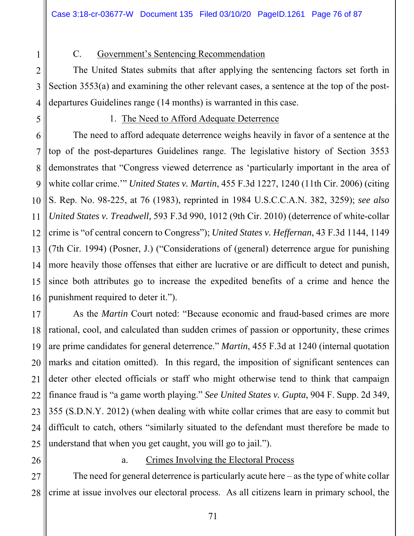## C. Government's Sentencing Recommendation

The United States submits that after applying the sentencing factors set forth in Section 3553(a) and examining the other relevant cases, a sentence at the top of the postdepartures Guidelines range (14 months) is warranted in this case.

## 1. The Need to Afford Adequate Deterrence

The need to afford adequate deterrence weighs heavily in favor of a sentence at the top of the post-departures Guidelines range. The legislative history of Section 3553 demonstrates that "Congress viewed deterrence as 'particularly important in the area of white collar crime.'" *United States v. Martin*, 455 F.3d 1227, 1240 (11th Cir. 2006) (citing S. Rep. No. 98-225, at 76 (1983), reprinted in 1984 U.S.C.C.A.N. 382, 3259); *see also United States v. Treadwell,* 593 F.3d 990, 1012 (9th Cir. 2010) (deterrence of white-collar crime is "of central concern to Congress"); *United States v. Heffernan*, 43 F.3d 1144, 1149 (7th Cir. 1994) (Posner, J.) ("Considerations of (general) deterrence argue for punishing more heavily those offenses that either are lucrative or are difficult to detect and punish, since both attributes go to increase the expedited benefits of a crime and hence the punishment required to deter it.").

19 20 21 22 23 24 25 As the *Martin* Court noted: "Because economic and fraud-based crimes are more rational, cool, and calculated than sudden crimes of passion or opportunity, these crimes are prime candidates for general deterrence." *Martin*, 455 F.3d at 1240 (internal quotation marks and citation omitted). In this regard, the imposition of significant sentences can deter other elected officials or staff who might otherwise tend to think that campaign finance fraud is "a game worth playing." *See United States v. Gupta*, 904 F. Supp. 2d 349, 355 (S.D.N.Y. 2012) (when dealing with white collar crimes that are easy to commit but difficult to catch, others "similarly situated to the defendant must therefore be made to understand that when you get caught, you will go to jail.").

26

# a. Crimes Involving the Electoral Process

27 28 The need for general deterrence is particularly acute here – as the type of white collar crime at issue involves our electoral process. As all citizens learn in primary school, the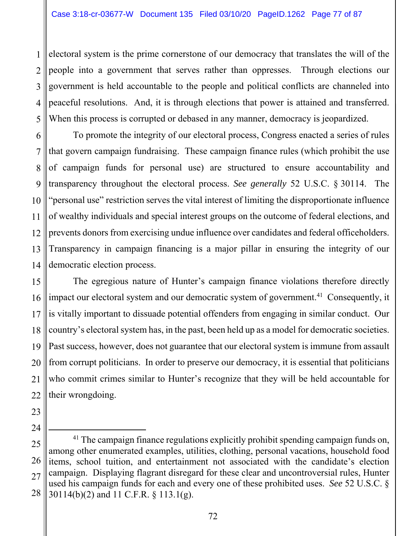1 2 3 4 5 electoral system is the prime cornerstone of our democracy that translates the will of the people into a government that serves rather than oppresses. Through elections our government is held accountable to the people and political conflicts are channeled into peaceful resolutions. And, it is through elections that power is attained and transferred. When this process is corrupted or debased in any manner, democracy is jeopardized.

6 7 8 9 10 11 12 13 14 To promote the integrity of our electoral process, Congress enacted a series of rules that govern campaign fundraising. These campaign finance rules (which prohibit the use of campaign funds for personal use) are structured to ensure accountability and transparency throughout the electoral process. *See generally* 52 U.S.C. § 30114. The "personal use" restriction serves the vital interest of limiting the disproportionate influence of wealthy individuals and special interest groups on the outcome of federal elections, and prevents donors from exercising undue influence over candidates and federal officeholders. Transparency in campaign financing is a major pillar in ensuring the integrity of our democratic election process.

15 16 17 18 19 20 21 22 The egregious nature of Hunter's campaign finance violations therefore directly impact our electoral system and our democratic system of government.<sup>41</sup> Consequently, it is vitally important to dissuade potential offenders from engaging in similar conduct. Our country's electoral system has, in the past, been held up as a model for democratic societies. Past success, however, does not guarantee that our electoral system is immune from assault from corrupt politicians. In order to preserve our democracy, it is essential that politicians who commit crimes similar to Hunter's recognize that they will be held accountable for their wrongdoing.

23

<sup>25</sup>  26 27 28 <sup>41</sup> The campaign finance regulations explicitly prohibit spending campaign funds on, among other enumerated examples, utilities, clothing, personal vacations, household food items, school tuition, and entertainment not associated with the candidate's election campaign. Displaying flagrant disregard for these clear and uncontroversial rules, Hunter used his campaign funds for each and every one of these prohibited uses. *See* 52 U.S.C. § 30114(b)(2) and 11 C.F.R. § 113.1(g).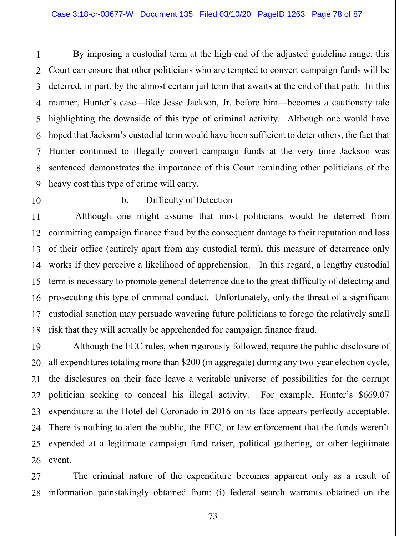1 2 3 4 5 6 7 8 9 By imposing a custodial term at the high end of the adjusted guideline range, this Court can ensure that other politicians who are tempted to convert campaign funds will be deterred, in part, by the almost certain jail term that awaits at the end of that path. In this manner, Hunter's case—like Jesse Jackson, Jr. before him—becomes a cautionary tale highlighting the downside of this type of criminal activity. Although one would have hoped that Jackson's custodial term would have been sufficient to deter others, the fact that Hunter continued to illegally convert campaign funds at the very time Jackson was sentenced demonstrates the importance of this Court reminding other politicians of the heavy cost this type of crime will carry.

10

# b. Difficulty of Detection

11 12 13 14 15 16 17 18 Although one might assume that most politicians would be deterred from committing campaign finance fraud by the consequent damage to their reputation and loss of their office (entirely apart from any custodial term), this measure of deterrence only works if they perceive a likelihood of apprehension. In this regard, a lengthy custodial term is necessary to promote general deterrence due to the great difficulty of detecting and prosecuting this type of criminal conduct. Unfortunately, only the threat of a significant custodial sanction may persuade wavering future politicians to forego the relatively small risk that they will actually be apprehended for campaign finance fraud.

19 20 21 22 23 24 25 26 Although the FEC rules, when rigorously followed, require the public disclosure of all expenditures totaling more than \$200 (in aggregate) during any two-year election cycle, the disclosures on their face leave a veritable universe of possibilities for the corrupt politician seeking to conceal his illegal activity. For example, Hunter's \$669.07 expenditure at the Hotel del Coronado in 2016 on its face appears perfectly acceptable. There is nothing to alert the public, the FEC, or law enforcement that the funds weren't expended at a legitimate campaign fund raiser, political gathering, or other legitimate event.

27 28 The criminal nature of the expenditure becomes apparent only as a result of information painstakingly obtained from: (i) federal search warrants obtained on the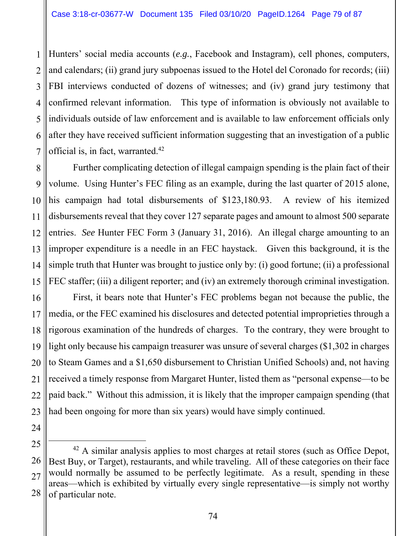1 2 3 4 5 6 7 Hunters' social media accounts (*e.g.*, Facebook and Instagram), cell phones, computers, and calendars; (ii) grand jury subpoenas issued to the Hotel del Coronado for records; (iii) FBI interviews conducted of dozens of witnesses; and (iv) grand jury testimony that confirmed relevant information. This type of information is obviously not available to individuals outside of law enforcement and is available to law enforcement officials only after they have received sufficient information suggesting that an investigation of a public official is, in fact, warranted.42

8 9 10 11 12 13 14 15 Further complicating detection of illegal campaign spending is the plain fact of their volume. Using Hunter's FEC filing as an example, during the last quarter of 2015 alone, his campaign had total disbursements of \$123,180.93. A review of his itemized disbursements reveal that they cover 127 separate pages and amount to almost 500 separate entries. *See* Hunter FEC Form 3 (January 31, 2016). An illegal charge amounting to an improper expenditure is a needle in an FEC haystack. Given this background, it is the simple truth that Hunter was brought to justice only by: (i) good fortune; (ii) a professional FEC staffer; (iii) a diligent reporter; and (iv) an extremely thorough criminal investigation.

16 17 18 19 20 21 22 23 First, it bears note that Hunter's FEC problems began not because the public, the media, or the FEC examined his disclosures and detected potential improprieties through a rigorous examination of the hundreds of charges. To the contrary, they were brought to light only because his campaign treasurer was unsure of several charges (\$1,302 in charges to Steam Games and a \$1,650 disbursement to Christian Unified Schools) and, not having received a timely response from Margaret Hunter, listed them as "personal expense—to be paid back." Without this admission, it is likely that the improper campaign spending (that had been ongoing for more than six years) would have simply continued.

25

<sup>26</sup>  27 28  $42$  A similar analysis applies to most charges at retail stores (such as Office Depot, Best Buy, or Target), restaurants, and while traveling. All of these categories on their face would normally be assumed to be perfectly legitimate. As a result, spending in these areas—which is exhibited by virtually every single representative—is simply not worthy of particular note.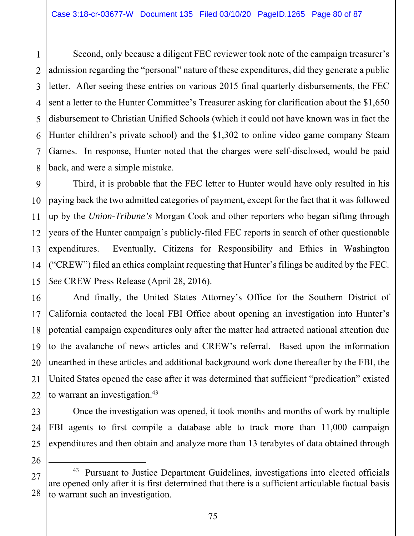1 2 3 4 5 6 7 8 Second, only because a diligent FEC reviewer took note of the campaign treasurer's admission regarding the "personal" nature of these expenditures, did they generate a public letter. After seeing these entries on various 2015 final quarterly disbursements, the FEC sent a letter to the Hunter Committee's Treasurer asking for clarification about the \$1,650 disbursement to Christian Unified Schools (which it could not have known was in fact the Hunter children's private school) and the \$1,302 to online video game company Steam Games. In response, Hunter noted that the charges were self-disclosed, would be paid back, and were a simple mistake.

9 10 11 12 13 14 15 Third, it is probable that the FEC letter to Hunter would have only resulted in his paying back the two admitted categories of payment, except for the fact that it was followed up by the *Union-Tribune's* Morgan Cook and other reporters who began sifting through years of the Hunter campaign's publicly-filed FEC reports in search of other questionable expenditures. Eventually, Citizens for Responsibility and Ethics in Washington ("CREW") filed an ethics complaint requesting that Hunter's filings be audited by the FEC. *See* CREW Press Release (April 28, 2016).

16 17 18 19 20 21 22 And finally, the United States Attorney's Office for the Southern District of California contacted the local FBI Office about opening an investigation into Hunter's potential campaign expenditures only after the matter had attracted national attention due to the avalanche of news articles and CREW's referral. Based upon the information unearthed in these articles and additional background work done thereafter by the FBI, the United States opened the case after it was determined that sufficient "predication" existed to warrant an investigation.<sup>43</sup>

23 24 25 Once the investigation was opened, it took months and months of work by multiple FBI agents to first compile a database able to track more than 11,000 campaign expenditures and then obtain and analyze more than 13 terabytes of data obtained through

<sup>27</sup>  28 <sup>43</sup> Pursuant to Justice Department Guidelines, investigations into elected officials are opened only after it is first determined that there is a sufficient articulable factual basis to warrant such an investigation.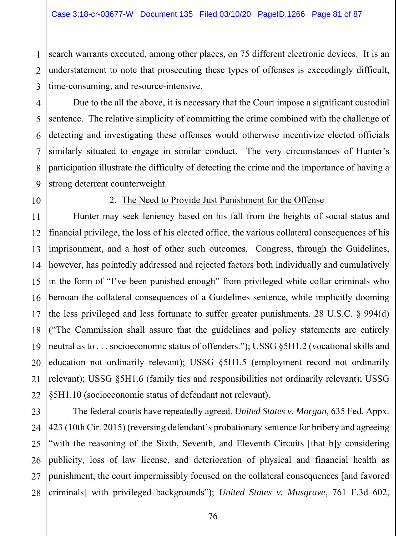1 2 3 search warrants executed, among other places, on 75 different electronic devices. It is an understatement to note that prosecuting these types of offenses is exceedingly difficult, time-consuming, and resource-intensive.

4 5 6 7 8 9 Due to the all the above, it is necessary that the Court impose a significant custodial sentence. The relative simplicity of committing the crime combined with the challenge of detecting and investigating these offenses would otherwise incentivize elected officials similarly situated to engage in similar conduct. The very circumstances of Hunter's participation illustrate the difficulty of detecting the crime and the importance of having a strong deterrent counterweight.

10

### 2. The Need to Provide Just Punishment for the Offense

11 12 13 14 15 16 17 18 19 20 21 22 Hunter may seek leniency based on his fall from the heights of social status and financial privilege, the loss of his elected office, the various collateral consequences of his imprisonment, and a host of other such outcomes. Congress, through the Guidelines, however, has pointedly addressed and rejected factors both individually and cumulatively in the form of "I've been punished enough" from privileged white collar criminals who bemoan the collateral consequences of a Guidelines sentence, while implicitly dooming the less privileged and less fortunate to suffer greater punishments. 28 U.S.C. § 994(d) ("The Commission shall assure that the guidelines and policy statements are entirely neutral as to . . . socioeconomic status of offenders."); USSG §5H1.2 (vocational skills and education not ordinarily relevant); USSG §5H1.5 (employment record not ordinarily relevant); USSG §5H1.6 (family ties and responsibilities not ordinarily relevant); USSG §5H1.10 (socioeconomic status of defendant not relevant).

23 24 25 26 27 28 The federal courts have repeatedly agreed. *United States v. Morgan*, 635 Fed. Appx. 423 (10th Cir. 2015) (reversing defendant's probationary sentence for bribery and agreeing "with the reasoning of the Sixth, Seventh, and Eleventh Circuits [that b]y considering publicity, loss of law license, and deterioration of physical and financial health as punishment, the court impermissibly focused on the collateral consequences [and favored criminals] with privileged backgrounds"); *United States v. Musgrave*, 761 F.3d 602,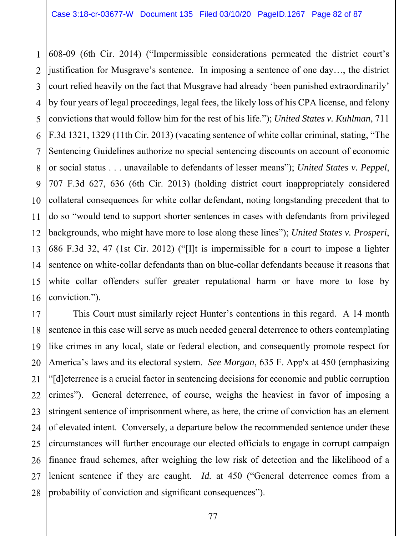1 2 3 4 5 6 7 8 9 10 11 12 13 14 15 16 608-09 (6th Cir. 2014) ("Impermissible considerations permeated the district court's justification for Musgrave's sentence. In imposing a sentence of one day…, the district court relied heavily on the fact that Musgrave had already 'been punished extraordinarily' by four years of legal proceedings, legal fees, the likely loss of his CPA license, and felony convictions that would follow him for the rest of his life."); *United States v. Kuhlman*, 711 F.3d 1321, 1329 (11th Cir. 2013) (vacating sentence of white collar criminal, stating, "The Sentencing Guidelines authorize no special sentencing discounts on account of economic or social status . . . unavailable to defendants of lesser means"); *United States v. Peppel*, 707 F.3d 627, 636 (6th Cir. 2013) (holding district court inappropriately considered collateral consequences for white collar defendant, noting longstanding precedent that to do so "would tend to support shorter sentences in cases with defendants from privileged backgrounds, who might have more to lose along these lines"); *United States v. Prosperi*, 686 F.3d 32, 47 (1st Cir. 2012) ("[I]t is impermissible for a court to impose a lighter sentence on white-collar defendants than on blue-collar defendants because it reasons that white collar offenders suffer greater reputational harm or have more to lose by conviction.").

17 18 19 20 21 22 23 24 25 26 27 28 This Court must similarly reject Hunter's contentions in this regard. A 14 month sentence in this case will serve as much needed general deterrence to others contemplating like crimes in any local, state or federal election, and consequently promote respect for America's laws and its electoral system. *See Morgan*, 635 F. App'x at 450 (emphasizing "[d]eterrence is a crucial factor in sentencing decisions for economic and public corruption crimes"). General deterrence, of course, weighs the heaviest in favor of imposing a stringent sentence of imprisonment where, as here, the crime of conviction has an element of elevated intent. Conversely, a departure below the recommended sentence under these circumstances will further encourage our elected officials to engage in corrupt campaign finance fraud schemes, after weighing the low risk of detection and the likelihood of a lenient sentence if they are caught. *Id.* at 450 ("General deterrence comes from a probability of conviction and significant consequences").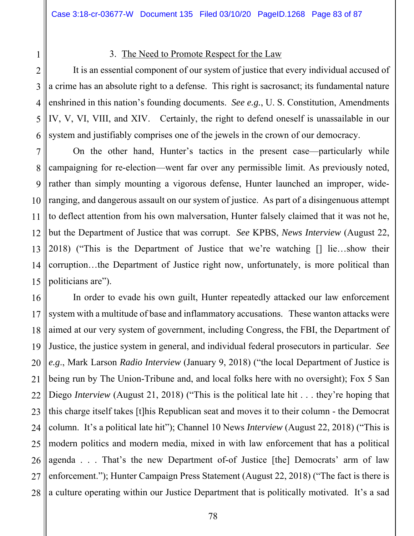1 2 3

## 3. The Need to Promote Respect for the Law

4 5 6 It is an essential component of our system of justice that every individual accused of a crime has an absolute right to a defense. This right is sacrosanct; its fundamental nature enshrined in this nation's founding documents. *See e.g.*, U. S. Constitution, Amendments IV, V, VI, VIII, and XIV. Certainly, the right to defend oneself is unassailable in our system and justifiably comprises one of the jewels in the crown of our democracy.

7 8 9 10 11 12 13 14 15 On the other hand, Hunter's tactics in the present case—particularly while campaigning for re-election—went far over any permissible limit. As previously noted, rather than simply mounting a vigorous defense, Hunter launched an improper, wideranging, and dangerous assault on our system of justice. As part of a disingenuous attempt to deflect attention from his own malversation, Hunter falsely claimed that it was not he, but the Department of Justice that was corrupt. *See* KPBS, *News Interview* (August 22, 2018) ("This is the Department of Justice that we're watching [] lie…show their corruption…the Department of Justice right now, unfortunately, is more political than politicians are").

16 17 18 19 20 21 22 23 24 25 26 27 28 In order to evade his own guilt, Hunter repeatedly attacked our law enforcement system with a multitude of base and inflammatory accusations. These wanton attacks were aimed at our very system of government, including Congress, the FBI, the Department of Justice, the justice system in general, and individual federal prosecutors in particular. *See e.g*., Mark Larson *Radio Interview* (January 9, 2018) ("the local Department of Justice is being run by The Union-Tribune and, and local folks here with no oversight); Fox 5 San Diego *Interview* (August 21, 2018) ("This is the political late hit . . . they're hoping that this charge itself takes [t]his Republican seat and moves it to their column - the Democrat column. It's a political late hit"); Channel 10 News *Interview* (August 22, 2018) ("This is modern politics and modern media, mixed in with law enforcement that has a political agenda . . . That's the new Department of-of Justice [the] Democrats' arm of law enforcement."); Hunter Campaign Press Statement (August 22, 2018) ("The fact is there is a culture operating within our Justice Department that is politically motivated. It's a sad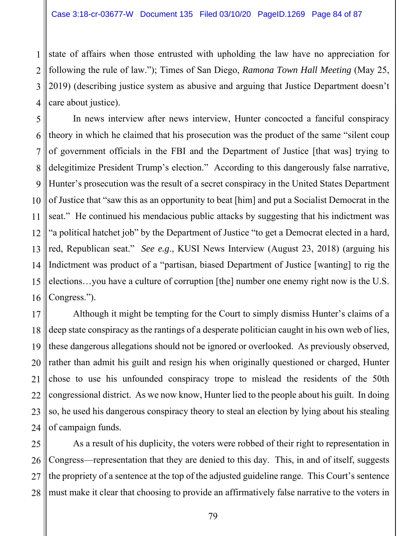1 2 3 4 state of affairs when those entrusted with upholding the law have no appreciation for following the rule of law."); Times of San Diego, *Ramona Town Hall Meeting* (May 25, 2019) (describing justice system as abusive and arguing that Justice Department doesn't care about justice).

5 6 7 8 9 10 11 12 13 14 15 16 In news interview after news interview, Hunter concocted a fanciful conspiracy theory in which he claimed that his prosecution was the product of the same "silent coup of government officials in the FBI and the Department of Justice [that was] trying to delegitimize President Trump's election." According to this dangerously false narrative, Hunter's prosecution was the result of a secret conspiracy in the United States Department of Justice that "saw this as an opportunity to beat [him] and put a Socialist Democrat in the seat." He continued his mendacious public attacks by suggesting that his indictment was "a political hatchet job" by the Department of Justice "to get a Democrat elected in a hard, red, Republican seat." *See e.g*., KUSI News Interview (August 23, 2018) (arguing his Indictment was product of a "partisan, biased Department of Justice [wanting] to rig the elections…you have a culture of corruption [the] number one enemy right now is the U.S. Congress.").

17 18 19 20 21 22 23 24 Although it might be tempting for the Court to simply dismiss Hunter's claims of a deep state conspiracy as the rantings of a desperate politician caught in his own web of lies, these dangerous allegations should not be ignored or overlooked. As previously observed, rather than admit his guilt and resign his when originally questioned or charged, Hunter chose to use his unfounded conspiracy trope to mislead the residents of the 50th congressional district. As we now know, Hunter lied to the people about his guilt. In doing so, he used his dangerous conspiracy theory to steal an election by lying about his stealing of campaign funds.

25 26 27 28 As a result of his duplicity, the voters were robbed of their right to representation in Congress—representation that they are denied to this day. This, in and of itself, suggests the propriety of a sentence at the top of the adjusted guideline range. This Court's sentence must make it clear that choosing to provide an affirmatively false narrative to the voters in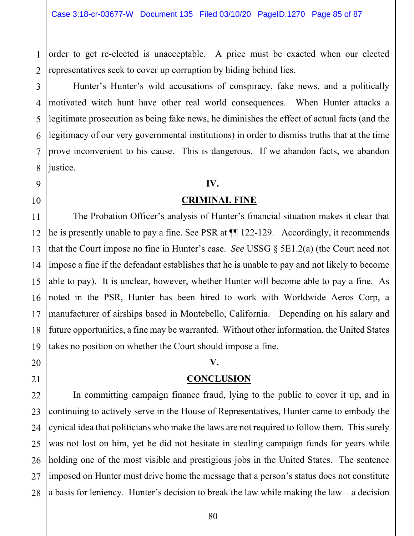1 2 order to get re-elected is unacceptable. A price must be exacted when our elected representatives seek to cover up corruption by hiding behind lies.

3 Hunter's Hunter's wild accusations of conspiracy, fake news, and a politically motivated witch hunt have other real world consequences. When Hunter attacks a legitimate prosecution as being fake news, he diminishes the effect of actual facts (and the legitimacy of our very governmental institutions) in order to dismiss truths that at the time prove inconvenient to his cause. This is dangerous. If we abandon facts, we abandon justice.

#### **IV.**

### **CRIMINAL FINE**

 The Probation Officer's analysis of Hunter's financial situation makes it clear that he is presently unable to pay a fine. See PSR at ¶¶ 122-129. Accordingly, it recommends that the Court impose no fine in Hunter's case. *See* USSG § 5E1.2(a) (the Court need not impose a fine if the defendant establishes that he is unable to pay and not likely to become able to pay). It is unclear, however, whether Hunter will become able to pay a fine. As noted in the PSR, Hunter has been hired to work with Worldwide Aeros Corp, a manufacturer of airships based in Montebello, California. Depending on his salary and future opportunities, a fine may be warranted. Without other information, the United States takes no position on whether the Court should impose a fine.

## **V.**

## **CONCLUSION**

In committing campaign finance fraud, lying to the public to cover it up, and in continuing to actively serve in the House of Representatives, Hunter came to embody the cynical idea that politicians who make the laws are not required to follow them. This surely was not lost on him, yet he did not hesitate in stealing campaign funds for years while holding one of the most visible and prestigious jobs in the United States. The sentence imposed on Hunter must drive home the message that a person's status does not constitute a basis for leniency. Hunter's decision to break the law while making the law – a decision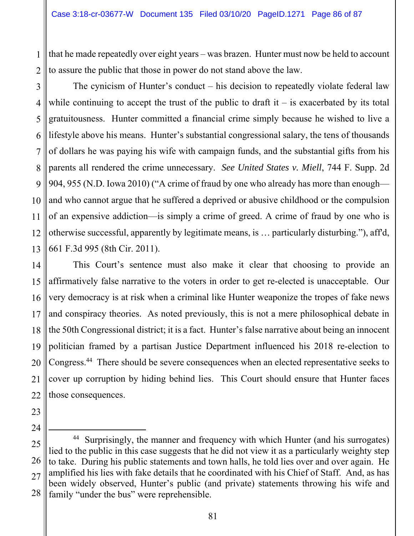1 2 that he made repeatedly over eight years – was brazen. Hunter must now be held to account to assure the public that those in power do not stand above the law.

3 4 5 6 7 8 9 10 11 12 13 The cynicism of Hunter's conduct – his decision to repeatedly violate federal law while continuing to accept the trust of the public to draft it  $-$  is exacerbated by its total gratuitousness. Hunter committed a financial crime simply because he wished to live a lifestyle above his means. Hunter's substantial congressional salary, the tens of thousands of dollars he was paying his wife with campaign funds, and the substantial gifts from his parents all rendered the crime unnecessary. *See United States v. Miell*, 744 F. Supp. 2d 904, 955 (N.D. Iowa 2010) ("A crime of fraud by one who already has more than enough and who cannot argue that he suffered a deprived or abusive childhood or the compulsion of an expensive addiction—is simply a crime of greed. A crime of fraud by one who is otherwise successful, apparently by legitimate means, is … particularly disturbing."), aff'd, 661 F.3d 995 (8th Cir. 2011).

14 15 16 17 18 19 20 21 22 This Court's sentence must also make it clear that choosing to provide an affirmatively false narrative to the voters in order to get re-elected is unacceptable. Our very democracy is at risk when a criminal like Hunter weaponize the tropes of fake news and conspiracy theories. As noted previously, this is not a mere philosophical debate in the 50th Congressional district; it is a fact. Hunter's false narrative about being an innocent politician framed by a partisan Justice Department influenced his 2018 re-election to Congress.44 There should be severe consequences when an elected representative seeks to cover up corruption by hiding behind lies. This Court should ensure that Hunter faces those consequences.

<sup>28</sup>  <sup>44</sup> Surprisingly, the manner and frequency with which Hunter (and his surrogates) lied to the public in this case suggests that he did not view it as a particularly weighty step to take. During his public statements and town halls, he told lies over and over again. He amplified his lies with fake details that he coordinated with his Chief of Staff. And, as has been widely observed, Hunter's public (and private) statements throwing his wife and family "under the bus" were reprehensible.